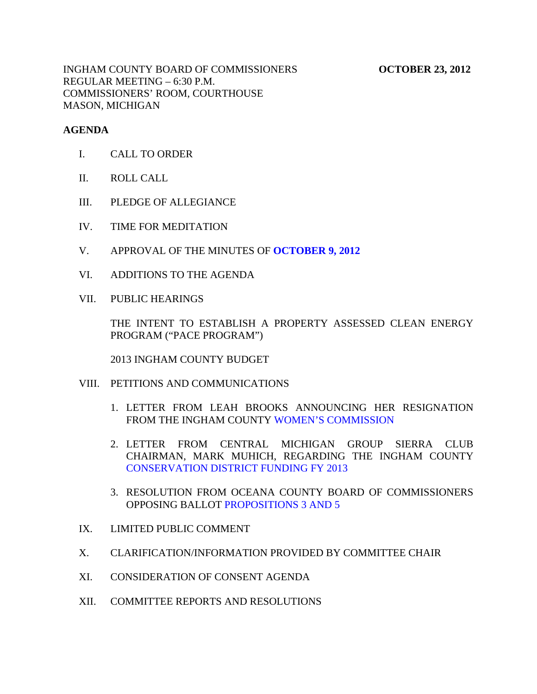INGHAM COUNTY BOARD OF COMMISSIONERS **OCTOBER 23, 2012** REGULAR MEETING – 6:30 P.M. COMMISSIONERS' ROOM, COURTHOUSE MASON, MICHIGAN

### **AGENDA**

- I. CALL TO ORDER
- II. ROLL CALL
- III. PLEDGE OF ALLEGIANCE
- IV. TIME FOR MEDITATION
- V. APPROVAL OF THE MINUTES OF **[OCTOBER 9, 2012](#page-3-0)**
- VI. ADDITIONS TO THE AGENDA
- VII. PUBLIC HEARINGS

THE INTENT TO ESTABLISH A PROPERTY ASSESSED CLEAN ENERGY PROGRAM ("PACE PROGRAM")

2013 INGHAM COUNTY BUDGET

- VIII. PETITIONS AND COMMUNICATIONS
	- 1. LETTER FROM LEAH BR[OOKS ANNOUNCING HER RESIGNAT](#page-39-0)ION FROM THE INGHAM COUNTY WOMEN'S COMMISSION
	- 2. LETTER FROM CENTRAL MICHIGAN GROUP SIERRA CLUB CHAIRMAN, MARK MUHICH, REGARDING THE INGHAM COUNTY [CONSERVATION DISTRICT FUNDING FY 2013](#page-40-0)
	- 3. RESOLUTION FRO[M OCEANA COUNTY BOAR](#page-42-0)D OF COMMISSIONERS OPPOSING BALLOT PROPOSITIONS 3 AND 5
- IX. LIMITED PUBLIC COMMENT
- X. CLARIFICATION/INFORMATION PROVIDED BY COMMITTEE CHAIR
- XI. CONSIDERATION OF CONSENT AGENDA
- XII. COMMITTEE REPORTS AND RESOLUTIONS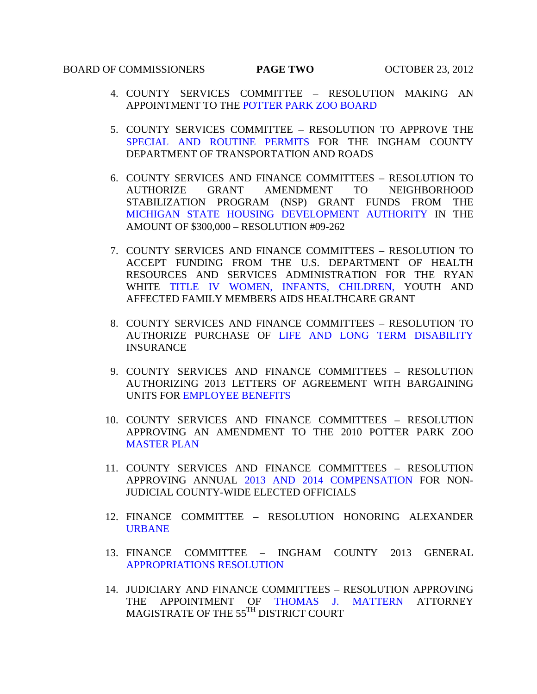# **BOARD OF COMMISSIONERS PAGE TWO OCTOBER 23, 2012**

- 4. COUNTY SERVICES COMMITTEE RESOLUTION MAKING AN APPOINTMENT TO TH[E POTTER PARK ZOO BOARD](#page-43-0)
- 5. COUNTY SERVICES COMMITTEE RESOLUTION TO APPROVE THE [SPECIAL AND ROUTINE PERMITS FOR](#page-44-0) THE INGHAM COUNTY DEPARTMENT OF TRANSPORTATION AND ROADS
- 6. COUNTY SERVICES AND FINANCE COMMITTEES RESOLUTION TO AUTHORIZE GRANT AMENDMENT TO NEIGHBORHOOD STABILIZATION PROGRAM (NSP) GRANT FUNDS FROM THE [MICHIGAN STATE HOUSING DEVELOPMENT AUTHORITY IN](#page-46-0) THE AMOUNT OF \$300,000 – RESOLUTION #09-262
- 7. COUNTY SERVICES AND FINANCE COMMITTEES RESOLUTION TO ACCEPT FUNDING FROM THE U.S. DEPARTMENT OF HEALTH RESOURCES AND SERVICES ADMINISTRATION FOR THE RYAN WH[ITE TITLE IV WOMEN, INFANTS, CHILDREN, YO](#page-47-0)UTH AND AFFECTED FAMILY MEMBERS AIDS HEALTHCARE GRANT
- 8. COUNTY SERVICES AND FINANCE COMMITTEES RESOLUTION TO AUTHORIZE PURCHA[SE OF LIFE AND LONG TERM DISABILITY](#page-49-0)  INSURANCE
- 9. COUNTY SERVICES AND FINANCE COMMITTEES RESOLUTION AUTHORIZING 2013 LETTERS OF AGREEMENT WITH BARGAINING UNITS [FOR EMPLOYEE BENEFITS](#page-50-0)
- 10. COUNTY SERVICES AND FINANCE COMMITTEES RESOLUTION APPROVING AN AMENDMENT TO THE 2010 POTTER PARK ZOO [MASTER PLAN](#page-53-0)
- 11. COUNTY SERVICES AND FINANCE COMMITTEES RESOLUTION APPROVING ANNUAL [2013 AND 2014 COMPENSATION FOR](#page-54-0) NON-JUDICIAL COUNTY-WIDE ELECTED OFFICIALS
- 12. [FINANCE COMM](#page-56-0)ITTEE RESOLUTION HONORING ALEXANDER URBANE
- 13. FINANCE COMMITTEE INGHAM COUNTY 2013 GENERAL [APPROPRIATIONS RESOLUTION](#page-57-0)
- 14. JUDICIARY AND FINANCE COMMITTEES RESOLUTION APPROVING THE APPOINTMENT OF [THOMAS J. MATTERN A](#page-61-0)TTORNEY MAGISTRATE OF THE 55TH DISTRICT COURT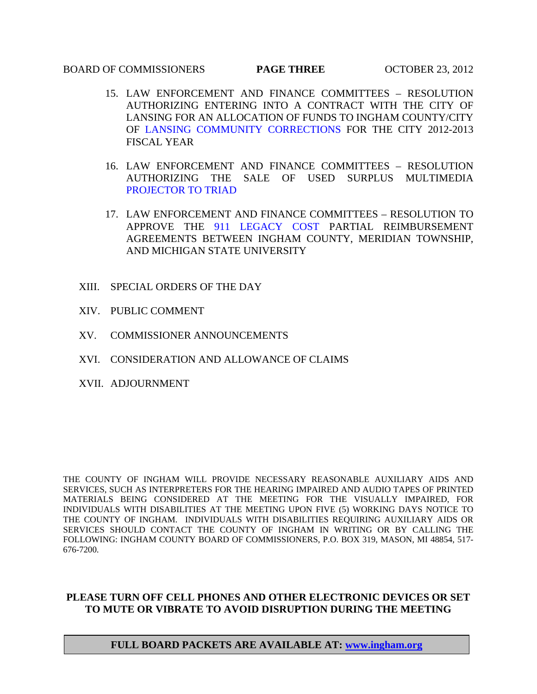### BOARD OF COMMISSIONERS **PAGE THREE** OCTOBER 23, 2012

- 15. LAW ENFORCEMENT AND FINANCE COMMITTEES RESOLUTION AUTHORIZING ENTERING INTO A CONTRACT WITH THE CITY OF LANSING FOR AN ALLOCATION OF FUNDS TO INGHAM COUNTY/CITY OF [LANSING COMMUNITY CORRECTIONS FOR T](#page-62-0)HE CITY 2012-2013 FISCAL YEAR
- 16. LAW ENFORCEMENT AND FINANCE COMMITTEES RESOLUTION AUTHORIZING THE SALE OF USED SURPLUS MULTIMEDIA [PROJECTOR TO TRIAD](#page-63-0)
- 17. LAW ENFORCEMENT AND FINANCE COMMITTEES RESOLUTION TO APPROVE [THE 911 LEGACY COST](#page-64-0) PARTIAL REIMBURSEMENT AGREEMENTS BETWEEN INGHAM COUNTY, MERIDIAN TOWNSHIP, AND MICHIGAN STATE UNIVERSITY
- XIII. SPECIAL ORDERS OF THE DAY
- XIV. PUBLIC COMMENT
- XV. COMMISSIONER ANNOUNCEMENTS
- XVI. CONSIDERATION AND ALLOWANCE OF CLAIMS
- XVII. ADJOURNMENT

THE COUNTY OF INGHAM WILL PROVIDE NECESSARY REASONABLE AUXILIARY AIDS AND SERVICES, SUCH AS INTERPRETERS FOR THE HEARING IMPAIRED AND AUDIO TAPES OF PRINTED MATERIALS BEING CONSIDERED AT THE MEETING FOR THE VISUALLY IMPAIRED, FOR INDIVIDUALS WITH DISABILITIES AT THE MEETING UPON FIVE (5) WORKING DAYS NOTICE TO THE COUNTY OF INGHAM. INDIVIDUALS WITH DISABILITIES REQUIRING AUXILIARY AIDS OR SERVICES SHOULD CONTACT THE COUNTY OF INGHAM IN WRITING OR BY CALLING THE FOLLOWING: INGHAM COUNTY BOARD OF COMMISSIONERS, P.O. BOX 319, MASON, MI 48854, 517- 676-7200.

### **PLEASE TURN OFF CELL PHONES AND OTHER ELECTRONIC DEVICES OR SET TO MUTE OR VIBRATE TO AVOID DISRUPTION DURING THE MEETING**

#### **FULL BOARD PACKETS ARE AVAILABLE AT: www.ingham.org**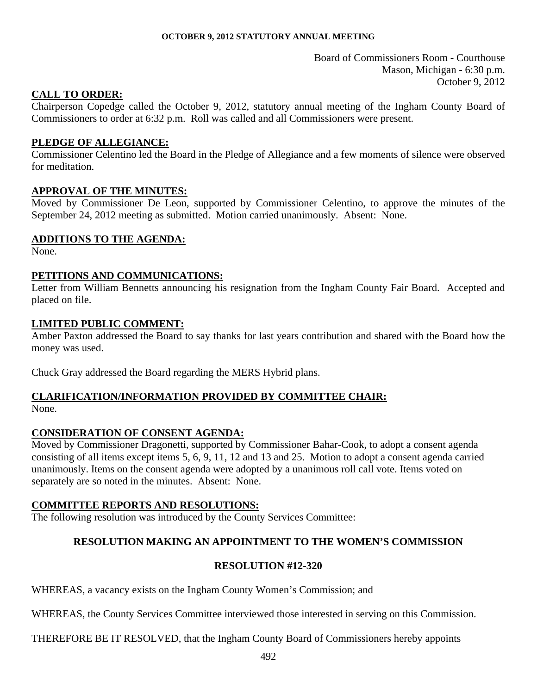Board of Commissioners Room - Courthouse Mason, Michigan - 6:30 p.m. October 9, 2012

### <span id="page-3-0"></span>**CALL TO ORDER:**

Chairperson Copedge called the October 9, 2012, statutory annual meeting of the Ingham County Board of Commissioners to order at 6:32 p.m. Roll was called and all Commissioners were present.

### **PLEDGE OF ALLEGIANCE:**

Commissioner Celentino led the Board in the Pledge of Allegiance and a few moments of silence were observed for meditation.

### **APPROVAL OF THE MINUTES:**

Moved by Commissioner De Leon, supported by Commissioner Celentino, to approve the minutes of the September 24, 2012 meeting as submitted. Motion carried unanimously. Absent: None.

### **ADDITIONS TO THE AGENDA:**

None.

### **PETITIONS AND COMMUNICATIONS:**

Letter from William Bennetts announcing his resignation from the Ingham County Fair Board. Accepted and placed on file.

### **LIMITED PUBLIC COMMENT:**

Amber Paxton addressed the Board to say thanks for last years contribution and shared with the Board how the money was used.

Chuck Gray addressed the Board regarding the MERS Hybrid plans.

### **CLARIFICATION/INFORMATION PROVIDED BY COMMITTEE CHAIR:** None.

### **CONSIDERATION OF CONSENT AGENDA:**

Moved by Commissioner Dragonetti, supported by Commissioner Bahar-Cook, to adopt a consent agenda consisting of all items except items 5, 6, 9, 11, 12 and 13 and 25. Motion to adopt a consent agenda carried unanimously. Items on the consent agenda were adopted by a unanimous roll call vote. Items voted on separately are so noted in the minutes. Absent: None.

### **COMMITTEE REPORTS AND RESOLUTIONS:**

The following resolution was introduced by the County Services Committee:

### **RESOLUTION MAKING AN APPOINTMENT TO THE WOMEN'S COMMISSION**

### **RESOLUTION #12-320**

WHEREAS, a vacancy exists on the Ingham County Women's Commission; and

WHEREAS, the County Services Committee interviewed those interested in serving on this Commission.

THEREFORE BE IT RESOLVED, that the Ingham County Board of Commissioners hereby appoints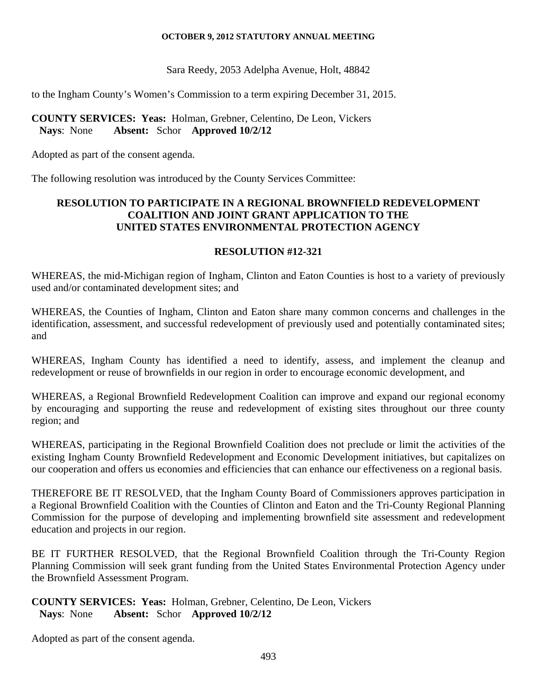Sara Reedy, 2053 Adelpha Avenue, Holt, 48842

to the Ingham County's Women's Commission to a term expiring December 31, 2015.

### **COUNTY SERVICES: Yeas:** Holman, Grebner, Celentino, De Leon, Vickers **Nays**: None **Absent:** Schor **Approved 10/2/12**

Adopted as part of the consent agenda.

The following resolution was introduced by the County Services Committee:

### **RESOLUTION TO PARTICIPATE IN A REGIONAL BROWNFIELD REDEVELOPMENT COALITION AND JOINT GRANT APPLICATION TO THE UNITED STATES ENVIRONMENTAL PROTECTION AGENCY**

### **RESOLUTION #12-321**

WHEREAS, the mid-Michigan region of Ingham, Clinton and Eaton Counties is host to a variety of previously used and/or contaminated development sites; and

WHEREAS, the Counties of Ingham, Clinton and Eaton share many common concerns and challenges in the identification, assessment, and successful redevelopment of previously used and potentially contaminated sites; and

WHEREAS, Ingham County has identified a need to identify, assess, and implement the cleanup and redevelopment or reuse of brownfields in our region in order to encourage economic development, and

WHEREAS, a Regional Brownfield Redevelopment Coalition can improve and expand our regional economy by encouraging and supporting the reuse and redevelopment of existing sites throughout our three county region; and

WHEREAS, participating in the Regional Brownfield Coalition does not preclude or limit the activities of the existing Ingham County Brownfield Redevelopment and Economic Development initiatives, but capitalizes on our cooperation and offers us economies and efficiencies that can enhance our effectiveness on a regional basis.

THEREFORE BE IT RESOLVED, that the Ingham County Board of Commissioners approves participation in a Regional Brownfield Coalition with the Counties of Clinton and Eaton and the Tri-County Regional Planning Commission for the purpose of developing and implementing brownfield site assessment and redevelopment education and projects in our region.

BE IT FURTHER RESOLVED, that the Regional Brownfield Coalition through the Tri-County Region Planning Commission will seek grant funding from the United States Environmental Protection Agency under the Brownfield Assessment Program.

### **COUNTY SERVICES: Yeas:** Holman, Grebner, Celentino, De Leon, Vickers **Nays**: None **Absent:** Schor **Approved 10/2/12**

Adopted as part of the consent agenda.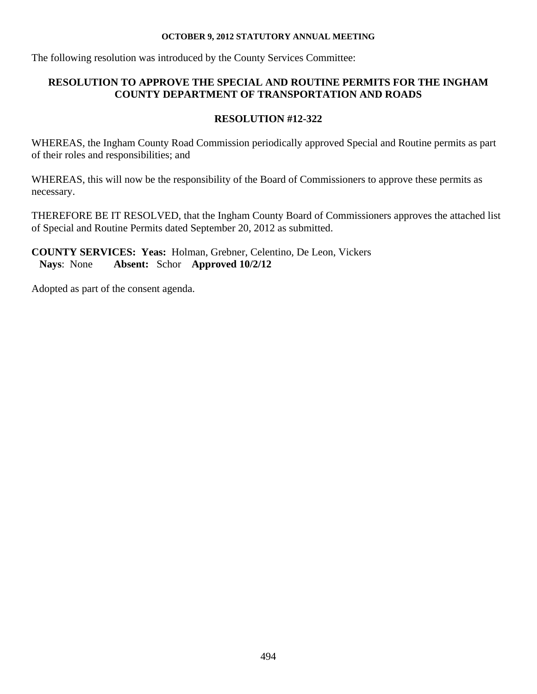The following resolution was introduced by the County Services Committee:

## **RESOLUTION TO APPROVE THE SPECIAL AND ROUTINE PERMITS FOR THE INGHAM COUNTY DEPARTMENT OF TRANSPORTATION AND ROADS**

# **RESOLUTION #12-322**

WHEREAS, the Ingham County Road Commission periodically approved Special and Routine permits as part of their roles and responsibilities; and

WHEREAS, this will now be the responsibility of the Board of Commissioners to approve these permits as necessary.

THEREFORE BE IT RESOLVED, that the Ingham County Board of Commissioners approves the attached list of Special and Routine Permits dated September 20, 2012 as submitted.

**COUNTY SERVICES: Yeas:** Holman, Grebner, Celentino, De Leon, Vickers **Nays**: None **Absent:** Schor **Approved 10/2/12** 

Adopted as part of the consent agenda.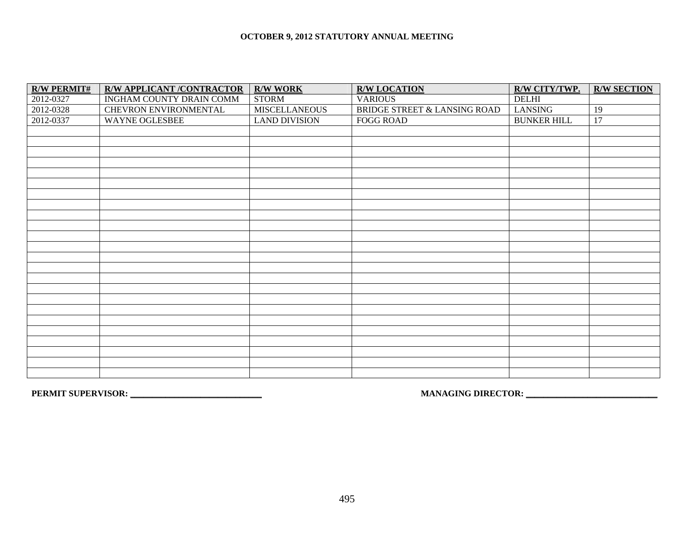| <b>R/W PERMIT#</b> | <b>R/W APPLICANT /CONTRACTOR</b> | <b>R/W WORK</b>      | <b>R/W LOCATION</b>          | R/W CITY/TWP.      | <b>R/W SECTION</b> |
|--------------------|----------------------------------|----------------------|------------------------------|--------------------|--------------------|
| 2012-0327          | INGHAM COUNTY DRAIN COMM         | <b>STORM</b>         | <b>VARIOUS</b>               | <b>DELHI</b>       |                    |
| 2012-0328          | CHEVRON ENVIRONMENTAL            | <b>MISCELLANEOUS</b> | BRIDGE STREET & LANSING ROAD | LANSING            | 19                 |
| 2012-0337          | WAYNE OGLESBEE                   | <b>LAND DIVISION</b> | <b>FOGG ROAD</b>             | <b>BUNKER HILL</b> | 17                 |
|                    |                                  |                      |                              |                    |                    |
|                    |                                  |                      |                              |                    |                    |
|                    |                                  |                      |                              |                    |                    |
|                    |                                  |                      |                              |                    |                    |
|                    |                                  |                      |                              |                    |                    |
|                    |                                  |                      |                              |                    |                    |
|                    |                                  |                      |                              |                    |                    |
|                    |                                  |                      |                              |                    |                    |
|                    |                                  |                      |                              |                    |                    |
|                    |                                  |                      |                              |                    |                    |
|                    |                                  |                      |                              |                    |                    |
|                    |                                  |                      |                              |                    |                    |
|                    |                                  |                      |                              |                    |                    |
|                    |                                  |                      |                              |                    |                    |
|                    |                                  |                      |                              |                    |                    |
|                    |                                  |                      |                              |                    |                    |
|                    |                                  |                      |                              |                    |                    |
|                    |                                  |                      |                              |                    |                    |
|                    |                                  |                      |                              |                    |                    |
|                    |                                  |                      |                              |                    |                    |
|                    |                                  |                      |                              |                    |                    |
|                    |                                  |                      |                              |                    |                    |
|                    |                                  |                      |                              |                    |                    |
|                    |                                  |                      |                              |                    |                    |

**PERMIT SUPERVISOR: \_\_\_\_\_\_\_\_\_\_\_\_\_\_\_\_\_\_\_\_\_\_\_\_\_\_\_\_\_\_ MANAGING DIRECTOR: \_\_\_\_\_\_\_\_\_\_\_\_\_\_\_\_\_\_\_\_\_\_\_\_\_\_\_\_\_\_**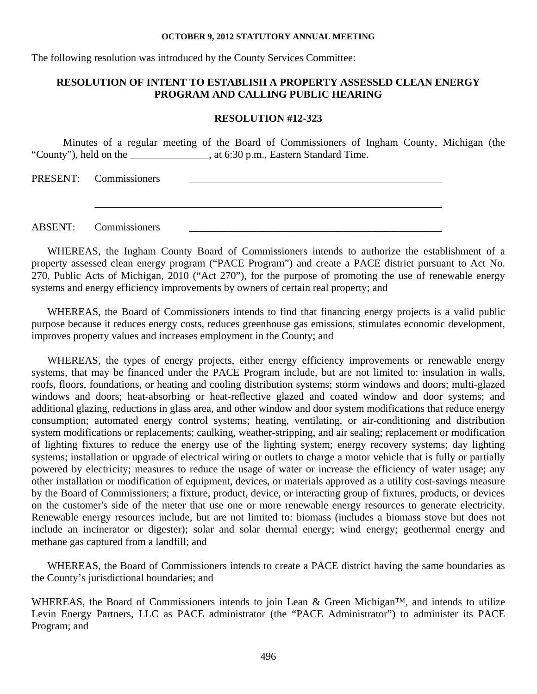The following resolution was introduced by the County Services Committee:

### **RESOLUTION OF INTENT TO ESTABLISH A PROPERTY ASSESSED CLEAN ENERGY PROGRAM AND CALLING PUBLIC HEARING**

#### **RESOLUTION #12-323**

Minutes of a regular meeting of the Board of Commissioners of Ingham County, Michigan (the "County"), held on the \_\_\_\_\_\_\_\_\_\_\_\_\_\_\_, at 6:30 p.m., Eastern Standard Time.

 $\overline{\phantom{a}}$  ,  $\overline{\phantom{a}}$  ,  $\overline{\phantom{a}}$  ,  $\overline{\phantom{a}}$  ,  $\overline{\phantom{a}}$  ,  $\overline{\phantom{a}}$  ,  $\overline{\phantom{a}}$  ,  $\overline{\phantom{a}}$  ,  $\overline{\phantom{a}}$  ,  $\overline{\phantom{a}}$  ,  $\overline{\phantom{a}}$  ,  $\overline{\phantom{a}}$  ,  $\overline{\phantom{a}}$  ,  $\overline{\phantom{a}}$  ,  $\overline{\phantom{a}}$  ,  $\overline{\phantom{a}}$ 

PRESENT: Commissioners

ABSENT: Commissioners

WHEREAS, the Ingham County Board of Commissioners intends to authorize the establishment of a property assessed clean energy program ("PACE Program") and create a PACE district pursuant to Act No. 270, Public Acts of Michigan, 2010 ("Act 270"), for the purpose of promoting the use of renewable energy systems and energy efficiency improvements by owners of certain real property; and

WHEREAS, the Board of Commissioners intends to find that financing energy projects is a valid public purpose because it reduces energy costs, reduces greenhouse gas emissions, stimulates economic development, improves property values and increases employment in the County; and

WHEREAS, the types of energy projects, either energy efficiency improvements or renewable energy systems, that may be financed under the PACE Program include, but are not limited to: insulation in walls, roofs, floors, foundations, or heating and cooling distribution systems; storm windows and doors; multi-glazed windows and doors; heat-absorbing or heat-reflective glazed and coated window and door systems; and additional glazing, reductions in glass area, and other window and door system modifications that reduce energy consumption; automated energy control systems; heating, ventilating, or air-conditioning and distribution system modifications or replacements; caulking, weather-stripping, and air sealing; replacement or modification of lighting fixtures to reduce the energy use of the lighting system; energy recovery systems; day lighting systems; installation or upgrade of electrical wiring or outlets to charge a motor vehicle that is fully or partially powered by electricity; measures to reduce the usage of water or increase the efficiency of water usage; any other installation or modification of equipment, devices, or materials approved as a utility cost-savings measure by the Board of Commissioners; a fixture, product, device, or interacting group of fixtures, products, or devices on the customer's side of the meter that use one or more renewable energy resources to generate electricity. Renewable energy resources include, but are not limited to: biomass (includes a biomass stove but does not include an incinerator or digester); solar and solar thermal energy; wind energy; geothermal energy and methane gas captured from a landfill; and

WHEREAS, the Board of Commissioners intends to create a PACE district having the same boundaries as the County's jurisdictional boundaries; and

WHEREAS, the Board of Commissioners intends to join Lean & Green Michigan<sup>™</sup>, and intends to utilize Levin Energy Partners, LLC as PACE administrator (the "PACE Administrator") to administer its PACE Program; and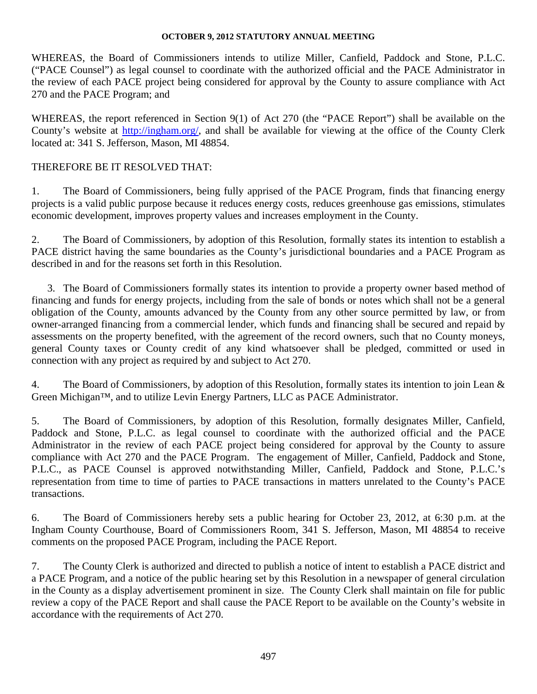WHEREAS, the Board of Commissioners intends to utilize Miller, Canfield, Paddock and Stone, P.L.C. ("PACE Counsel") as legal counsel to coordinate with the authorized official and the PACE Administrator in the review of each PACE project being considered for approval by the County to assure compliance with Act 270 and the PACE Program; and

WHEREAS, the report referenced in Section 9(1) of Act 270 (the "PACE Report") shall be available on the County's website at http://ingham.org/, and shall be available for viewing at the office of the County Clerk located at: 341 S. Jefferson, Mason, MI 48854.

### THEREFORE BE IT RESOLVED THAT:

1. The Board of Commissioners, being fully apprised of the PACE Program, finds that financing energy projects is a valid public purpose because it reduces energy costs, reduces greenhouse gas emissions, stimulates economic development, improves property values and increases employment in the County.

2. The Board of Commissioners, by adoption of this Resolution, formally states its intention to establish a PACE district having the same boundaries as the County's jurisdictional boundaries and a PACE Program as described in and for the reasons set forth in this Resolution.

3. The Board of Commissioners formally states its intention to provide a property owner based method of financing and funds for energy projects, including from the sale of bonds or notes which shall not be a general obligation of the County, amounts advanced by the County from any other source permitted by law, or from owner-arranged financing from a commercial lender, which funds and financing shall be secured and repaid by assessments on the property benefited, with the agreement of the record owners, such that no County moneys, general County taxes or County credit of any kind whatsoever shall be pledged, committed or used in connection with any project as required by and subject to Act 270.

4. The Board of Commissioners, by adoption of this Resolution, formally states its intention to join Lean & Green Michigan™, and to utilize Levin Energy Partners, LLC as PACE Administrator.

5. The Board of Commissioners, by adoption of this Resolution, formally designates Miller, Canfield, Paddock and Stone, P.L.C. as legal counsel to coordinate with the authorized official and the PACE Administrator in the review of each PACE project being considered for approval by the County to assure compliance with Act 270 and the PACE Program. The engagement of Miller, Canfield, Paddock and Stone, P.L.C., as PACE Counsel is approved notwithstanding Miller, Canfield, Paddock and Stone, P.L.C.'s representation from time to time of parties to PACE transactions in matters unrelated to the County's PACE transactions.

6. The Board of Commissioners hereby sets a public hearing for October 23, 2012, at 6:30 p.m. at the Ingham County Courthouse, Board of Commissioners Room, 341 S. Jefferson, Mason, MI 48854 to receive comments on the proposed PACE Program, including the PACE Report.

7. The County Clerk is authorized and directed to publish a notice of intent to establish a PACE district and a PACE Program, and a notice of the public hearing set by this Resolution in a newspaper of general circulation in the County as a display advertisement prominent in size. The County Clerk shall maintain on file for public review a copy of the PACE Report and shall cause the PACE Report to be available on the County's website in accordance with the requirements of Act 270.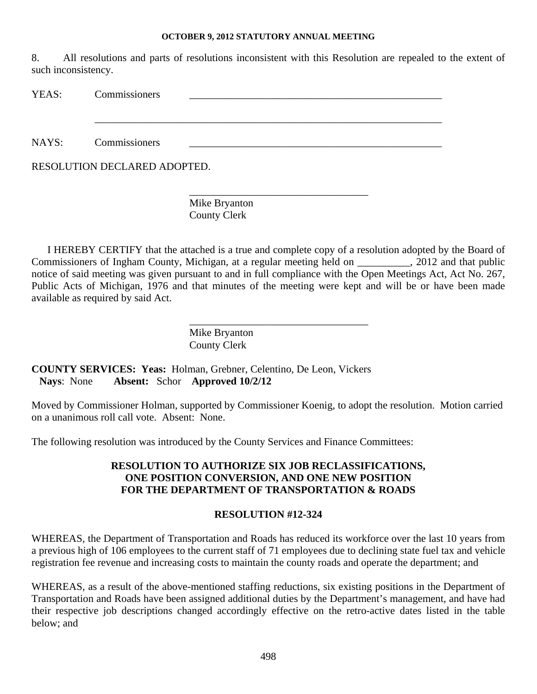8. All resolutions and parts of resolutions inconsistent with this Resolution are repealed to the extent of such inconsistency.

| YEAS: | Commissioners                |
|-------|------------------------------|
|       |                              |
|       |                              |
| NAYS: | Commissioners                |
|       | RESOLUTION DECLARED ADOPTED. |
|       |                              |

Mike Bryanton County Clerk

I HEREBY CERTIFY that the attached is a true and complete copy of a resolution adopted by the Board of Commissioners of Ingham County, Michigan, at a regular meeting held on \_\_\_\_\_\_\_\_\_\_, 2012 and that public notice of said meeting was given pursuant to and in full compliance with the Open Meetings Act, Act No. 267, Public Acts of Michigan, 1976 and that minutes of the meeting were kept and will be or have been made available as required by said Act.

\_\_\_\_\_\_\_\_\_\_\_\_\_\_\_\_\_\_\_\_\_\_\_\_\_\_\_\_\_\_\_\_\_\_

Mike Bryanton County Clerk

**COUNTY SERVICES: Yeas:** Holman, Grebner, Celentino, De Leon, Vickers **Nays**: None **Absent:** Schor **Approved 10/2/12** 

Moved by Commissioner Holman, supported by Commissioner Koenig, to adopt the resolution. Motion carried on a unanimous roll call vote. Absent: None.

The following resolution was introduced by the County Services and Finance Committees:

### **RESOLUTION TO AUTHORIZE SIX JOB RECLASSIFICATIONS, ONE POSITION CONVERSION, AND ONE NEW POSITION FOR THE DEPARTMENT OF TRANSPORTATION & ROADS**

### **RESOLUTION #12-324**

WHEREAS, the Department of Transportation and Roads has reduced its workforce over the last 10 years from a previous high of 106 employees to the current staff of 71 employees due to declining state fuel tax and vehicle registration fee revenue and increasing costs to maintain the county roads and operate the department; and

WHEREAS, as a result of the above-mentioned staffing reductions, six existing positions in the Department of Transportation and Roads have been assigned additional duties by the Department's management, and have had their respective job descriptions changed accordingly effective on the retro-active dates listed in the table below; and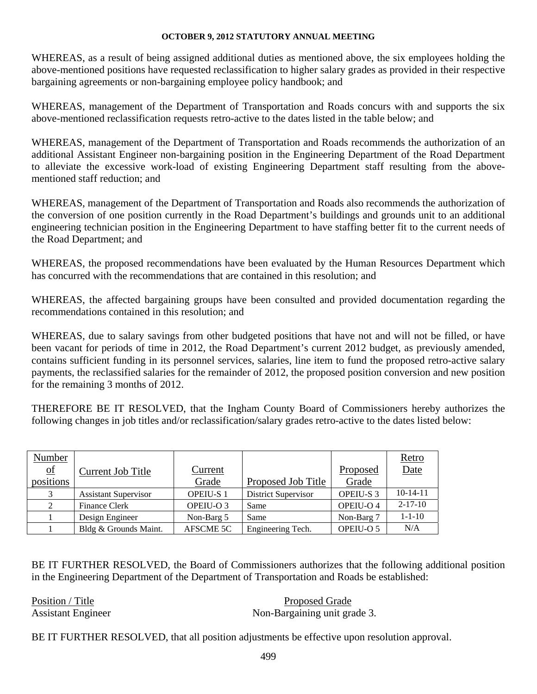WHEREAS, as a result of being assigned additional duties as mentioned above, the six employees holding the above-mentioned positions have requested reclassification to higher salary grades as provided in their respective bargaining agreements or non-bargaining employee policy handbook; and

WHEREAS, management of the Department of Transportation and Roads concurs with and supports the six above-mentioned reclassification requests retro-active to the dates listed in the table below; and

WHEREAS, management of the Department of Transportation and Roads recommends the authorization of an additional Assistant Engineer non-bargaining position in the Engineering Department of the Road Department to alleviate the excessive work-load of existing Engineering Department staff resulting from the abovementioned staff reduction; and

WHEREAS, management of the Department of Transportation and Roads also recommends the authorization of the conversion of one position currently in the Road Department's buildings and grounds unit to an additional engineering technician position in the Engineering Department to have staffing better fit to the current needs of the Road Department; and

WHEREAS, the proposed recommendations have been evaluated by the Human Resources Department which has concurred with the recommendations that are contained in this resolution; and

WHEREAS, the affected bargaining groups have been consulted and provided documentation regarding the recommendations contained in this resolution; and

WHEREAS, due to salary savings from other budgeted positions that have not and will not be filled, or have been vacant for periods of time in 2012, the Road Department's current 2012 budget, as previously amended, contains sufficient funding in its personnel services, salaries, line item to fund the proposed retro-active salary payments, the reclassified salaries for the remainder of 2012, the proposed position conversion and new position for the remaining 3 months of 2012.

THEREFORE BE IT RESOLVED, that the Ingham County Board of Commissioners hereby authorizes the following changes in job titles and/or reclassification/salary grades retro-active to the dates listed below:

| Number                    |                             |                  |                            |                  | <u>Retro</u>  |
|---------------------------|-----------------------------|------------------|----------------------------|------------------|---------------|
| $\underline{\mathrm{of}}$ | Current Job Title           | Current          |                            | Proposed         | Date          |
| positions                 |                             | Grade            | Proposed Job Title         | Grade            |               |
|                           | <b>Assistant Supervisor</b> | <b>OPEIU-S1</b>  | <b>District Supervisor</b> | <b>OPEIU-S 3</b> | $10-14-11$    |
| 2                         | Finance Clerk               | OPEIU-O 3        | Same                       | OPEIU-O 4        | $2 - 17 - 10$ |
|                           | Design Engineer             | Non-Barg 5       | Same                       | Non-Barg 7       | $1 - 1 - 10$  |
|                           | Bldg & Grounds Maint.       | <b>AFSCME 5C</b> | Engineering Tech.          | OPEIU-O 5        | N/A           |

BE IT FURTHER RESOLVED, the Board of Commissioners authorizes that the following additional position in the Engineering Department of the Department of Transportation and Roads be established:

Position / Title Proposed Grade Assistant Engineer Non-Bargaining unit grade 3.

BE IT FURTHER RESOLVED, that all position adjustments be effective upon resolution approval.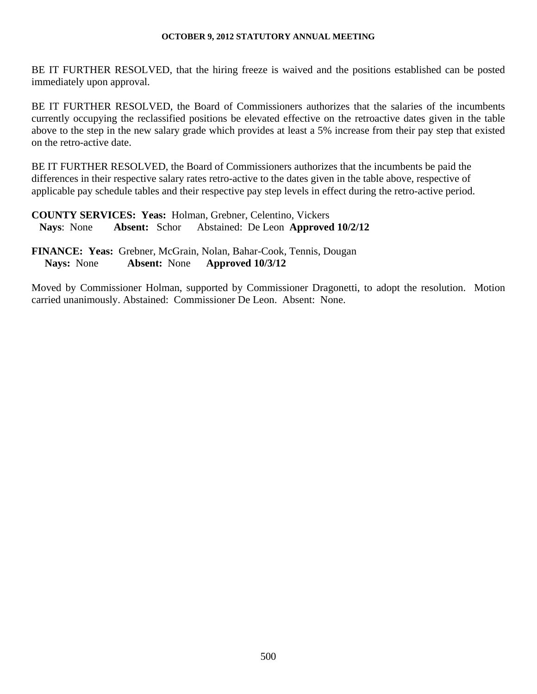BE IT FURTHER RESOLVED, that the hiring freeze is waived and the positions established can be posted immediately upon approval.

BE IT FURTHER RESOLVED, the Board of Commissioners authorizes that the salaries of the incumbents currently occupying the reclassified positions be elevated effective on the retroactive dates given in the table above to the step in the new salary grade which provides at least a 5% increase from their pay step that existed on the retro-active date.

BE IT FURTHER RESOLVED, the Board of Commissioners authorizes that the incumbents be paid the differences in their respective salary rates retro-active to the dates given in the table above, respective of applicable pay schedule tables and their respective pay step levels in effect during the retro-active period.

**COUNTY SERVICES: Yeas:** Holman, Grebner, Celentino, Vickers **Nays**: None **Absent:** Schor Abstained: De Leon **Approved 10/2/12** 

**FINANCE: Yeas:** Grebner, McGrain, Nolan, Bahar-Cook, Tennis, Dougan  **Nays:** None **Absent:** None **Approved 10/3/12** 

Moved by Commissioner Holman, supported by Commissioner Dragonetti, to adopt the resolution. Motion carried unanimously. Abstained: Commissioner De Leon. Absent: None.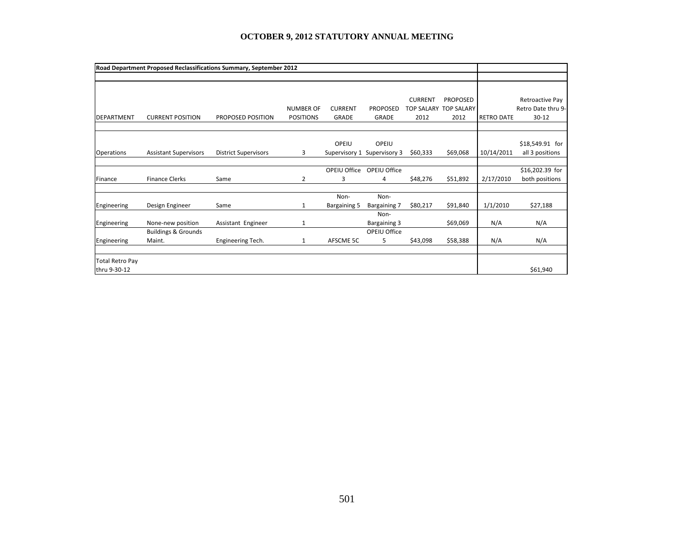|                        |                                | Road Department Proposed Reclassifications Summary, September 2012 |                  |                |                     |                |                       |                   |                    |
|------------------------|--------------------------------|--------------------------------------------------------------------|------------------|----------------|---------------------|----------------|-----------------------|-------------------|--------------------|
|                        |                                |                                                                    |                  |                |                     |                |                       |                   |                    |
|                        |                                |                                                                    |                  |                |                     |                |                       |                   |                    |
|                        |                                |                                                                    |                  |                |                     | <b>CURRENT</b> | <b>PROPOSED</b>       |                   | Retroactive Pay    |
|                        |                                |                                                                    | <b>NUMBER OF</b> | <b>CURRENT</b> | <b>PROPOSED</b>     |                | TOP SALARY TOP SALARY |                   | Retro Date thru 9- |
| <b>DEPARTMENT</b>      | <b>CURRENT POSITION</b>        | PROPOSED POSITION                                                  | <b>POSITIONS</b> | <b>GRADE</b>   | <b>GRADE</b>        | 2012           | 2012                  | <b>RETRO DATE</b> | $30 - 12$          |
|                        |                                |                                                                    |                  |                |                     |                |                       |                   |                    |
|                        |                                |                                                                    |                  | OPEIU          | OPEIU               |                |                       |                   | \$18,549.91 for    |
| <b>Operations</b>      | <b>Assistant Supervisors</b>   | <b>District Supervisors</b>                                        | 3                | Supervisory 1  | Supervisory 3       | \$60,333       | \$69,068              | 10/14/2011        | all 3 positions    |
|                        |                                |                                                                    |                  |                |                     |                |                       |                   |                    |
|                        |                                |                                                                    |                  | OPEIU Office   | OPEIU Office        |                |                       |                   | \$16,202.39 for    |
| Finance                | <b>Finance Clerks</b>          | Same                                                               | 2                | 3              | 4                   | \$48,276       | \$51,892              | 2/17/2010         | both positions     |
|                        |                                |                                                                    |                  |                |                     |                |                       |                   |                    |
|                        |                                |                                                                    |                  | Non-           | Non-                |                |                       |                   |                    |
| Engineering            | Design Engineer                | Same                                                               | 1                | Bargaining 5   | <b>Bargaining 7</b> | \$80,217       | \$91,840              | 1/1/2010          | \$27,188           |
|                        |                                |                                                                    |                  |                | Non-                |                |                       |                   |                    |
| Engineering            | None-new position              | Assistant Engineer                                                 | 1                |                | <b>Bargaining 3</b> |                | \$69,069              | N/A               | N/A                |
|                        | <b>Buildings &amp; Grounds</b> |                                                                    |                  |                | OPEIU Office        |                |                       |                   |                    |
| Engineering            | Maint.                         | Engineering Tech.                                                  | 1                | AFSCME 5C      | 5                   | \$43,098       | \$58,388              | N/A               | N/A                |
|                        |                                |                                                                    |                  |                |                     |                |                       |                   |                    |
| <b>Total Retro Pay</b> |                                |                                                                    |                  |                |                     |                |                       |                   |                    |
| thru 9-30-12           |                                |                                                                    |                  |                |                     |                |                       |                   | \$61,940           |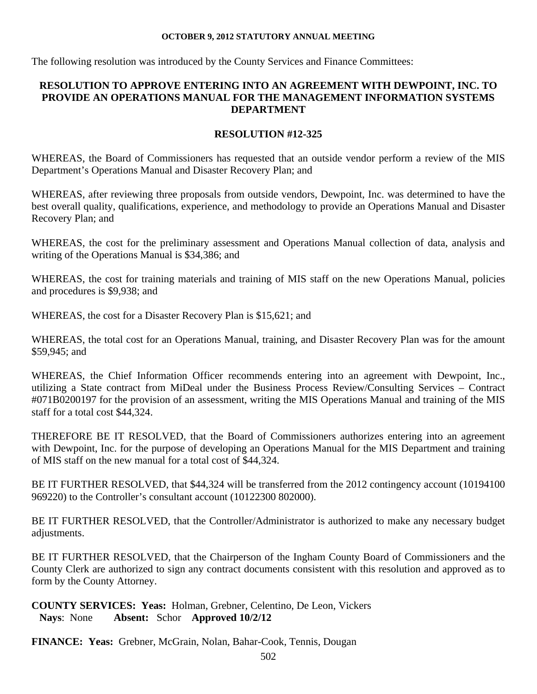The following resolution was introduced by the County Services and Finance Committees:

### **RESOLUTION TO APPROVE ENTERING INTO AN AGREEMENT WITH DEWPOINT, INC. TO PROVIDE AN OPERATIONS MANUAL FOR THE MANAGEMENT INFORMATION SYSTEMS DEPARTMENT**

### **RESOLUTION #12-325**

WHEREAS, the Board of Commissioners has requested that an outside vendor perform a review of the MIS Department's Operations Manual and Disaster Recovery Plan; and

WHEREAS, after reviewing three proposals from outside vendors, Dewpoint, Inc. was determined to have the best overall quality, qualifications, experience, and methodology to provide an Operations Manual and Disaster Recovery Plan; and

WHEREAS, the cost for the preliminary assessment and Operations Manual collection of data, analysis and writing of the Operations Manual is \$34,386; and

WHEREAS, the cost for training materials and training of MIS staff on the new Operations Manual, policies and procedures is \$9,938; and

WHEREAS, the cost for a Disaster Recovery Plan is \$15,621; and

WHEREAS, the total cost for an Operations Manual, training, and Disaster Recovery Plan was for the amount \$59,945; and

WHEREAS, the Chief Information Officer recommends entering into an agreement with Dewpoint, Inc., utilizing a State contract from MiDeal under the Business Process Review/Consulting Services – Contract #071B0200197 for the provision of an assessment, writing the MIS Operations Manual and training of the MIS staff for a total cost \$44,324.

THEREFORE BE IT RESOLVED, that the Board of Commissioners authorizes entering into an agreement with Dewpoint, Inc. for the purpose of developing an Operations Manual for the MIS Department and training of MIS staff on the new manual for a total cost of \$44,324.

BE IT FURTHER RESOLVED, that \$44,324 will be transferred from the 2012 contingency account (10194100 969220) to the Controller's consultant account (10122300 802000).

BE IT FURTHER RESOLVED, that the Controller/Administrator is authorized to make any necessary budget adjustments.

BE IT FURTHER RESOLVED, that the Chairperson of the Ingham County Board of Commissioners and the County Clerk are authorized to sign any contract documents consistent with this resolution and approved as to form by the County Attorney.

**COUNTY SERVICES: Yeas:** Holman, Grebner, Celentino, De Leon, Vickers **Nays**: None **Absent:** Schor **Approved 10/2/12** 

**FINANCE: Yeas:** Grebner, McGrain, Nolan, Bahar-Cook, Tennis, Dougan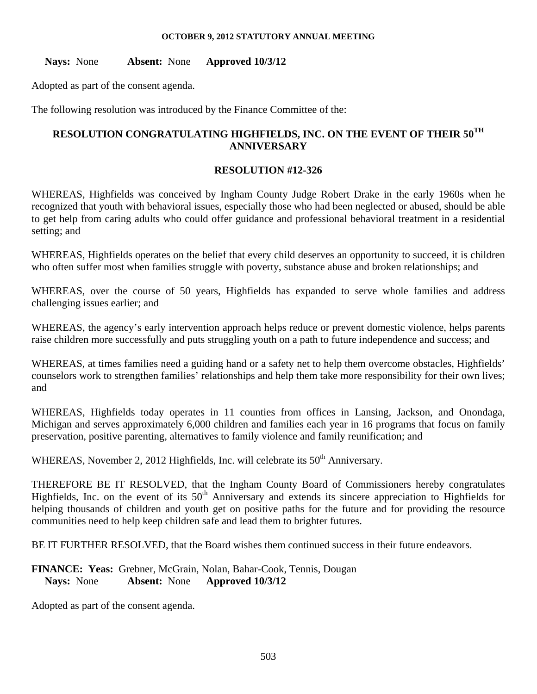**Nays:** None **Absent:** None **Approved 10/3/12** 

Adopted as part of the consent agenda.

The following resolution was introduced by the Finance Committee of the:

# **RESOLUTION CONGRATULATING HIGHFIELDS, INC. ON THE EVENT OF THEIR 50TH ANNIVERSARY**

### **RESOLUTION #12-326**

WHEREAS, Highfields was conceived by Ingham County Judge Robert Drake in the early 1960s when he recognized that youth with behavioral issues, especially those who had been neglected or abused, should be able to get help from caring adults who could offer guidance and professional behavioral treatment in a residential setting; and

WHEREAS, Highfields operates on the belief that every child deserves an opportunity to succeed, it is children who often suffer most when families struggle with poverty, substance abuse and broken relationships; and

WHEREAS, over the course of 50 years, Highfields has expanded to serve whole families and address challenging issues earlier; and

WHEREAS, the agency's early intervention approach helps reduce or prevent domestic violence, helps parents raise children more successfully and puts struggling youth on a path to future independence and success; and

WHEREAS, at times families need a guiding hand or a safety net to help them overcome obstacles, Highfields' counselors work to strengthen families' relationships and help them take more responsibility for their own lives; and

WHEREAS, Highfields today operates in 11 counties from offices in Lansing, Jackson, and Onondaga, Michigan and serves approximately 6,000 children and families each year in 16 programs that focus on family preservation, positive parenting, alternatives to family violence and family reunification; and

WHEREAS, November 2, 2012 Highfields, Inc. will celebrate its 50<sup>th</sup> Anniversary.

THEREFORE BE IT RESOLVED, that the Ingham County Board of Commissioners hereby congratulates Highfields, Inc. on the event of its  $50<sup>th</sup>$  Anniversary and extends its sincere appreciation to Highfields for helping thousands of children and youth get on positive paths for the future and for providing the resource communities need to help keep children safe and lead them to brighter futures.

BE IT FURTHER RESOLVED, that the Board wishes them continued success in their future endeavors.

**FINANCE: Yeas:** Grebner, McGrain, Nolan, Bahar-Cook, Tennis, Dougan  **Nays:** None **Absent:** None **Approved 10/3/12** 

Adopted as part of the consent agenda.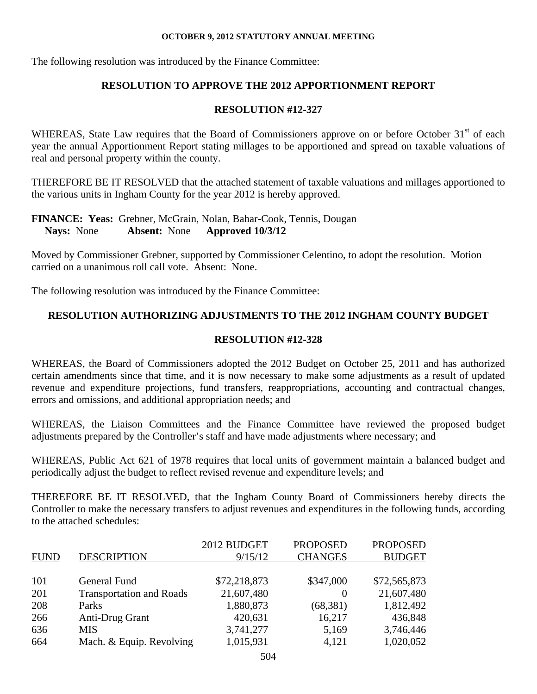The following resolution was introduced by the Finance Committee:

# **RESOLUTION TO APPROVE THE 2012 APPORTIONMENT REPORT**

# **RESOLUTION #12-327**

WHEREAS, State Law requires that the Board of Commissioners approve on or before October 31<sup>st</sup> of each year the annual Apportionment Report stating millages to be apportioned and spread on taxable valuations of real and personal property within the county.

THEREFORE BE IT RESOLVED that the attached statement of taxable valuations and millages apportioned to the various units in Ingham County for the year 2012 is hereby approved.

### **FINANCE: Yeas:** Grebner, McGrain, Nolan, Bahar-Cook, Tennis, Dougan  **Nays:** None **Absent:** None **Approved 10/3/12**

Moved by Commissioner Grebner, supported by Commissioner Celentino, to adopt the resolution. Motion carried on a unanimous roll call vote. Absent: None.

The following resolution was introduced by the Finance Committee:

# **RESOLUTION AUTHORIZING ADJUSTMENTS TO THE 2012 INGHAM COUNTY BUDGET**

### **RESOLUTION #12-328**

WHEREAS, the Board of Commissioners adopted the 2012 Budget on October 25, 2011 and has authorized certain amendments since that time, and it is now necessary to make some adjustments as a result of updated revenue and expenditure projections, fund transfers, reappropriations, accounting and contractual changes, errors and omissions, and additional appropriation needs; and

WHEREAS, the Liaison Committees and the Finance Committee have reviewed the proposed budget adjustments prepared by the Controller's staff and have made adjustments where necessary; and

WHEREAS, Public Act 621 of 1978 requires that local units of government maintain a balanced budget and periodically adjust the budget to reflect revised revenue and expenditure levels; and

THEREFORE BE IT RESOLVED, that the Ingham County Board of Commissioners hereby directs the Controller to make the necessary transfers to adjust revenues and expenditures in the following funds, according to the attached schedules:

|             |                                 | 2012 BUDGET  | <b>PROPOSED</b> | <b>PROPOSED</b> |
|-------------|---------------------------------|--------------|-----------------|-----------------|
| <b>FUND</b> | <b>DESCRIPTION</b>              | 9/15/12      | <b>CHANGES</b>  | <b>BUDGET</b>   |
|             |                                 |              |                 |                 |
| 101         | General Fund                    | \$72,218,873 | \$347,000       | \$72,565,873    |
| 201         | <b>Transportation and Roads</b> | 21,607,480   | $\theta$        | 21,607,480      |
| 208         | Parks                           | 1,880,873    | (68, 381)       | 1,812,492       |
| 266         | Anti-Drug Grant                 | 420,631      | 16,217          | 436,848         |
| 636         | <b>MIS</b>                      | 3,741,277    | 5,169           | 3,746,446       |
| 664         | Mach. & Equip. Revolving        | 1,015,931    | 4,121           | 1,020,052       |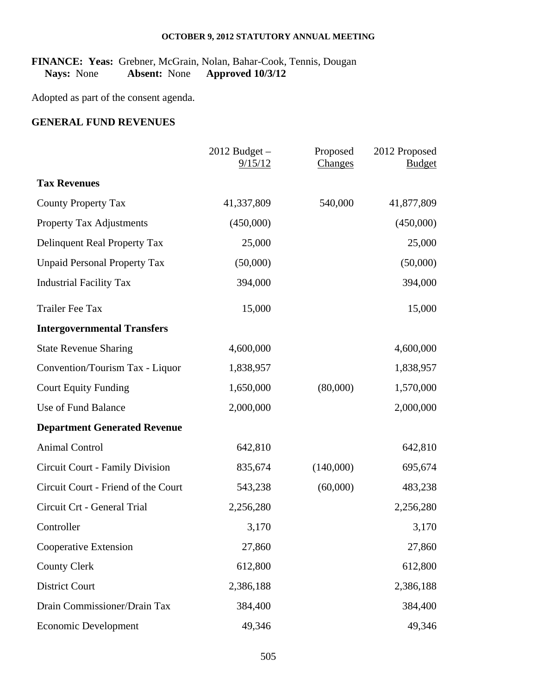### FINANCE: Yeas: Grebner, McGrain, Nolan, Bahar-Cook, Tennis, Dougan Nays: None Absent: None Approved 10/3/12  **Nays:** None **Absent:** None **Approved 10/3/12**

Adopted as part of the consent agenda.

### **GENERAL FUND REVENUES**

|                                        | $2012$ Budget $-$<br>9/15/12 | Proposed<br><b>Changes</b> | 2012 Proposed<br><b>Budget</b> |
|----------------------------------------|------------------------------|----------------------------|--------------------------------|
| <b>Tax Revenues</b>                    |                              |                            |                                |
| <b>County Property Tax</b>             | 41,337,809                   | 540,000                    | 41,877,809                     |
| Property Tax Adjustments               | (450,000)                    |                            | (450,000)                      |
| Delinquent Real Property Tax           | 25,000                       |                            | 25,000                         |
| <b>Unpaid Personal Property Tax</b>    | (50,000)                     |                            | (50,000)                       |
| <b>Industrial Facility Tax</b>         | 394,000                      |                            | 394,000                        |
| <b>Trailer Fee Tax</b>                 | 15,000                       |                            | 15,000                         |
| <b>Intergovernmental Transfers</b>     |                              |                            |                                |
| <b>State Revenue Sharing</b>           | 4,600,000                    |                            | 4,600,000                      |
| Convention/Tourism Tax - Liquor        | 1,838,957                    |                            | 1,838,957                      |
| <b>Court Equity Funding</b>            | 1,650,000                    | (80,000)                   | 1,570,000                      |
| Use of Fund Balance                    | 2,000,000                    |                            | 2,000,000                      |
| <b>Department Generated Revenue</b>    |                              |                            |                                |
| <b>Animal Control</b>                  | 642,810                      |                            | 642,810                        |
| <b>Circuit Court - Family Division</b> | 835,674                      | (140,000)                  | 695,674                        |
| Circuit Court - Friend of the Court    | 543,238                      | (60,000)                   | 483,238                        |
| Circuit Crt - General Trial            | 2,256,280                    |                            | 2,256,280                      |
| Controller                             | 3,170                        |                            | 3,170                          |
| Cooperative Extension                  | 27,860                       |                            | 27,860                         |
| <b>County Clerk</b>                    | 612,800                      |                            | 612,800                        |
| <b>District Court</b>                  | 2,386,188                    |                            | 2,386,188                      |
| Drain Commissioner/Drain Tax           | 384,400                      |                            | 384,400                        |
| <b>Economic Development</b>            | 49,346                       |                            | 49,346                         |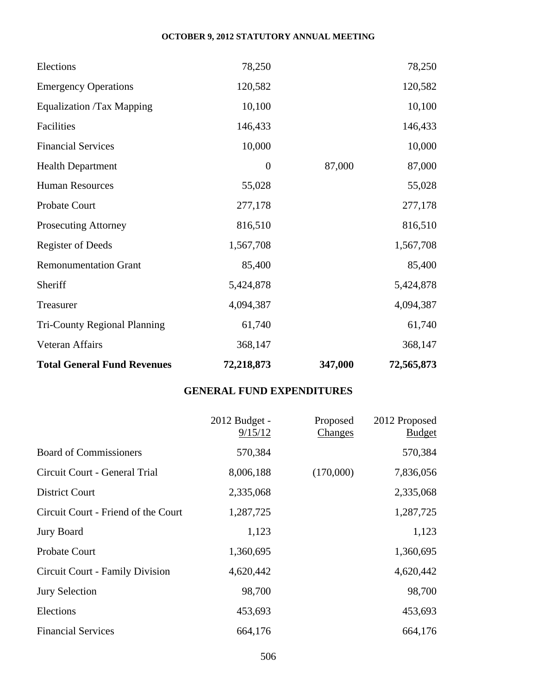| <b>Total General Fund Revenues</b>  | 72,218,873       | 347,000 | 72,565,873 |
|-------------------------------------|------------------|---------|------------|
| Veteran Affairs                     | 368,147          |         | 368,147    |
| <b>Tri-County Regional Planning</b> | 61,740           |         | 61,740     |
| Treasurer                           | 4,094,387        |         | 4,094,387  |
| Sheriff                             | 5,424,878        |         | 5,424,878  |
| <b>Remonumentation Grant</b>        | 85,400           |         | 85,400     |
| <b>Register of Deeds</b>            | 1,567,708        |         | 1,567,708  |
| <b>Prosecuting Attorney</b>         | 816,510          |         | 816,510    |
| Probate Court                       | 277,178          |         | 277,178    |
| <b>Human Resources</b>              | 55,028           |         | 55,028     |
| <b>Health Department</b>            | $\boldsymbol{0}$ | 87,000  | 87,000     |
| <b>Financial Services</b>           | 10,000           |         | 10,000     |
| Facilities                          | 146,433          |         | 146,433    |
| <b>Equalization /Tax Mapping</b>    | 10,100           |         | 10,100     |
| <b>Emergency Operations</b>         | 120,582          |         | 120,582    |
| Elections                           | 78,250           |         | 78,250     |

# **GENERAL FUND EXPENDITURES**

|                                     | 2012 Budget -<br>9/15/12 | Proposed<br>Changes | 2012 Proposed<br><b>Budget</b> |
|-------------------------------------|--------------------------|---------------------|--------------------------------|
| <b>Board of Commissioners</b>       | 570,384                  |                     | 570,384                        |
| Circuit Court - General Trial       | 8,006,188                | (170,000)           | 7,836,056                      |
| <b>District Court</b>               | 2,335,068                |                     | 2,335,068                      |
| Circuit Court - Friend of the Court | 1,287,725                |                     | 1,287,725                      |
| <b>Jury Board</b>                   | 1,123                    |                     | 1,123                          |
| Probate Court                       | 1,360,695                |                     | 1,360,695                      |
| Circuit Court - Family Division     | 4,620,442                |                     | 4,620,442                      |
| Jury Selection                      | 98,700                   |                     | 98,700                         |
| Elections                           | 453,693                  |                     | 453,693                        |
| <b>Financial Services</b>           | 664,176                  |                     | 664,176                        |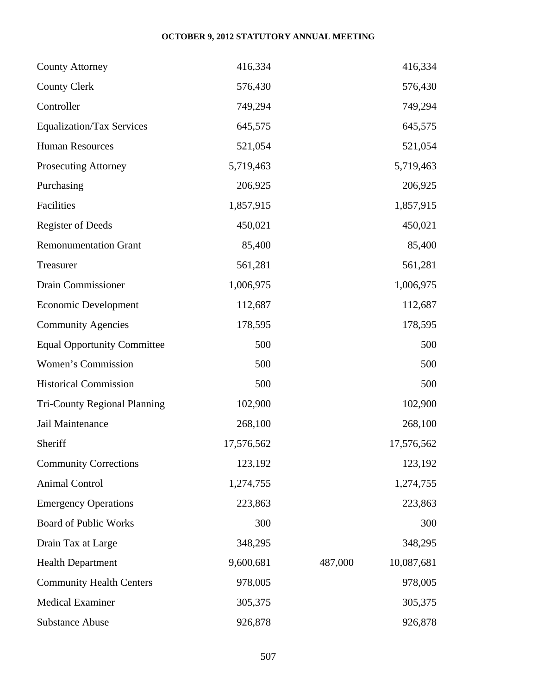| <b>County Attorney</b>              | 416,334    |         | 416,334    |
|-------------------------------------|------------|---------|------------|
| <b>County Clerk</b>                 | 576,430    |         | 576,430    |
| Controller                          | 749,294    |         | 749,294    |
| <b>Equalization/Tax Services</b>    | 645,575    |         | 645,575    |
| <b>Human Resources</b>              | 521,054    |         | 521,054    |
| Prosecuting Attorney                | 5,719,463  |         | 5,719,463  |
| Purchasing                          | 206,925    |         | 206,925    |
| Facilities                          | 1,857,915  |         | 1,857,915  |
| <b>Register of Deeds</b>            | 450,021    |         | 450,021    |
| <b>Remonumentation Grant</b>        | 85,400     |         | 85,400     |
| Treasurer                           | 561,281    |         | 561,281    |
| Drain Commissioner                  | 1,006,975  |         | 1,006,975  |
| <b>Economic Development</b>         | 112,687    |         | 112,687    |
| <b>Community Agencies</b>           | 178,595    |         | 178,595    |
| <b>Equal Opportunity Committee</b>  | 500        |         | 500        |
| Women's Commission                  | 500        |         | 500        |
| <b>Historical Commission</b>        | 500        |         | 500        |
| <b>Tri-County Regional Planning</b> | 102,900    |         | 102,900    |
| Jail Maintenance                    | 268,100    |         | 268,100    |
| Sheriff                             | 17,576,562 |         | 17,576,562 |
| <b>Community Corrections</b>        | 123,192    |         | 123,192    |
| <b>Animal Control</b>               | 1,274,755  |         | 1,274,755  |
| <b>Emergency Operations</b>         | 223,863    |         | 223,863    |
| <b>Board of Public Works</b>        | 300        |         | 300        |
| Drain Tax at Large                  | 348,295    |         | 348,295    |
| <b>Health Department</b>            | 9,600,681  | 487,000 | 10,087,681 |
| <b>Community Health Centers</b>     | 978,005    |         | 978,005    |
| <b>Medical Examiner</b>             | 305,375    |         | 305,375    |
| <b>Substance Abuse</b>              | 926,878    |         | 926,878    |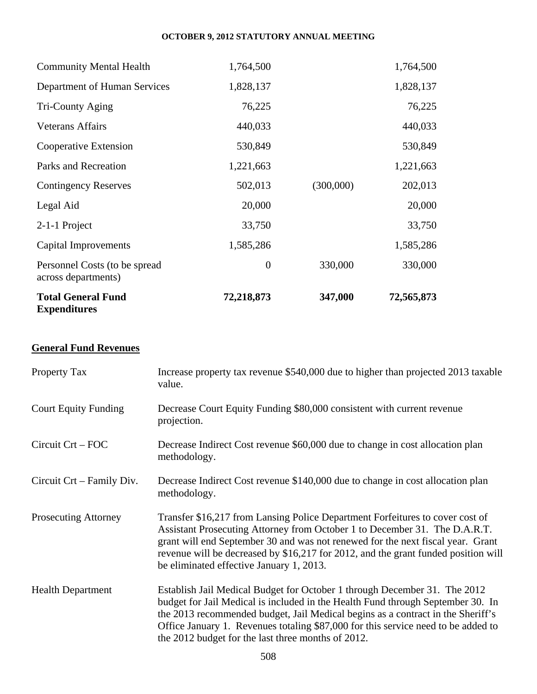| <b>Total General Fund</b><br><b>Expenditures</b>     | 72,218,873       | 347,000   | 72,565,873 |
|------------------------------------------------------|------------------|-----------|------------|
| Personnel Costs (to be spread<br>across departments) | $\boldsymbol{0}$ | 330,000   | 330,000    |
| Capital Improvements                                 | 1,585,286        |           | 1,585,286  |
| 2-1-1 Project                                        | 33,750           |           | 33,750     |
| Legal Aid                                            | 20,000           |           | 20,000     |
| <b>Contingency Reserves</b>                          | 502,013          | (300,000) | 202,013    |
| Parks and Recreation                                 | 1,221,663        |           | 1,221,663  |
| Cooperative Extension                                | 530,849          |           | 530,849    |
| Veterans Affairs                                     | 440,033          |           | 440,033    |
| Tri-County Aging                                     | 76,225           |           | 76,225     |
| Department of Human Services                         | 1,828,137        |           | 1,828,137  |
| <b>Community Mental Health</b>                       | 1,764,500        |           | 1,764,500  |

# **General Fund Revenues**

| Property Tax                | Increase property tax revenue \$540,000 due to higher than projected 2013 taxable<br>value.                                                                                                                                                                                                                                                                                                |
|-----------------------------|--------------------------------------------------------------------------------------------------------------------------------------------------------------------------------------------------------------------------------------------------------------------------------------------------------------------------------------------------------------------------------------------|
| <b>Court Equity Funding</b> | Decrease Court Equity Funding \$80,000 consistent with current revenue<br>projection.                                                                                                                                                                                                                                                                                                      |
| $Circuit$ $Crt$ – $FOC$     | Decrease Indirect Cost revenue \$60,000 due to change in cost allocation plan<br>methodology.                                                                                                                                                                                                                                                                                              |
| Circuit Crt – Family Div.   | Decrease Indirect Cost revenue \$140,000 due to change in cost allocation plan<br>methodology.                                                                                                                                                                                                                                                                                             |
| <b>Prosecuting Attorney</b> | Transfer \$16,217 from Lansing Police Department Forfeitures to cover cost of<br>Assistant Prosecuting Attorney from October 1 to December 31. The D.A.R.T.<br>grant will end September 30 and was not renewed for the next fiscal year. Grant<br>revenue will be decreased by \$16,217 for 2012, and the grant funded position will<br>be eliminated effective January 1, 2013.           |
| <b>Health Department</b>    | Establish Jail Medical Budget for October 1 through December 31. The 2012<br>budget for Jail Medical is included in the Health Fund through September 30. In<br>the 2013 recommended budget, Jail Medical begins as a contract in the Sheriff's<br>Office January 1. Revenues totaling \$87,000 for this service need to be added to<br>the 2012 budget for the last three months of 2012. |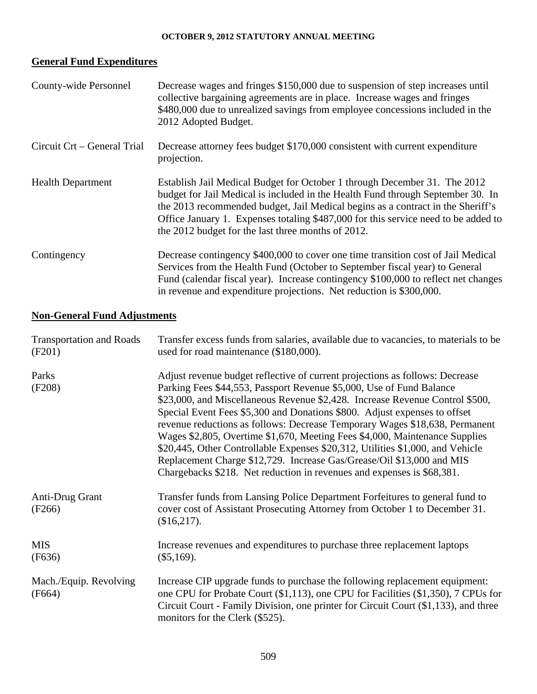# **General Fund Expenditures**

| County-wide Personnel       | Decrease wages and fringes \$150,000 due to suspension of step increases until<br>collective bargaining agreements are in place. Increase wages and fringes<br>\$480,000 due to unrealized savings from employee concessions included in the<br>2012 Adopted Budget.                                                                                                                        |
|-----------------------------|---------------------------------------------------------------------------------------------------------------------------------------------------------------------------------------------------------------------------------------------------------------------------------------------------------------------------------------------------------------------------------------------|
| Circuit Crt – General Trial | Decrease attorney fees budget \$170,000 consistent with current expenditure<br>projection.                                                                                                                                                                                                                                                                                                  |
| <b>Health Department</b>    | Establish Jail Medical Budget for October 1 through December 31. The 2012<br>budget for Jail Medical is included in the Health Fund through September 30. In<br>the 2013 recommended budget, Jail Medical begins as a contract in the Sheriff's<br>Office January 1. Expenses totaling \$487,000 for this service need to be added to<br>the 2012 budget for the last three months of 2012. |
| Contingency                 | Decrease contingency \$400,000 to cover one time transition cost of Jail Medical<br>Services from the Health Fund (October to September fiscal year) to General<br>Fund (calendar fiscal year). Increase contingency \$100,000 to reflect net changes<br>in revenue and expenditure projections. Net reduction is \$300,000.                                                                |

# **Non-General Fund Adjustments**

| <b>Transportation and Roads</b><br>(F201) | Transfer excess funds from salaries, available due to vacancies, to materials to be<br>used for road maintenance (\$180,000).                                                                                                                                                                                                                                                                                                                                                                                                                                                                                                                                                                                        |
|-------------------------------------------|----------------------------------------------------------------------------------------------------------------------------------------------------------------------------------------------------------------------------------------------------------------------------------------------------------------------------------------------------------------------------------------------------------------------------------------------------------------------------------------------------------------------------------------------------------------------------------------------------------------------------------------------------------------------------------------------------------------------|
| Parks<br>(F208)                           | Adjust revenue budget reflective of current projections as follows: Decrease<br>Parking Fees \$44,553, Passport Revenue \$5,000, Use of Fund Balance<br>\$23,000, and Miscellaneous Revenue \$2,428. Increase Revenue Control \$500,<br>Special Event Fees \$5,300 and Donations \$800. Adjust expenses to offset<br>revenue reductions as follows: Decrease Temporary Wages \$18,638, Permanent<br>Wages \$2,805, Overtime \$1,670, Meeting Fees \$4,000, Maintenance Supplies<br>\$20,445, Other Controllable Expenses \$20,312, Utilities \$1,000, and Vehicle<br>Replacement Charge \$12,729. Increase Gas/Grease/Oil \$13,000 and MIS<br>Chargebacks \$218. Net reduction in revenues and expenses is \$68,381. |
| Anti-Drug Grant<br>(F266)                 | Transfer funds from Lansing Police Department Forfeitures to general fund to<br>cover cost of Assistant Prosecuting Attorney from October 1 to December 31.<br>$($16,217)$ .                                                                                                                                                                                                                                                                                                                                                                                                                                                                                                                                         |
| <b>MIS</b><br>(F636)                      | Increase revenues and expenditures to purchase three replacement laptops<br>(\$5,169).                                                                                                                                                                                                                                                                                                                                                                                                                                                                                                                                                                                                                               |
| Mach./Equip. Revolving<br>(F664)          | Increase CIP upgrade funds to purchase the following replacement equipment:<br>one CPU for Probate Court (\$1,113), one CPU for Facilities (\$1,350), 7 CPUs for<br>Circuit Court - Family Division, one printer for Circuit Court (\$1,133), and three<br>monitors for the Clerk (\$525).                                                                                                                                                                                                                                                                                                                                                                                                                           |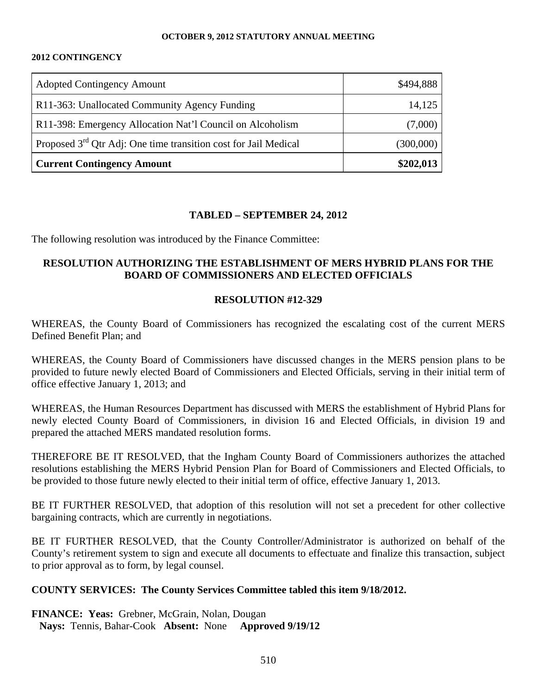#### **2012 CONTINGENCY**

| <b>Adopted Contingency Amount</b>                                 | \$494,888 |
|-------------------------------------------------------------------|-----------|
| R11-363: Unallocated Community Agency Funding                     | 14,125    |
| R11-398: Emergency Allocation Nat'l Council on Alcoholism         | (7,000)   |
| Proposed $3rd$ Qtr Adj: One time transition cost for Jail Medical | (300,000) |
| <b>Current Contingency Amount</b>                                 | \$202,013 |

### **TABLED – SEPTEMBER 24, 2012**

The following resolution was introduced by the Finance Committee:

### **RESOLUTION AUTHORIZING THE ESTABLISHMENT OF MERS HYBRID PLANS FOR THE BOARD OF COMMISSIONERS AND ELECTED OFFICIALS**

### **RESOLUTION #12-329**

WHEREAS, the County Board of Commissioners has recognized the escalating cost of the current MERS Defined Benefit Plan; and

WHEREAS, the County Board of Commissioners have discussed changes in the MERS pension plans to be provided to future newly elected Board of Commissioners and Elected Officials, serving in their initial term of office effective January 1, 2013; and

WHEREAS, the Human Resources Department has discussed with MERS the establishment of Hybrid Plans for newly elected County Board of Commissioners, in division 16 and Elected Officials, in division 19 and prepared the attached MERS mandated resolution forms.

THEREFORE BE IT RESOLVED, that the Ingham County Board of Commissioners authorizes the attached resolutions establishing the MERS Hybrid Pension Plan for Board of Commissioners and Elected Officials, to be provided to those future newly elected to their initial term of office, effective January 1, 2013.

BE IT FURTHER RESOLVED, that adoption of this resolution will not set a precedent for other collective bargaining contracts, which are currently in negotiations.

BE IT FURTHER RESOLVED, that the County Controller/Administrator is authorized on behalf of the County's retirement system to sign and execute all documents to effectuate and finalize this transaction, subject to prior approval as to form, by legal counsel.

### **COUNTY SERVICES: The County Services Committee tabled this item 9/18/2012.**

**FINANCE: Yeas:** Grebner, McGrain, Nolan, Dougan **Nays:** Tennis, Bahar-Cook **Absent:** None **Approved 9/19/12**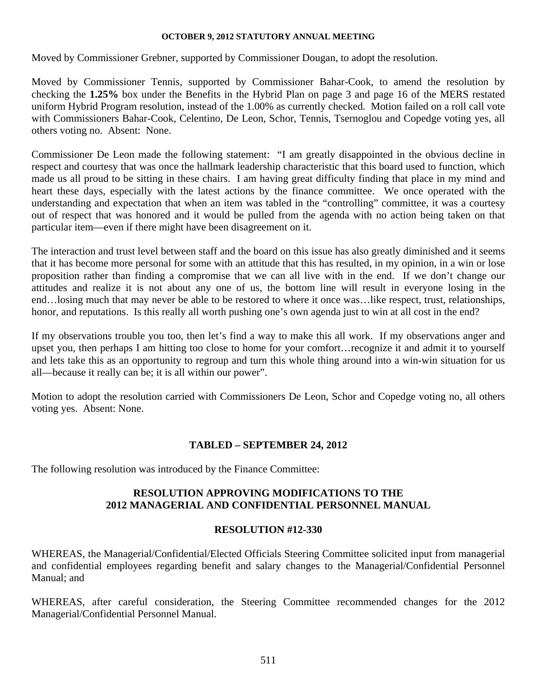Moved by Commissioner Grebner, supported by Commissioner Dougan, to adopt the resolution.

Moved by Commissioner Tennis, supported by Commissioner Bahar-Cook, to amend the resolution by checking the **1.25%** box under the Benefits in the Hybrid Plan on page 3 and page 16 of the MERS restated uniform Hybrid Program resolution, instead of the 1.00% as currently checked. Motion failed on a roll call vote with Commissioners Bahar-Cook, Celentino, De Leon, Schor, Tennis, Tsernoglou and Copedge voting yes, all others voting no. Absent: None.

Commissioner De Leon made the following statement: "I am greatly disappointed in the obvious decline in respect and courtesy that was once the hallmark leadership characteristic that this board used to function, which made us all proud to be sitting in these chairs. I am having great difficulty finding that place in my mind and heart these days, especially with the latest actions by the finance committee. We once operated with the understanding and expectation that when an item was tabled in the "controlling" committee, it was a courtesy out of respect that was honored and it would be pulled from the agenda with no action being taken on that particular item—even if there might have been disagreement on it.

The interaction and trust level between staff and the board on this issue has also greatly diminished and it seems that it has become more personal for some with an attitude that this has resulted, in my opinion, in a win or lose proposition rather than finding a compromise that we can all live with in the end. If we don't change our attitudes and realize it is not about any one of us, the bottom line will result in everyone losing in the end…losing much that may never be able to be restored to where it once was…like respect, trust, relationships, honor, and reputations. Is this really all worth pushing one's own agenda just to win at all cost in the end?

If my observations trouble you too, then let's find a way to make this all work. If my observations anger and upset you, then perhaps I am hitting too close to home for your comfort…recognize it and admit it to yourself and lets take this as an opportunity to regroup and turn this whole thing around into a win-win situation for us all—because it really can be; it is all within our power".

Motion to adopt the resolution carried with Commissioners De Leon, Schor and Copedge voting no, all others voting yes. Absent: None.

### **TABLED – SEPTEMBER 24, 2012**

The following resolution was introduced by the Finance Committee:

### **RESOLUTION APPROVING MODIFICATIONS TO THE 2012 MANAGERIAL AND CONFIDENTIAL PERSONNEL MANUAL**

### **RESOLUTION #12-330**

WHEREAS, the Managerial/Confidential/Elected Officials Steering Committee solicited input from managerial and confidential employees regarding benefit and salary changes to the Managerial/Confidential Personnel Manual; and

WHEREAS, after careful consideration, the Steering Committee recommended changes for the 2012 Managerial/Confidential Personnel Manual.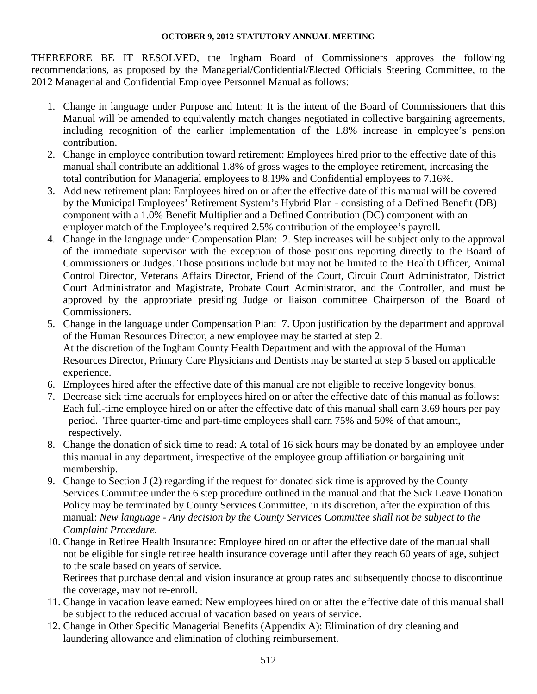THEREFORE BE IT RESOLVED, the Ingham Board of Commissioners approves the following recommendations, as proposed by the Managerial/Confidential/Elected Officials Steering Committee, to the 2012 Managerial and Confidential Employee Personnel Manual as follows:

- 1. Change in language under Purpose and Intent: It is the intent of the Board of Commissioners that this Manual will be amended to equivalently match changes negotiated in collective bargaining agreements, including recognition of the earlier implementation of the 1.8% increase in employee's pension contribution.
- 2. Change in employee contribution toward retirement: Employees hired prior to the effective date of this manual shall contribute an additional 1.8% of gross wages to the employee retirement, increasing the total contribution for Managerial employees to 8.19% and Confidential employees to 7.16%.
- 3. Add new retirement plan: Employees hired on or after the effective date of this manual will be covered by the Municipal Employees' Retirement System's Hybrid Plan - consisting of a Defined Benefit (DB) component with a 1.0% Benefit Multiplier and a Defined Contribution (DC) component with an employer match of the Employee's required 2.5% contribution of the employee's payroll.
- 4. Change in the language under Compensation Plan: 2. Step increases will be subject only to the approval of the immediate supervisor with the exception of those positions reporting directly to the Board of Commissioners or Judges. Those positions include but may not be limited to the Health Officer, Animal Control Director, Veterans Affairs Director, Friend of the Court, Circuit Court Administrator, District Court Administrator and Magistrate, Probate Court Administrator, and the Controller, and must be approved by the appropriate presiding Judge or liaison committee Chairperson of the Board of Commissioners.
- 5. Change in the language under Compensation Plan: 7. Upon justification by the department and approval of the Human Resources Director, a new employee may be started at step 2. At the discretion of the Ingham County Health Department and with the approval of the Human Resources Director, Primary Care Physicians and Dentists may be started at step 5 based on applicable experience.
- 6. Employees hired after the effective date of this manual are not eligible to receive longevity bonus.
- 7. Decrease sick time accruals for employees hired on or after the effective date of this manual as follows: Each full-time employee hired on or after the effective date of this manual shall earn 3.69 hours per pay period. Three quarter-time and part-time employees shall earn 75% and 50% of that amount, respectively.
- 8. Change the donation of sick time to read: A total of 16 sick hours may be donated by an employee under this manual in any department, irrespective of the employee group affiliation or bargaining unit membership.
- 9. Change to Section J (2) regarding if the request for donated sick time is approved by the County Services Committee under the 6 step procedure outlined in the manual and that the Sick Leave Donation Policy may be terminated by County Services Committee, in its discretion, after the expiration of this manual: *New language - Any decision by the County Services Committee shall not be subject to the Complaint Procedure.*
- 10. Change in Retiree Health Insurance: Employee hired on or after the effective date of the manual shall not be eligible for single retiree health insurance coverage until after they reach 60 years of age, subject to the scale based on years of service.

Retirees that purchase dental and vision insurance at group rates and subsequently choose to discontinue the coverage, may not re-enroll.

- 11. Change in vacation leave earned: New employees hired on or after the effective date of this manual shall be subject to the reduced accrual of vacation based on years of service.
- 12. Change in Other Specific Managerial Benefits (Appendix A): Elimination of dry cleaning and laundering allowance and elimination of clothing reimbursement.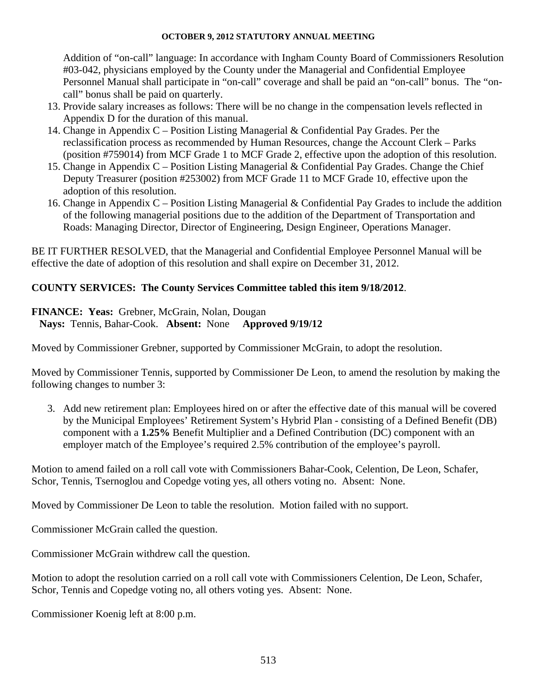Addition of "on-call" language: In accordance with Ingham County Board of Commissioners Resolution #03-042, physicians employed by the County under the Managerial and Confidential Employee Personnel Manual shall participate in "on-call" coverage and shall be paid an "on-call" bonus. The "oncall" bonus shall be paid on quarterly.

- 13. Provide salary increases as follows: There will be no change in the compensation levels reflected in Appendix D for the duration of this manual.
- 14. Change in Appendix C Position Listing Managerial & Confidential Pay Grades. Per the reclassification process as recommended by Human Resources, change the Account Clerk – Parks (position #759014) from MCF Grade 1 to MCF Grade 2, effective upon the adoption of this resolution.
- 15. Change in Appendix C Position Listing Managerial & Confidential Pay Grades. Change the Chief Deputy Treasurer (position #253002) from MCF Grade 11 to MCF Grade 10, effective upon the adoption of this resolution.
- 16. Change in Appendix C Position Listing Managerial & Confidential Pay Grades to include the addition of the following managerial positions due to the addition of the Department of Transportation and Roads: Managing Director, Director of Engineering, Design Engineer, Operations Manager.

BE IT FURTHER RESOLVED, that the Managerial and Confidential Employee Personnel Manual will be effective the date of adoption of this resolution and shall expire on December 31, 2012.

### **COUNTY SERVICES: The County Services Committee tabled this item 9/18/2012**.

**FINANCE: Yeas:** Grebner, McGrain, Nolan, Dougan **Nays:** Tennis, Bahar-Cook. **Absent:** None **Approved 9/19/12** 

Moved by Commissioner Grebner, supported by Commissioner McGrain, to adopt the resolution.

Moved by Commissioner Tennis, supported by Commissioner De Leon, to amend the resolution by making the following changes to number 3:

3. Add new retirement plan: Employees hired on or after the effective date of this manual will be covered by the Municipal Employees' Retirement System's Hybrid Plan - consisting of a Defined Benefit (DB) component with a **1.25%** Benefit Multiplier and a Defined Contribution (DC) component with an employer match of the Employee's required 2.5% contribution of the employee's payroll.

Motion to amend failed on a roll call vote with Commissioners Bahar-Cook, Celention, De Leon, Schafer, Schor, Tennis, Tsernoglou and Copedge voting yes, all others voting no. Absent: None.

Moved by Commissioner De Leon to table the resolution. Motion failed with no support.

Commissioner McGrain called the question.

Commissioner McGrain withdrew call the question.

Motion to adopt the resolution carried on a roll call vote with Commissioners Celention, De Leon, Schafer, Schor, Tennis and Copedge voting no, all others voting yes. Absent: None.

Commissioner Koenig left at 8:00 p.m.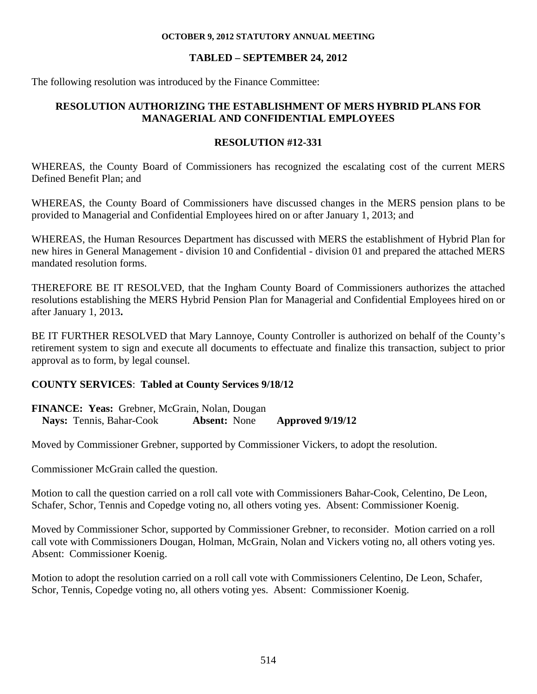### **TABLED – SEPTEMBER 24, 2012**

The following resolution was introduced by the Finance Committee:

### **RESOLUTION AUTHORIZING THE ESTABLISHMENT OF MERS HYBRID PLANS FOR MANAGERIAL AND CONFIDENTIAL EMPLOYEES**

### **RESOLUTION #12-331**

WHEREAS, the County Board of Commissioners has recognized the escalating cost of the current MERS Defined Benefit Plan; and

WHEREAS, the County Board of Commissioners have discussed changes in the MERS pension plans to be provided to Managerial and Confidential Employees hired on or after January 1, 2013; and

WHEREAS, the Human Resources Department has discussed with MERS the establishment of Hybrid Plan for new hires in General Management - division 10 and Confidential - division 01 and prepared the attached MERS mandated resolution forms.

THEREFORE BE IT RESOLVED, that the Ingham County Board of Commissioners authorizes the attached resolutions establishing the MERS Hybrid Pension Plan for Managerial and Confidential Employees hired on or after January 1, 2013**.**

BE IT FURTHER RESOLVED that Mary Lannoye, County Controller is authorized on behalf of the County's retirement system to sign and execute all documents to effectuate and finalize this transaction, subject to prior approval as to form, by legal counsel.

### **COUNTY SERVICES**: **Tabled at County Services 9/18/12**

**FINANCE: Yeas:** Grebner, McGrain, Nolan, Dougan **Nays:** Tennis, Bahar-Cook **Absent:** None **Approved 9/19/12** 

Moved by Commissioner Grebner, supported by Commissioner Vickers, to adopt the resolution.

Commissioner McGrain called the question.

Motion to call the question carried on a roll call vote with Commissioners Bahar-Cook, Celentino, De Leon, Schafer, Schor, Tennis and Copedge voting no, all others voting yes. Absent: Commissioner Koenig.

Moved by Commissioner Schor, supported by Commissioner Grebner, to reconsider. Motion carried on a roll call vote with Commissioners Dougan, Holman, McGrain, Nolan and Vickers voting no, all others voting yes. Absent: Commissioner Koenig.

Motion to adopt the resolution carried on a roll call vote with Commissioners Celentino, De Leon, Schafer, Schor, Tennis, Copedge voting no, all others voting yes. Absent: Commissioner Koenig.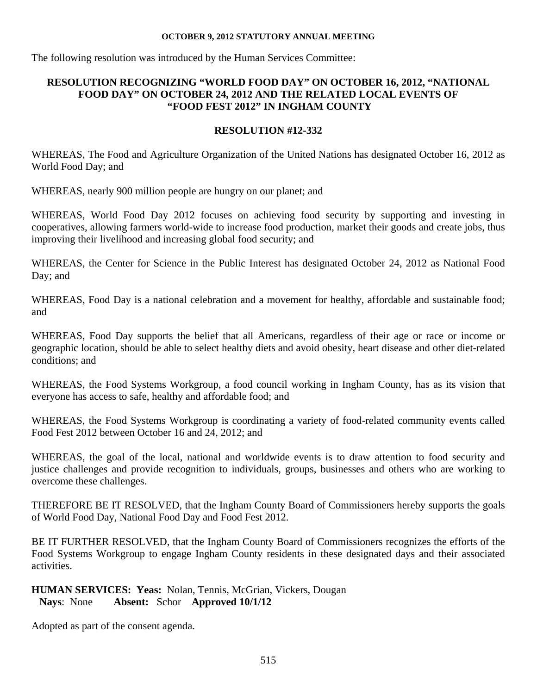The following resolution was introduced by the Human Services Committee:

## **RESOLUTION RECOGNIZING "WORLD FOOD DAY" ON OCTOBER 16, 2012, "NATIONAL FOOD DAY" ON OCTOBER 24, 2012 AND THE RELATED LOCAL EVENTS OF "FOOD FEST 2012" IN INGHAM COUNTY**

# **RESOLUTION #12-332**

WHEREAS, The Food and Agriculture Organization of the United Nations has designated October 16, 2012 as World Food Day; and

WHEREAS, nearly 900 million people are hungry on our planet; and

WHEREAS, World Food Day 2012 focuses on achieving food security by supporting and investing in cooperatives, allowing farmers world-wide to increase food production, market their goods and create jobs, thus improving their livelihood and increasing global food security; and

WHEREAS, the Center for Science in the Public Interest has designated October 24, 2012 as National Food Day; and

WHEREAS, Food Day is a national celebration and a movement for healthy, affordable and sustainable food; and

WHEREAS, Food Day supports the belief that all Americans, regardless of their age or race or income or geographic location, should be able to select healthy diets and avoid obesity, heart disease and other diet-related conditions; and

WHEREAS, the Food Systems Workgroup, a food council working in Ingham County, has as its vision that everyone has access to safe, healthy and affordable food; and

WHEREAS, the Food Systems Workgroup is coordinating a variety of food-related community events called Food Fest 2012 between October 16 and 24, 2012; and

WHEREAS, the goal of the local, national and worldwide events is to draw attention to food security and justice challenges and provide recognition to individuals, groups, businesses and others who are working to overcome these challenges.

THEREFORE BE IT RESOLVED, that the Ingham County Board of Commissioners hereby supports the goals of World Food Day, National Food Day and Food Fest 2012.

BE IT FURTHER RESOLVED, that the Ingham County Board of Commissioners recognizes the efforts of the Food Systems Workgroup to engage Ingham County residents in these designated days and their associated activities.

### **HUMAN SERVICES: Yeas:** Nolan, Tennis, McGrian, Vickers, Dougan **Nays**: None **Absent:** Schor **Approved 10/1/12**

Adopted as part of the consent agenda.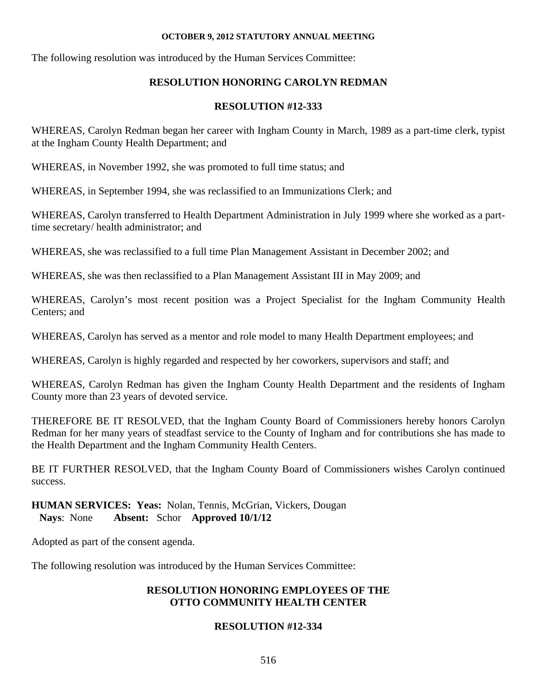The following resolution was introduced by the Human Services Committee:

# **RESOLUTION HONORING CAROLYN REDMAN**

## **RESOLUTION #12-333**

WHEREAS, Carolyn Redman began her career with Ingham County in March, 1989 as a part-time clerk, typist at the Ingham County Health Department; and

WHEREAS, in November 1992, she was promoted to full time status; and

WHEREAS, in September 1994, she was reclassified to an Immunizations Clerk; and

WHEREAS, Carolyn transferred to Health Department Administration in July 1999 where she worked as a parttime secretary/ health administrator; and

WHEREAS, she was reclassified to a full time Plan Management Assistant in December 2002; and

WHEREAS, she was then reclassified to a Plan Management Assistant III in May 2009; and

WHEREAS, Carolyn's most recent position was a Project Specialist for the Ingham Community Health Centers; and

WHEREAS, Carolyn has served as a mentor and role model to many Health Department employees; and

WHEREAS, Carolyn is highly regarded and respected by her coworkers, supervisors and staff; and

WHEREAS, Carolyn Redman has given the Ingham County Health Department and the residents of Ingham County more than 23 years of devoted service.

THEREFORE BE IT RESOLVED, that the Ingham County Board of Commissioners hereby honors Carolyn Redman for her many years of steadfast service to the County of Ingham and for contributions she has made to the Health Department and the Ingham Community Health Centers.

BE IT FURTHER RESOLVED, that the Ingham County Board of Commissioners wishes Carolyn continued success.

**HUMAN SERVICES: Yeas:** Nolan, Tennis, McGrian, Vickers, Dougan **Nays**: None **Absent:** Schor **Approved 10/1/12** 

Adopted as part of the consent agenda.

The following resolution was introduced by the Human Services Committee:

# **RESOLUTION HONORING EMPLOYEES OF THE OTTO COMMUNITY HEALTH CENTER**

# **RESOLUTION #12-334**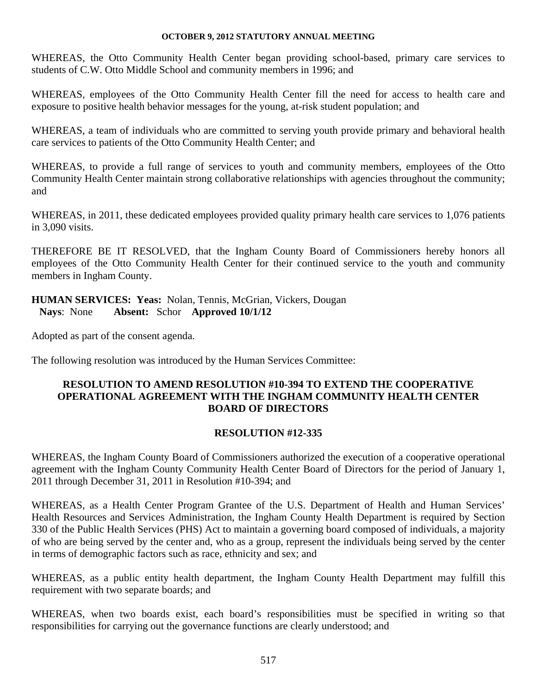WHEREAS, the Otto Community Health Center began providing school-based, primary care services to students of C.W. Otto Middle School and community members in 1996; and

WHEREAS, employees of the Otto Community Health Center fill the need for access to health care and exposure to positive health behavior messages for the young, at-risk student population; and

WHEREAS, a team of individuals who are committed to serving youth provide primary and behavioral health care services to patients of the Otto Community Health Center; and

WHEREAS, to provide a full range of services to youth and community members, employees of the Otto Community Health Center maintain strong collaborative relationships with agencies throughout the community; and

WHEREAS, in 2011, these dedicated employees provided quality primary health care services to 1,076 patients in 3,090 visits.

THEREFORE BE IT RESOLVED, that the Ingham County Board of Commissioners hereby honors all employees of the Otto Community Health Center for their continued service to the youth and community members in Ingham County.

### **HUMAN SERVICES: Yeas:** Nolan, Tennis, McGrian, Vickers, Dougan **Nays**: None **Absent:** Schor **Approved 10/1/12**

Adopted as part of the consent agenda.

The following resolution was introduced by the Human Services Committee:

### **RESOLUTION TO AMEND RESOLUTION #10-394 TO EXTEND THE COOPERATIVE OPERATIONAL AGREEMENT WITH THE INGHAM COMMUNITY HEALTH CENTER BOARD OF DIRECTORS**

### **RESOLUTION #12-335**

WHEREAS, the Ingham County Board of Commissioners authorized the execution of a cooperative operational agreement with the Ingham County Community Health Center Board of Directors for the period of January 1, 2011 through December 31, 2011 in Resolution #10-394; and

WHEREAS, as a Health Center Program Grantee of the U.S. Department of Health and Human Services' Health Resources and Services Administration, the Ingham County Health Department is required by Section 330 of the Public Health Services (PHS) Act to maintain a governing board composed of individuals, a majority of who are being served by the center and, who as a group, represent the individuals being served by the center in terms of demographic factors such as race, ethnicity and sex; and

WHEREAS, as a public entity health department, the Ingham County Health Department may fulfill this requirement with two separate boards; and

WHEREAS, when two boards exist, each board's responsibilities must be specified in writing so that responsibilities for carrying out the governance functions are clearly understood; and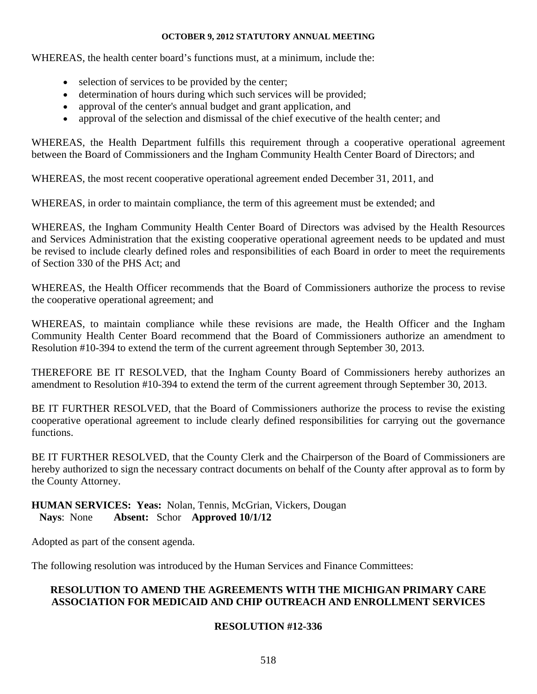WHEREAS, the health center board's functions must, at a minimum, include the:

- selection of services to be provided by the center;
- determination of hours during which such services will be provided;
- approval of the center's annual budget and grant application, and
- approval of the selection and dismissal of the chief executive of the health center; and

WHEREAS, the Health Department fulfills this requirement through a cooperative operational agreement between the Board of Commissioners and the Ingham Community Health Center Board of Directors; and

WHEREAS, the most recent cooperative operational agreement ended December 31, 2011, and

WHEREAS, in order to maintain compliance, the term of this agreement must be extended; and

WHEREAS, the Ingham Community Health Center Board of Directors was advised by the Health Resources and Services Administration that the existing cooperative operational agreement needs to be updated and must be revised to include clearly defined roles and responsibilities of each Board in order to meet the requirements of Section 330 of the PHS Act; and

WHEREAS, the Health Officer recommends that the Board of Commissioners authorize the process to revise the cooperative operational agreement; and

WHEREAS, to maintain compliance while these revisions are made, the Health Officer and the Ingham Community Health Center Board recommend that the Board of Commissioners authorize an amendment to Resolution #10-394 to extend the term of the current agreement through September 30, 2013.

THEREFORE BE IT RESOLVED, that the Ingham County Board of Commissioners hereby authorizes an amendment to Resolution #10-394 to extend the term of the current agreement through September 30, 2013.

BE IT FURTHER RESOLVED, that the Board of Commissioners authorize the process to revise the existing cooperative operational agreement to include clearly defined responsibilities for carrying out the governance functions.

BE IT FURTHER RESOLVED, that the County Clerk and the Chairperson of the Board of Commissioners are hereby authorized to sign the necessary contract documents on behalf of the County after approval as to form by the County Attorney.

### **HUMAN SERVICES: Yeas:** Nolan, Tennis, McGrian, Vickers, Dougan **Nays**: None **Absent:** Schor **Approved 10/1/12**

Adopted as part of the consent agenda.

The following resolution was introduced by the Human Services and Finance Committees:

### **RESOLUTION TO AMEND THE AGREEMENTS WITH THE MICHIGAN PRIMARY CARE ASSOCIATION FOR MEDICAID AND CHIP OUTREACH AND ENROLLMENT SERVICES**

### **RESOLUTION #12-336**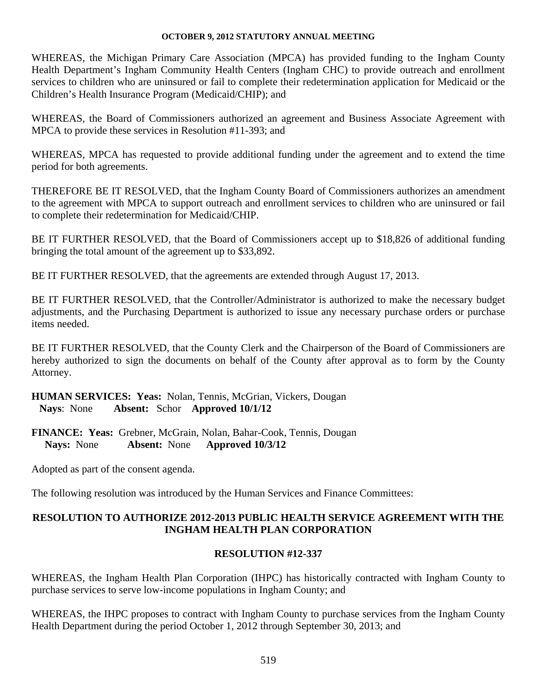WHEREAS, the Michigan Primary Care Association (MPCA) has provided funding to the Ingham County Health Department's Ingham Community Health Centers (Ingham CHC) to provide outreach and enrollment services to children who are uninsured or fail to complete their redetermination application for Medicaid or the Children's Health Insurance Program (Medicaid/CHIP); and

WHEREAS, the Board of Commissioners authorized an agreement and Business Associate Agreement with MPCA to provide these services in Resolution #11-393; and

WHEREAS, MPCA has requested to provide additional funding under the agreement and to extend the time period for both agreements.

THEREFORE BE IT RESOLVED, that the Ingham County Board of Commissioners authorizes an amendment to the agreement with MPCA to support outreach and enrollment services to children who are uninsured or fail to complete their redetermination for Medicaid/CHIP.

BE IT FURTHER RESOLVED, that the Board of Commissioners accept up to \$18,826 of additional funding bringing the total amount of the agreement up to \$33,892.

BE IT FURTHER RESOLVED, that the agreements are extended through August 17, 2013.

BE IT FURTHER RESOLVED, that the Controller/Administrator is authorized to make the necessary budget adjustments, and the Purchasing Department is authorized to issue any necessary purchase orders or purchase items needed.

BE IT FURTHER RESOLVED, that the County Clerk and the Chairperson of the Board of Commissioners are hereby authorized to sign the documents on behalf of the County after approval as to form by the County Attorney.

**HUMAN SERVICES: Yeas:** Nolan, Tennis, McGrian, Vickers, Dougan **Nays**: None **Absent:** Schor **Approved 10/1/12** 

**FINANCE: Yeas:** Grebner, McGrain, Nolan, Bahar-Cook, Tennis, Dougan  **Nays:** None **Absent:** None **Approved 10/3/12** 

Adopted as part of the consent agenda.

The following resolution was introduced by the Human Services and Finance Committees:

### **RESOLUTION TO AUTHORIZE 2012-2013 PUBLIC HEALTH SERVICE AGREEMENT WITH THE INGHAM HEALTH PLAN CORPORATION**

### **RESOLUTION #12-337**

WHEREAS, the Ingham Health Plan Corporation (IHPC) has historically contracted with Ingham County to purchase services to serve low-income populations in Ingham County; and

WHEREAS, the IHPC proposes to contract with Ingham County to purchase services from the Ingham County Health Department during the period October 1, 2012 through September 30, 2013; and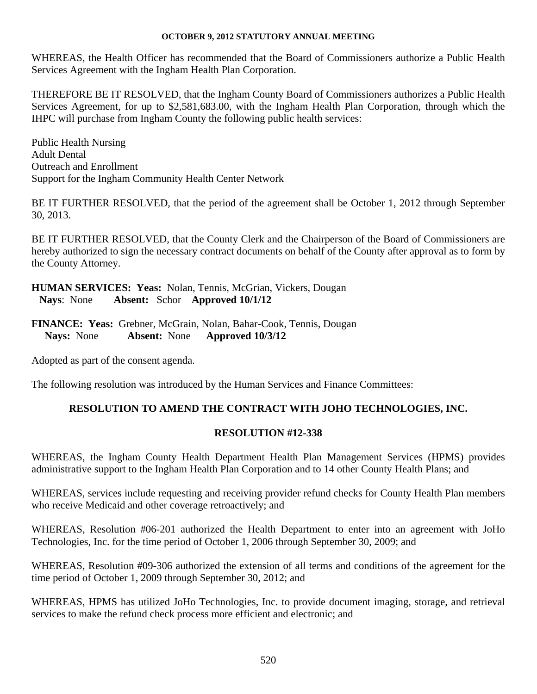WHEREAS, the Health Officer has recommended that the Board of Commissioners authorize a Public Health Services Agreement with the Ingham Health Plan Corporation.

THEREFORE BE IT RESOLVED, that the Ingham County Board of Commissioners authorizes a Public Health Services Agreement, for up to \$2,581,683.00, with the Ingham Health Plan Corporation, through which the IHPC will purchase from Ingham County the following public health services:

Public Health Nursing Adult Dental Outreach and Enrollment Support for the Ingham Community Health Center Network

BE IT FURTHER RESOLVED, that the period of the agreement shall be October 1, 2012 through September 30, 2013.

BE IT FURTHER RESOLVED, that the County Clerk and the Chairperson of the Board of Commissioners are hereby authorized to sign the necessary contract documents on behalf of the County after approval as to form by the County Attorney.

**HUMAN SERVICES: Yeas:** Nolan, Tennis, McGrian, Vickers, Dougan **Nays**: None **Absent:** Schor **Approved 10/1/12** 

**FINANCE: Yeas:** Grebner, McGrain, Nolan, Bahar-Cook, Tennis, Dougan  **Nays:** None **Absent:** None **Approved 10/3/12** 

Adopted as part of the consent agenda.

The following resolution was introduced by the Human Services and Finance Committees:

### **RESOLUTION TO AMEND THE CONTRACT WITH JOHO TECHNOLOGIES, INC.**

### **RESOLUTION #12-338**

WHEREAS, the Ingham County Health Department Health Plan Management Services (HPMS) provides administrative support to the Ingham Health Plan Corporation and to 14 other County Health Plans; and

WHEREAS, services include requesting and receiving provider refund checks for County Health Plan members who receive Medicaid and other coverage retroactively; and

WHEREAS, Resolution #06-201 authorized the Health Department to enter into an agreement with JoHo Technologies, Inc. for the time period of October 1, 2006 through September 30, 2009; and

WHEREAS, Resolution #09-306 authorized the extension of all terms and conditions of the agreement for the time period of October 1, 2009 through September 30, 2012; and

WHEREAS, HPMS has utilized JoHo Technologies, Inc. to provide document imaging, storage, and retrieval services to make the refund check process more efficient and electronic; and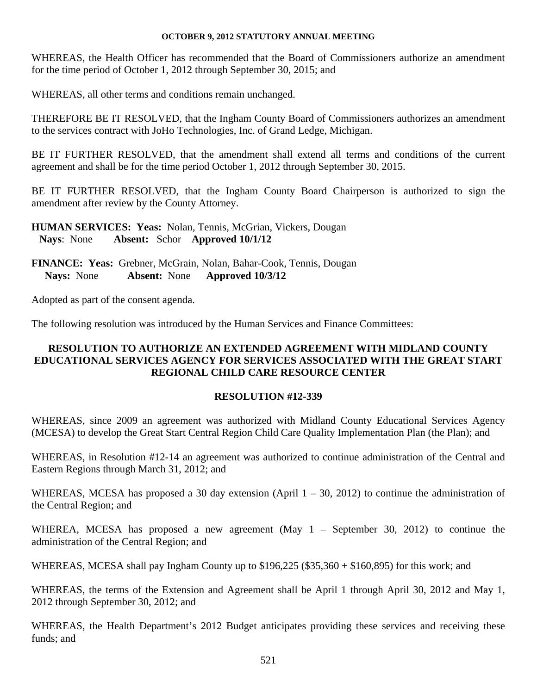WHEREAS, the Health Officer has recommended that the Board of Commissioners authorize an amendment for the time period of October 1, 2012 through September 30, 2015; and

WHEREAS, all other terms and conditions remain unchanged.

THEREFORE BE IT RESOLVED, that the Ingham County Board of Commissioners authorizes an amendment to the services contract with JoHo Technologies, Inc. of Grand Ledge, Michigan.

BE IT FURTHER RESOLVED, that the amendment shall extend all terms and conditions of the current agreement and shall be for the time period October 1, 2012 through September 30, 2015.

BE IT FURTHER RESOLVED, that the Ingham County Board Chairperson is authorized to sign the amendment after review by the County Attorney.

**HUMAN SERVICES: Yeas:** Nolan, Tennis, McGrian, Vickers, Dougan **Nays**: None **Absent:** Schor **Approved 10/1/12** 

**FINANCE: Yeas:** Grebner, McGrain, Nolan, Bahar-Cook, Tennis, Dougan  **Nays:** None **Absent:** None **Approved 10/3/12** 

Adopted as part of the consent agenda.

The following resolution was introduced by the Human Services and Finance Committees:

### **RESOLUTION TO AUTHORIZE AN EXTENDED AGREEMENT WITH MIDLAND COUNTY EDUCATIONAL SERVICES AGENCY FOR SERVICES ASSOCIATED WITH THE GREAT START REGIONAL CHILD CARE RESOURCE CENTER**

### **RESOLUTION #12-339**

WHEREAS, since 2009 an agreement was authorized with Midland County Educational Services Agency (MCESA) to develop the Great Start Central Region Child Care Quality Implementation Plan (the Plan); and

WHEREAS, in Resolution #12-14 an agreement was authorized to continue administration of the Central and Eastern Regions through March 31, 2012; and

WHEREAS, MCESA has proposed a 30 day extension (April 1 – 30, 2012) to continue the administration of the Central Region; and

WHEREA, MCESA has proposed a new agreement (May 1 – September 30, 2012) to continue the administration of the Central Region; and

WHEREAS, MCESA shall pay Ingham County up to \$196,225 (\$35,360 + \$160,895) for this work; and

WHEREAS, the terms of the Extension and Agreement shall be April 1 through April 30, 2012 and May 1, 2012 through September 30, 2012; and

WHEREAS, the Health Department's 2012 Budget anticipates providing these services and receiving these funds; and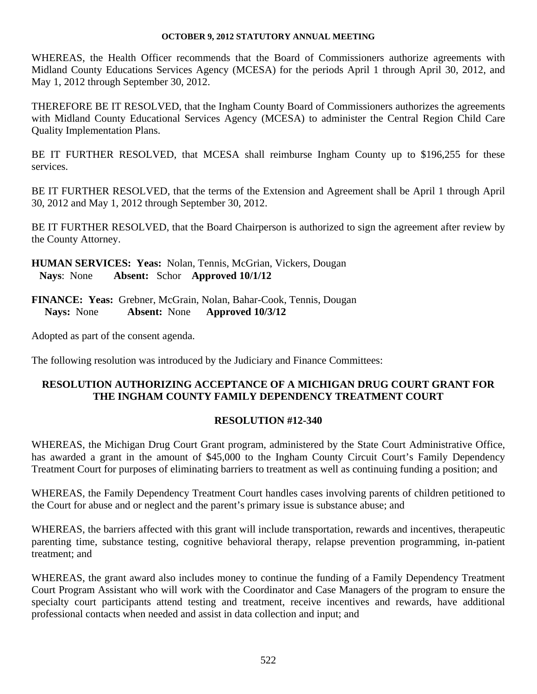WHEREAS, the Health Officer recommends that the Board of Commissioners authorize agreements with Midland County Educations Services Agency (MCESA) for the periods April 1 through April 30, 2012, and May 1, 2012 through September 30, 2012.

THEREFORE BE IT RESOLVED, that the Ingham County Board of Commissioners authorizes the agreements with Midland County Educational Services Agency (MCESA) to administer the Central Region Child Care Quality Implementation Plans.

BE IT FURTHER RESOLVED, that MCESA shall reimburse Ingham County up to \$196,255 for these services.

BE IT FURTHER RESOLVED, that the terms of the Extension and Agreement shall be April 1 through April 30, 2012 and May 1, 2012 through September 30, 2012.

BE IT FURTHER RESOLVED, that the Board Chairperson is authorized to sign the agreement after review by the County Attorney.

**HUMAN SERVICES: Yeas:** Nolan, Tennis, McGrian, Vickers, Dougan **Nays**: None **Absent:** Schor **Approved 10/1/12** 

**FINANCE: Yeas:** Grebner, McGrain, Nolan, Bahar-Cook, Tennis, Dougan  **Nays:** None **Absent:** None **Approved 10/3/12** 

Adopted as part of the consent agenda.

The following resolution was introduced by the Judiciary and Finance Committees:

### **RESOLUTION AUTHORIZING ACCEPTANCE OF A MICHIGAN DRUG COURT GRANT FOR THE INGHAM COUNTY FAMILY DEPENDENCY TREATMENT COURT**

### **RESOLUTION #12-340**

WHEREAS, the Michigan Drug Court Grant program, administered by the State Court Administrative Office, has awarded a grant in the amount of \$45,000 to the Ingham County Circuit Court's Family Dependency Treatment Court for purposes of eliminating barriers to treatment as well as continuing funding a position; and

WHEREAS, the Family Dependency Treatment Court handles cases involving parents of children petitioned to the Court for abuse and or neglect and the parent's primary issue is substance abuse; and

WHEREAS, the barriers affected with this grant will include transportation, rewards and incentives, therapeutic parenting time, substance testing, cognitive behavioral therapy, relapse prevention programming, in-patient treatment; and

WHEREAS, the grant award also includes money to continue the funding of a Family Dependency Treatment Court Program Assistant who will work with the Coordinator and Case Managers of the program to ensure the specialty court participants attend testing and treatment, receive incentives and rewards, have additional professional contacts when needed and assist in data collection and input; and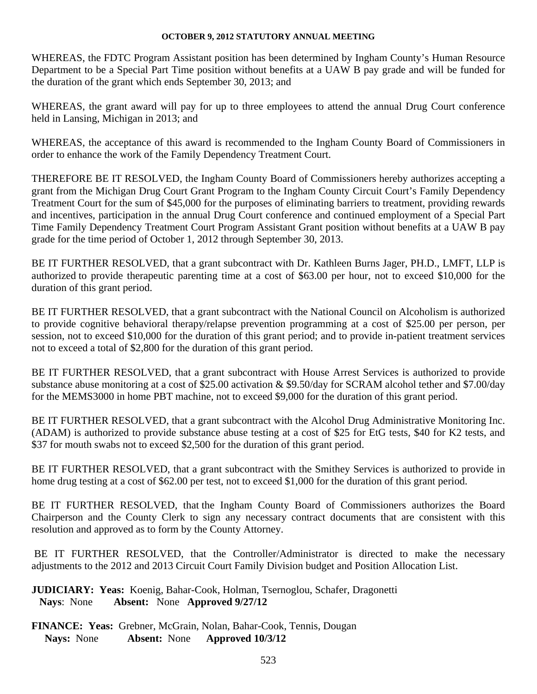WHEREAS, the FDTC Program Assistant position has been determined by Ingham County's Human Resource Department to be a Special Part Time position without benefits at a UAW B pay grade and will be funded for the duration of the grant which ends September 30, 2013; and

WHEREAS, the grant award will pay for up to three employees to attend the annual Drug Court conference held in Lansing, Michigan in 2013; and

WHEREAS, the acceptance of this award is recommended to the Ingham County Board of Commissioners in order to enhance the work of the Family Dependency Treatment Court.

THEREFORE BE IT RESOLVED, the Ingham County Board of Commissioners hereby authorizes accepting a grant from the Michigan Drug Court Grant Program to the Ingham County Circuit Court's Family Dependency Treatment Court for the sum of \$45,000 for the purposes of eliminating barriers to treatment, providing rewards and incentives, participation in the annual Drug Court conference and continued employment of a Special Part Time Family Dependency Treatment Court Program Assistant Grant position without benefits at a UAW B pay grade for the time period of October 1, 2012 through September 30, 2013.

BE IT FURTHER RESOLVED, that a grant subcontract with Dr. Kathleen Burns Jager, PH.D., LMFT, LLP is authorized to provide therapeutic parenting time at a cost of \$63.00 per hour, not to exceed \$10,000 for the duration of this grant period.

BE IT FURTHER RESOLVED, that a grant subcontract with the National Council on Alcoholism is authorized to provide cognitive behavioral therapy/relapse prevention programming at a cost of \$25.00 per person, per session, not to exceed \$10,000 for the duration of this grant period; and to provide in-patient treatment services not to exceed a total of \$2,800 for the duration of this grant period.

BE IT FURTHER RESOLVED, that a grant subcontract with House Arrest Services is authorized to provide substance abuse monitoring at a cost of \$25.00 activation & \$9.50/day for SCRAM alcohol tether and \$7.00/day for the MEMS3000 in home PBT machine, not to exceed \$9,000 for the duration of this grant period.

BE IT FURTHER RESOLVED, that a grant subcontract with the Alcohol Drug Administrative Monitoring Inc. (ADAM) is authorized to provide substance abuse testing at a cost of \$25 for EtG tests, \$40 for K2 tests, and \$37 for mouth swabs not to exceed \$2,500 for the duration of this grant period.

BE IT FURTHER RESOLVED, that a grant subcontract with the Smithey Services is authorized to provide in home drug testing at a cost of \$62.00 per test, not to exceed \$1,000 for the duration of this grant period.

BE IT FURTHER RESOLVED, that the Ingham County Board of Commissioners authorizes the Board Chairperson and the County Clerk to sign any necessary contract documents that are consistent with this resolution and approved as to form by the County Attorney.

 BE IT FURTHER RESOLVED, that the Controller/Administrator is directed to make the necessary adjustments to the 2012 and 2013 Circuit Court Family Division budget and Position Allocation List.

**JUDICIARY: Yeas:** Koenig, Bahar-Cook, Holman, Tsernoglou, Schafer, Dragonetti **Nays**: None **Absent:** None **Approved 9/27/12**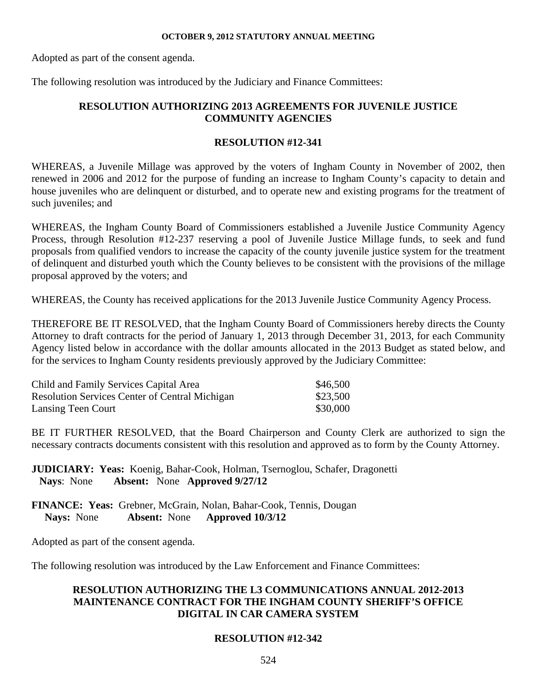Adopted as part of the consent agenda.

The following resolution was introduced by the Judiciary and Finance Committees:

### **RESOLUTION AUTHORIZING 2013 AGREEMENTS FOR JUVENILE JUSTICE COMMUNITY AGENCIES**

### **RESOLUTION #12-341**

WHEREAS, a Juvenile Millage was approved by the voters of Ingham County in November of 2002, then renewed in 2006 and 2012 for the purpose of funding an increase to Ingham County's capacity to detain and house juveniles who are delinquent or disturbed, and to operate new and existing programs for the treatment of such juveniles; and

WHEREAS, the Ingham County Board of Commissioners established a Juvenile Justice Community Agency Process, through Resolution #12-237 reserving a pool of Juvenile Justice Millage funds, to seek and fund proposals from qualified vendors to increase the capacity of the county juvenile justice system for the treatment of delinquent and disturbed youth which the County believes to be consistent with the provisions of the millage proposal approved by the voters; and

WHEREAS, the County has received applications for the 2013 Juvenile Justice Community Agency Process.

THEREFORE BE IT RESOLVED, that the Ingham County Board of Commissioners hereby directs the County Attorney to draft contracts for the period of January 1, 2013 through December 31, 2013, for each Community Agency listed below in accordance with the dollar amounts allocated in the 2013 Budget as stated below, and for the services to Ingham County residents previously approved by the Judiciary Committee:

| Child and Family Services Capital Area                | \$46,500 |
|-------------------------------------------------------|----------|
| <b>Resolution Services Center of Central Michigan</b> | \$23,500 |
| Lansing Teen Court                                    | \$30,000 |

BE IT FURTHER RESOLVED, that the Board Chairperson and County Clerk are authorized to sign the necessary contracts documents consistent with this resolution and approved as to form by the County Attorney.

**JUDICIARY: Yeas:** Koenig, Bahar-Cook, Holman, Tsernoglou, Schafer, Dragonetti **Nays**: None **Absent:** None **Approved 9/27/12** 

**FINANCE: Yeas:** Grebner, McGrain, Nolan, Bahar-Cook, Tennis, Dougan  **Nays:** None **Absent:** None **Approved 10/3/12** 

Adopted as part of the consent agenda.

The following resolution was introduced by the Law Enforcement and Finance Committees:

### **RESOLUTION AUTHORIZING THE L3 COMMUNICATIONS ANNUAL 2012-2013 MAINTENANCE CONTRACT FOR THE INGHAM COUNTY SHERIFF'S OFFICE DIGITAL IN CAR CAMERA SYSTEM**

### **RESOLUTION #12-342**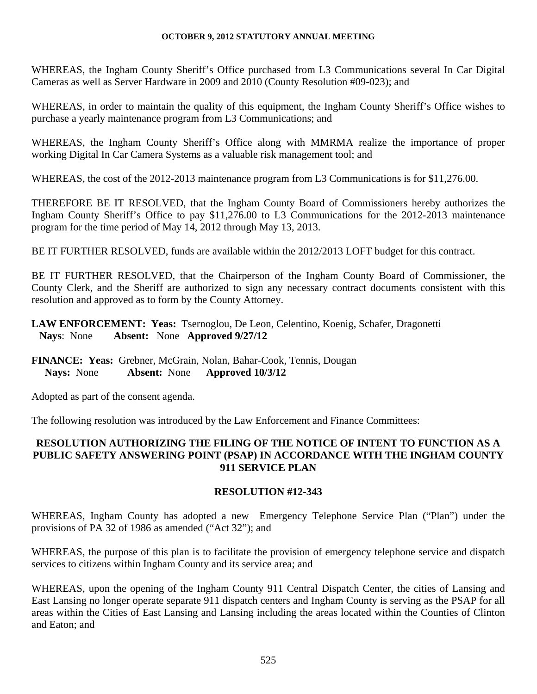WHEREAS, the Ingham County Sheriff's Office purchased from L3 Communications several In Car Digital Cameras as well as Server Hardware in 2009 and 2010 (County Resolution #09-023); and

WHEREAS, in order to maintain the quality of this equipment, the Ingham County Sheriff's Office wishes to purchase a yearly maintenance program from L3 Communications; and

WHEREAS, the Ingham County Sheriff's Office along with MMRMA realize the importance of proper working Digital In Car Camera Systems as a valuable risk management tool; and

WHEREAS, the cost of the 2012-2013 maintenance program from L3 Communications is for \$11,276.00.

THEREFORE BE IT RESOLVED, that the Ingham County Board of Commissioners hereby authorizes the Ingham County Sheriff's Office to pay \$11,276.00 to L3 Communications for the 2012-2013 maintenance program for the time period of May 14, 2012 through May 13, 2013.

BE IT FURTHER RESOLVED, funds are available within the 2012/2013 LOFT budget for this contract.

BE IT FURTHER RESOLVED, that the Chairperson of the Ingham County Board of Commissioner, the County Clerk, and the Sheriff are authorized to sign any necessary contract documents consistent with this resolution and approved as to form by the County Attorney.

### **LAW ENFORCEMENT: Yeas:** Tsernoglou, De Leon, Celentino, Koenig, Schafer, Dragonetti **Nays**: None **Absent:** None **Approved 9/27/12**

### **FINANCE: Yeas:** Grebner, McGrain, Nolan, Bahar-Cook, Tennis, Dougan  **Nays:** None **Absent:** None **Approved 10/3/12**

Adopted as part of the consent agenda.

The following resolution was introduced by the Law Enforcement and Finance Committees:

### **RESOLUTION AUTHORIZING THE FILING OF THE NOTICE OF INTENT TO FUNCTION AS A PUBLIC SAFETY ANSWERING POINT (PSAP) IN ACCORDANCE WITH THE INGHAM COUNTY 911 SERVICE PLAN**

### **RESOLUTION #12-343**

WHEREAS, Ingham County has adopted a new Emergency Telephone Service Plan ("Plan") under the provisions of PA 32 of 1986 as amended ("Act 32"); and

WHEREAS, the purpose of this plan is to facilitate the provision of emergency telephone service and dispatch services to citizens within Ingham County and its service area; and

WHEREAS, upon the opening of the Ingham County 911 Central Dispatch Center, the cities of Lansing and East Lansing no longer operate separate 911 dispatch centers and Ingham County is serving as the PSAP for all areas within the Cities of East Lansing and Lansing including the areas located within the Counties of Clinton and Eaton; and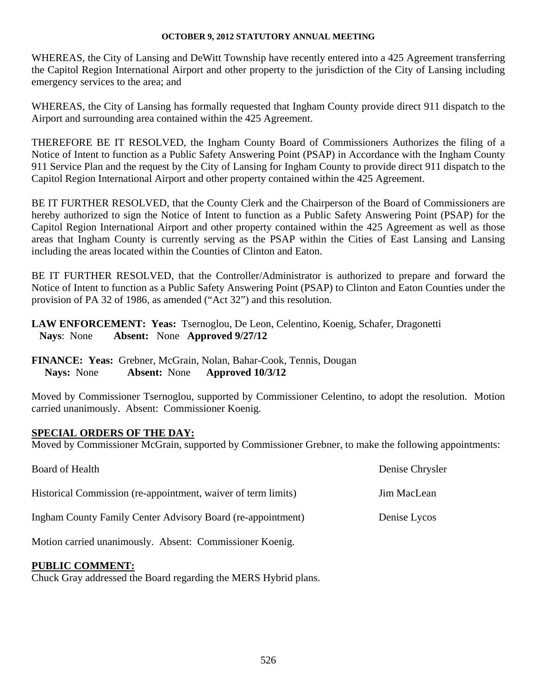WHEREAS, the City of Lansing and DeWitt Township have recently entered into a 425 Agreement transferring the Capitol Region International Airport and other property to the jurisdiction of the City of Lansing including emergency services to the area; and

WHEREAS, the City of Lansing has formally requested that Ingham County provide direct 911 dispatch to the Airport and surrounding area contained within the 425 Agreement.

THEREFORE BE IT RESOLVED, the Ingham County Board of Commissioners Authorizes the filing of a Notice of Intent to function as a Public Safety Answering Point (PSAP) in Accordance with the Ingham County 911 Service Plan and the request by the City of Lansing for Ingham County to provide direct 911 dispatch to the Capitol Region International Airport and other property contained within the 425 Agreement.

BE IT FURTHER RESOLVED, that the County Clerk and the Chairperson of the Board of Commissioners are hereby authorized to sign the Notice of Intent to function as a Public Safety Answering Point (PSAP) for the Capitol Region International Airport and other property contained within the 425 Agreement as well as those areas that Ingham County is currently serving as the PSAP within the Cities of East Lansing and Lansing including the areas located within the Counties of Clinton and Eaton.

BE IT FURTHER RESOLVED, that the Controller/Administrator is authorized to prepare and forward the Notice of Intent to function as a Public Safety Answering Point (PSAP) to Clinton and Eaton Counties under the provision of PA 32 of 1986, as amended ("Act 32") and this resolution.

**LAW ENFORCEMENT: Yeas:** Tsernoglou, De Leon, Celentino, Koenig, Schafer, Dragonetti **Nays**: None **Absent:** None **Approved 9/27/12** 

### **FINANCE: Yeas:** Grebner, McGrain, Nolan, Bahar-Cook, Tennis, Dougan  **Nays:** None **Absent:** None **Approved 10/3/12**

Moved by Commissioner Tsernoglou, supported by Commissioner Celentino, to adopt the resolution. Motion carried unanimously. Absent: Commissioner Koenig.

### **SPECIAL ORDERS OF THE DAY:**

Moved by Commissioner McGrain, supported by Commissioner Grebner, to make the following appointments:

| Board of Health                                                    | Denise Chrysler |
|--------------------------------------------------------------------|-----------------|
| Historical Commission (re-appointment, waiver of term limits)      | Jim MacLean     |
| <b>Ingham County Family Center Advisory Board (re-appointment)</b> | Denise Lycos    |
| Motion carried unanimously. Absent: Commissioner Koenig.           |                 |

### **PUBLIC COMMENT:**

Chuck Gray addressed the Board regarding the MERS Hybrid plans.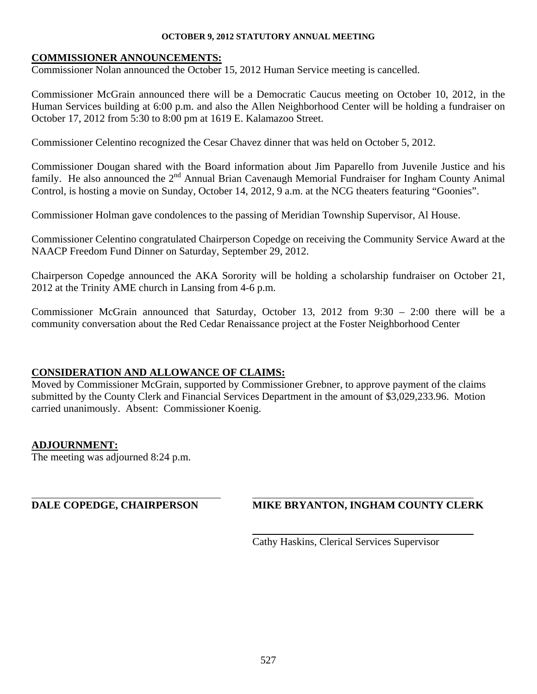### **COMMISSIONER ANNOUNCEMENTS:**

Commissioner Nolan announced the October 15, 2012 Human Service meeting is cancelled.

Commissioner McGrain announced there will be a Democratic Caucus meeting on October 10, 2012, in the Human Services building at 6:00 p.m. and also the Allen Neighborhood Center will be holding a fundraiser on October 17, 2012 from 5:30 to 8:00 pm at 1619 E. Kalamazoo Street.

Commissioner Celentino recognized the Cesar Chavez dinner that was held on October 5, 2012.

Commissioner Dougan shared with the Board information about Jim Paparello from Juvenile Justice and his family. He also announced the  $2^{nd}$  Annual Brian Cavenaugh Memorial Fundraiser for Ingham County Animal Control, is hosting a movie on Sunday, October 14, 2012, 9 a.m. at the NCG theaters featuring "Goonies".

Commissioner Holman gave condolences to the passing of Meridian Township Supervisor, Al House.

Commissioner Celentino congratulated Chairperson Copedge on receiving the Community Service Award at the NAACP Freedom Fund Dinner on Saturday, September 29, 2012.

Chairperson Copedge announced the AKA Sorority will be holding a scholarship fundraiser on October 21, 2012 at the Trinity AME church in Lansing from 4-6 p.m.

Commissioner McGrain announced that Saturday, October 13, 2012 from 9:30 – 2:00 there will be a community conversation about the Red Cedar Renaissance project at the Foster Neighborhood Center

### **CONSIDERATION AND ALLOWANCE OF CLAIMS:**

Moved by Commissioner McGrain, supported by Commissioner Grebner, to approve payment of the claims submitted by the County Clerk and Financial Services Department in the amount of \$3,029,233.96. Motion carried unanimously. Absent: Commissioner Koenig.

### **ADJOURNMENT:**

l

The meeting was adjourned 8:24 p.m.

### **DALE COPEDGE, CHAIRPERSON MIKE BRYANTON, INGHAM COUNTY CLERK**

Cathy Haskins, Clerical Services Supervisor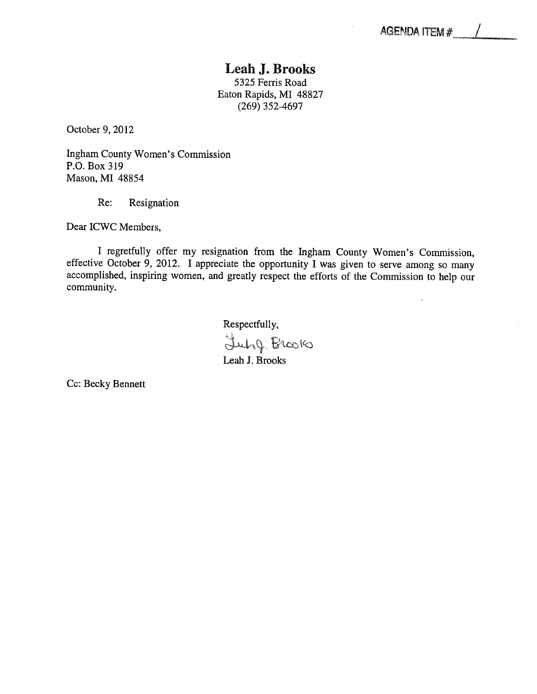### Leah J. Brooks 5325 Ferris Road Eaton Rapids, MI 48827 (269) 352-4697

<span id="page-39-0"></span>October 9, 2012

Ingham County Women's Commission P.O. Box 319 Mason, MI 48854

Re: Resignation

Dear ICWC Members,

I regretfully offer my resignation from the Ingham County Women's Commission, effective October 9, 2012. I appreciate the opportunity I was given to serve among so many accomplished, inspiring women, and greatly respect the efforts of the Commission to help our community.

> Respectfully, Luby Brooks Leah J. Brooks

Cc: Becky Bennett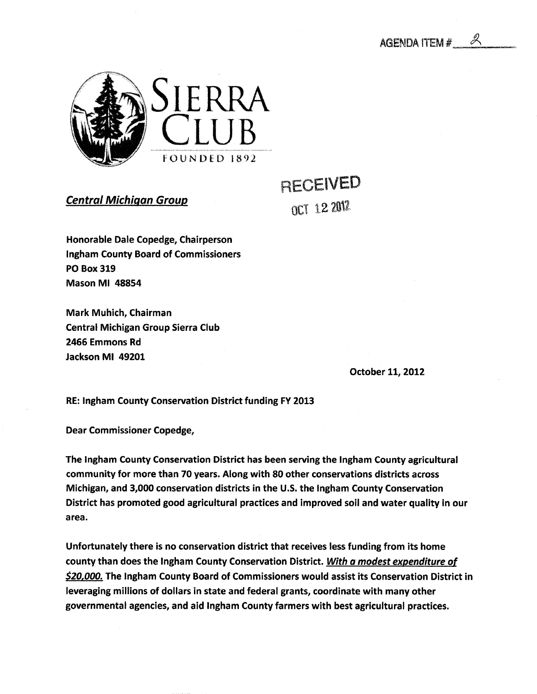<span id="page-40-0"></span>

Central Michigan Group

RECEIVED OCT 12 2012

Honorable Dale Copedge, Chairperson Ingham County Board of Commissioners PO Box 319 Mason Ml 48854

Mark Muhich, Chairman Central Michigan Group Sierra Club 2466 Emmons Rd Jackson Ml 49201

October 11, 2012

RE: Ingham County Conservation District funding FY 2013

Dear Commissioner Copedge,

The Ingham County Conservation District has been serving the Ingham County agricultural community for more than 70 years. Along with 80 other conservations districts across Michigan, and 3,000 conservation districts in the U.S. the Ingham County Conservation District has promoted good agricultural practices and improved soil and water quality in our area.

Unfortunately there is no conservation district that receives less funding from its home county than does the Ingham County Conservation District. With a modest expenditure of \$20,000. The Ingham County Board of Commissioners would assist its Conservation District in leveraging millions of dollars in state and federal grants, coordinate with many other governmental agencies, and aid Ingham County farmers with best agricultural practices.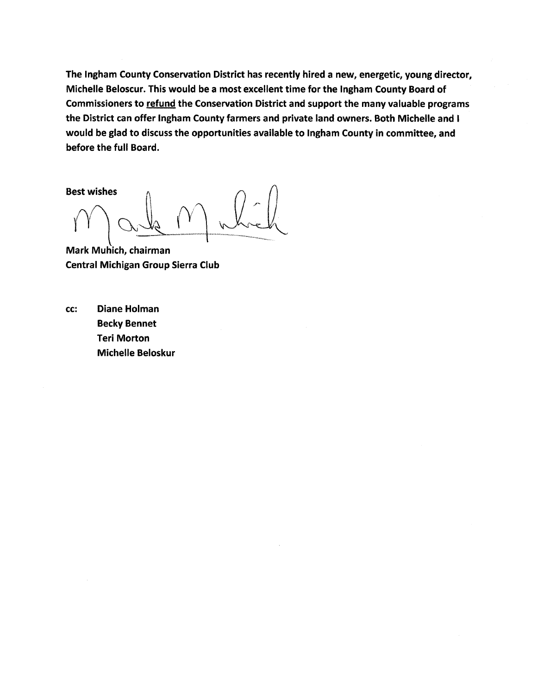The Ingham County Conservation District has recently hired a new, energetic, young director, Michelle Beloscur. This would be a most excellent time for the Ingham County Board of Commissioners to refund the Conservation District and support the many valuable programs the District can offer Ingham County farmers and private land owners. Both Michelle and I would be glad to discuss the opportunities available to Ingham County in committee, and before the full Board.

Best wishes

Mark Muhich, chairman Central Michigan Group Sierra Club

cc: Diane Holman Becky Bennet Teri Morton Michelle Beloskur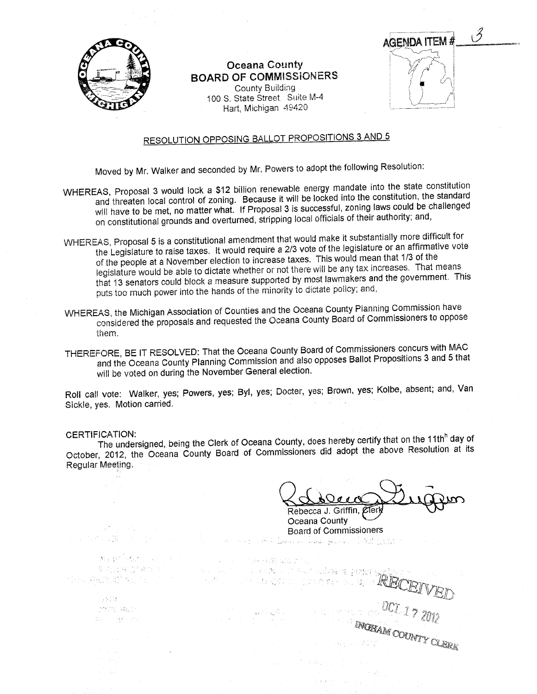<span id="page-42-0"></span>

### Oceana County BOARD OF COMMISSIONERS

County Building 100 S. State Street. Suite M-4 Hart, Michigan 49420

AGENDA ITEM #

2

# RESOLUTION OPPOSING BALLOT PROPOSITIONS 3 AND 5

Moved by Mr. Walker and seconded by Mr. Powers to adopt the following Resolution:

- WHEREAS, Proposal 3 would lock a \$12 billion renewable energy mandate into the state constitution and threaten local control of zoning. Because it will be locked into the constitution, the standard will have to be met, no matter what. If Proposal 3 is successful, zoning laws could be challenged on constitutional grounds and overturned, stripping local officials of their authority; and,
- WHEREAS, Proposal 5 is a constitutional amendment that would make it substantially more difficult for the Legislature to raise taxes. It would require a 2/3 vote of the legislature or an affirmative vote of the people at a November election to increase taxes. This would mean that 1/3 of the legislature would be able to dictate whether or not there will be any tax increases. That means that 13 senators could block a measure supported by most lawmakers and the government. This puts too much power into the hands of the minority to dictate policy; and,
- WHEREAS the Michigan Association of Counties and the Oceana County Planning Commission have considered the proposals and requested the Oceana County Board of Commissioners to oppose them.
- THEREFORE, BE IT RESOLVED: That the Oceana County Board of Commissioners concurs with MAC and the Oceana County Planning Commission and also opposes Ballot Propositions 3 and 5 that will be voted on during the November General election.

Roll call vote: Walker, yes; Powers, yes; Byl, yes; Docter, yes; Brown, yes; Kolbe, absent; and, Van Sickle, yes. Motion carried.

CERTIFICATION:<br>The undersigned, being the Clerk of Oceana County, does hereby certify that on the 11th<sup>h</sup> day of October, 2012, the Oceana County Board of Commissioners did adopt the above Resolution at its Regular Meeting.

(2) 中国人民的社会的复数,

 $Q$ eco Rebecca J. Griffin, Zierk

INGHAM COUNTY CLERK

Oceana County Board of Commissionersmet difficultural association in the proper

 $\mathcal{M}_{\mathcal{G}}(\mathcal{E}_{\mathcal{G}}) = \mathcal{L}_{\mathcal{G}}(\mathcal{E}_{\mathcal{G}})$ 

u Alia 22. 发展的 20 the support of the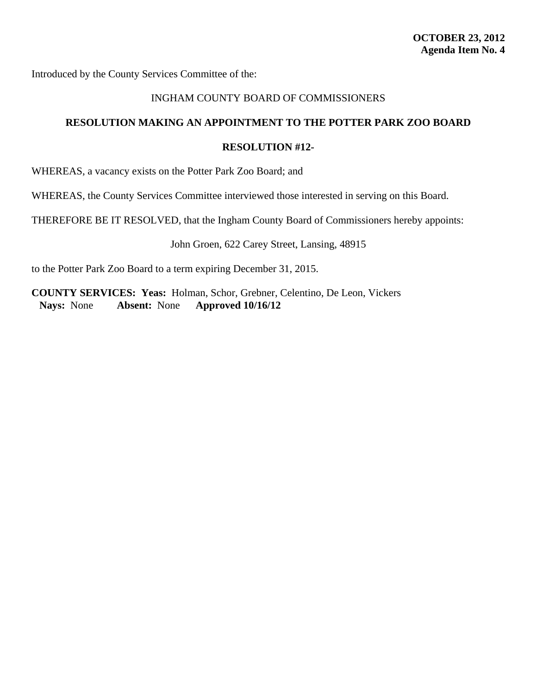<span id="page-43-0"></span>Introduced by the County Services Committee of the:

### INGHAM COUNTY BOARD OF COMMISSIONERS

### **RESOLUTION MAKING AN APPOINTMENT TO THE POTTER PARK ZOO BOARD**

### **RESOLUTION #12-**

WHEREAS, a vacancy exists on the Potter Park Zoo Board; and

WHEREAS, the County Services Committee interviewed those interested in serving on this Board.

THEREFORE BE IT RESOLVED, that the Ingham County Board of Commissioners hereby appoints:

John Groen, 622 Carey Street, Lansing, 48915

to the Potter Park Zoo Board to a term expiring December 31, 2015.

**COUNTY SERVICES: Yeas:** Holman, Schor, Grebner, Celentino, De Leon, Vickers **Nays:** None **Absent:** None **Approved 10/16/12**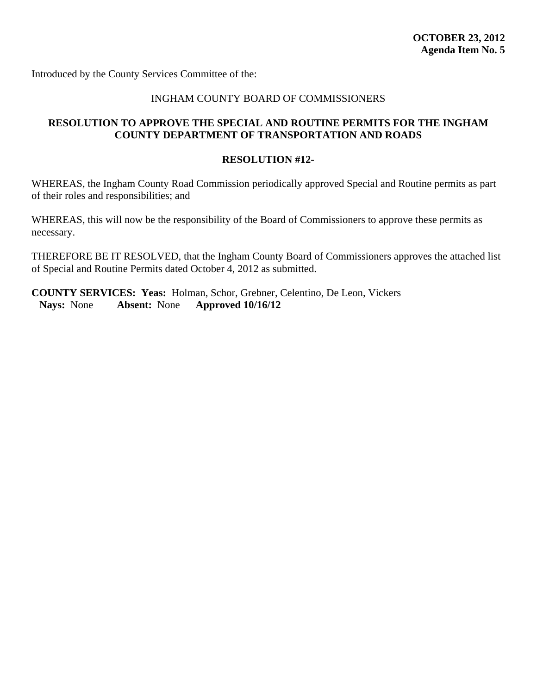<span id="page-44-0"></span>Introduced by the County Services Committee of the:

### INGHAM COUNTY BOARD OF COMMISSIONERS

### **RESOLUTION TO APPROVE THE SPECIAL AND ROUTINE PERMITS FOR THE INGHAM COUNTY DEPARTMENT OF TRANSPORTATION AND ROADS**

### **RESOLUTION #12-**

WHEREAS, the Ingham County Road Commission periodically approved Special and Routine permits as part of their roles and responsibilities; and

WHEREAS, this will now be the responsibility of the Board of Commissioners to approve these permits as necessary.

THEREFORE BE IT RESOLVED, that the Ingham County Board of Commissioners approves the attached list of Special and Routine Permits dated October 4, 2012 as submitted.

**COUNTY SERVICES: Yeas:** Holman, Schor, Grebner, Celentino, De Leon, Vickers **Nays:** None **Absent:** None **Approved 10/16/12**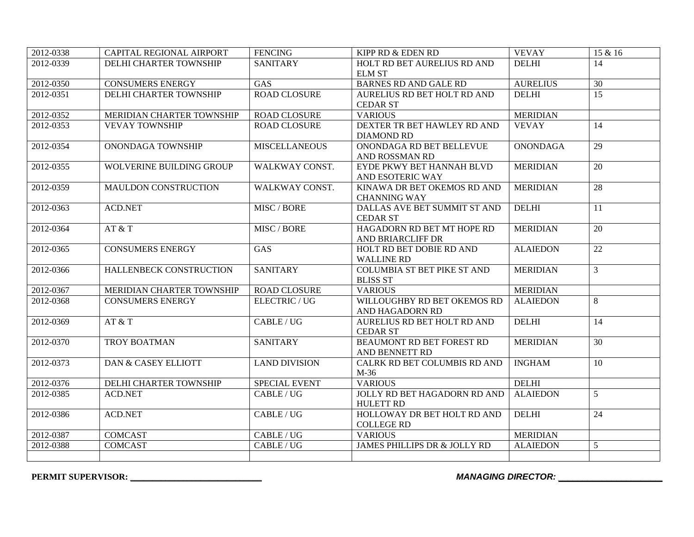| 2012-0338 | CAPITAL REGIONAL AIRPORT  | <b>FENCING</b>       | KIPP RD & EDEN RD                                  | <b>VEVAY</b>    | 15 & 16         |
|-----------|---------------------------|----------------------|----------------------------------------------------|-----------------|-----------------|
| 2012-0339 | DELHI CHARTER TOWNSHIP    | <b>SANITARY</b>      | HOLT RD BET AURELIUS RD AND                        | <b>DELHI</b>    | 14              |
|           |                           |                      | <b>ELM ST</b>                                      |                 |                 |
| 2012-0350 | <b>CONSUMERS ENERGY</b>   | <b>GAS</b>           | <b>BARNES RD AND GALE RD</b>                       | <b>AURELIUS</b> | 30              |
| 2012-0351 | DELHI CHARTER TOWNSHIP    | <b>ROAD CLOSURE</b>  | AURELIUS RD BET HOLT RD AND                        | <b>DELHI</b>    | $\overline{15}$ |
|           |                           |                      | <b>CEDAR ST</b>                                    |                 |                 |
| 2012-0352 | MERIDIAN CHARTER TOWNSHIP | <b>ROAD CLOSURE</b>  | <b>VARIOUS</b>                                     | <b>MERIDIAN</b> |                 |
| 2012-0353 | <b>VEVAY TOWNSHIP</b>     | <b>ROAD CLOSURE</b>  | DEXTER TR BET HAWLEY RD AND<br><b>DIAMOND RD</b>   | <b>VEVAY</b>    | 14              |
| 2012-0354 | ONONDAGA TOWNSHIP         | <b>MISCELLANEOUS</b> | ONONDAGA RD BET BELLEVUE<br>AND ROSSMAN RD         | <b>ONONDAGA</b> | $\overline{29}$ |
| 2012-0355 | WOLVERINE BUILDING GROUP  | WALKWAY CONST.       | EYDE PKWY BET HANNAH BLVD<br>AND ESOTERIC WAY      | <b>MERIDIAN</b> | 20              |
| 2012-0359 | MAULDON CONSTRUCTION      | WALKWAY CONST.       | KINAWA DR BET OKEMOS RD AND<br><b>CHANNING WAY</b> | <b>MERIDIAN</b> | 28              |
| 2012-0363 | <b>ACD.NET</b>            | MISC / BORE          | DALLAS AVE BET SUMMIT ST AND<br><b>CEDAR ST</b>    | <b>DELHI</b>    | 11              |
| 2012-0364 | AT & T                    | MISC / BORE          | HAGADORN RD BET MT HOPE RD<br>AND BRIARCLIFF DR    | <b>MERIDIAN</b> | 20              |
| 2012-0365 | <b>CONSUMERS ENERGY</b>   | <b>GAS</b>           | HOLT RD BET DOBIE RD AND<br><b>WALLINE RD</b>      | <b>ALAIEDON</b> | 22              |
| 2012-0366 | HALLENBECK CONSTRUCTION   | <b>SANITARY</b>      | COLUMBIA ST BET PIKE ST AND<br><b>BLISS ST</b>     | <b>MERIDIAN</b> | $\overline{3}$  |
| 2012-0367 | MERIDIAN CHARTER TOWNSHIP | <b>ROAD CLOSURE</b>  | <b>VARIOUS</b>                                     | <b>MERIDIAN</b> |                 |
| 2012-0368 | <b>CONSUMERS ENERGY</b>   | <b>ELECTRIC / UG</b> | WILLOUGHBY RD BET OKEMOS RD<br>AND HAGADORN RD     | <b>ALAIEDON</b> | 8               |
| 2012-0369 | AT & T                    | CABLE/UG             | AURELIUS RD BET HOLT RD AND<br><b>CEDAR ST</b>     | <b>DELHI</b>    | 14              |
| 2012-0370 | TROY BOATMAN              | <b>SANITARY</b>      | BEAUMONT RD BET FOREST RD<br>AND BENNETT RD        | <b>MERIDIAN</b> | 30              |
| 2012-0373 | DAN & CASEY ELLIOTT       | <b>LAND DIVISION</b> | CALRK RD BET COLUMBIS RD AND<br>M-36               | <b>INGHAM</b>   | 10              |
| 2012-0376 | DELHI CHARTER TOWNSHIP    | SPECIAL EVENT        | <b>VARIOUS</b>                                     | <b>DELHI</b>    |                 |
| 2012-0385 | <b>ACD.NET</b>            | <b>CABLE/UG</b>      | JOLLY RD BET HAGADORN RD AND<br><b>HULETT RD</b>   | <b>ALAIEDON</b> | 5               |
| 2012-0386 | <b>ACD.NET</b>            | CABLE/UG             | HOLLOWAY DR BET HOLT RD AND<br><b>COLLEGE RD</b>   | <b>DELHI</b>    | 24              |
| 2012-0387 | <b>COMCAST</b>            | CABLE / UG           | <b>VARIOUS</b>                                     | <b>MERIDIAN</b> |                 |
| 2012-0388 | <b>COMCAST</b>            | CABLE/UG             | JAMES PHILLIPS DR & JOLLY RD                       | <b>ALAIEDON</b> | 5               |
|           |                           |                      |                                                    |                 |                 |

**PERMIT SUPERVISOR: \_\_\_\_\_\_\_\_\_\_\_\_\_\_\_\_\_\_\_\_\_\_\_\_\_\_\_\_\_\_** *MANAGING DIRECTOR: \_\_\_\_\_\_\_\_\_\_\_\_\_\_\_\_\_\_\_\_\_\_*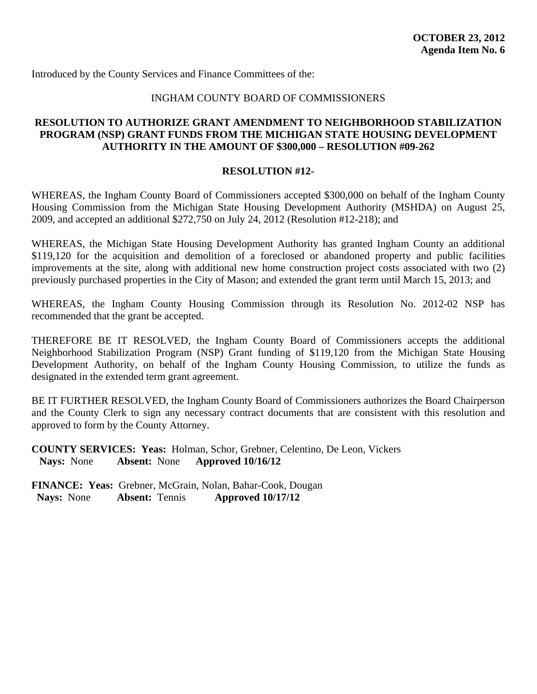<span id="page-46-0"></span>Introduced by the County Services and Finance Committees of the:

### INGHAM COUNTY BOARD OF COMMISSIONERS

### **RESOLUTION TO AUTHORIZE GRANT AMENDMENT TO NEIGHBORHOOD STABILIZATION PROGRAM (NSP) GRANT FUNDS FROM THE MICHIGAN STATE HOUSING DEVELOPMENT AUTHORITY IN THE AMOUNT OF \$300,000 – RESOLUTION #09-262**

### **RESOLUTION #12-**

WHEREAS, the Ingham County Board of Commissioners accepted \$300,000 on behalf of the Ingham County Housing Commission from the Michigan State Housing Development Authority (MSHDA) on August 25, 2009, and accepted an additional \$272,750 on July 24, 2012 (Resolution #12-218); and

WHEREAS, the Michigan State Housing Development Authority has granted Ingham County an additional \$119,120 for the acquisition and demolition of a foreclosed or abandoned property and public facilities improvements at the site, along with additional new home construction project costs associated with two (2) previously purchased properties in the City of Mason; and extended the grant term until March 15, 2013; and

WHEREAS, the Ingham County Housing Commission through its Resolution No. 2012-02 NSP has recommended that the grant be accepted.

THEREFORE BE IT RESOLVED, the Ingham County Board of Commissioners accepts the additional Neighborhood Stabilization Program (NSP) Grant funding of \$119,120 from the Michigan State Housing Development Authority, on behalf of the Ingham County Housing Commission, to utilize the funds as designated in the extended term grant agreement.

BE IT FURTHER RESOLVED, the Ingham County Board of Commissioners authorizes the Board Chairperson and the County Clerk to sign any necessary contract documents that are consistent with this resolution and approved to form by the County Attorney.

**COUNTY SERVICES: Yeas:** Holman, Schor, Grebner, Celentino, De Leon, Vickers **Nays:** None **Absent:** None **Approved 10/16/12**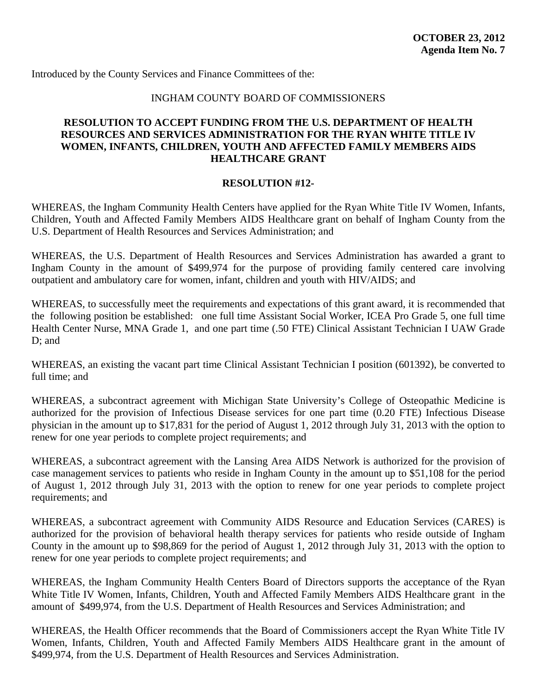<span id="page-47-0"></span>Introduced by the County Services and Finance Committees of the:

### INGHAM COUNTY BOARD OF COMMISSIONERS

### **RESOLUTION TO ACCEPT FUNDING FROM THE U.S. DEPARTMENT OF HEALTH RESOURCES AND SERVICES ADMINISTRATION FOR THE RYAN WHITE TITLE IV WOMEN, INFANTS, CHILDREN, YOUTH AND AFFECTED FAMILY MEMBERS AIDS HEALTHCARE GRANT**

### **RESOLUTION #12-**

WHEREAS, the Ingham Community Health Centers have applied for the Ryan White Title IV Women, Infants, Children, Youth and Affected Family Members AIDS Healthcare grant on behalf of Ingham County from the U.S. Department of Health Resources and Services Administration; and

WHEREAS, the U.S. Department of Health Resources and Services Administration has awarded a grant to Ingham County in the amount of \$499,974 for the purpose of providing family centered care involving outpatient and ambulatory care for women, infant, children and youth with HIV/AIDS; and

WHEREAS, to successfully meet the requirements and expectations of this grant award, it is recommended that the following position be established: one full time Assistant Social Worker, ICEA Pro Grade 5, one full time Health Center Nurse, MNA Grade 1, and one part time (.50 FTE) Clinical Assistant Technician I UAW Grade D; and

WHEREAS, an existing the vacant part time Clinical Assistant Technician I position (601392), be converted to full time; and

WHEREAS, a subcontract agreement with Michigan State University's College of Osteopathic Medicine is authorized for the provision of Infectious Disease services for one part time (0.20 FTE) Infectious Disease physician in the amount up to \$17,831 for the period of August 1, 2012 through July 31, 2013 with the option to renew for one year periods to complete project requirements; and

WHEREAS, a subcontract agreement with the Lansing Area AIDS Network is authorized for the provision of case management services to patients who reside in Ingham County in the amount up to \$51,108 for the period of August 1, 2012 through July 31, 2013 with the option to renew for one year periods to complete project requirements; and

WHEREAS, a subcontract agreement with Community AIDS Resource and Education Services (CARES) is authorized for the provision of behavioral health therapy services for patients who reside outside of Ingham County in the amount up to \$98,869 for the period of August 1, 2012 through July 31, 2013 with the option to renew for one year periods to complete project requirements; and

WHEREAS, the Ingham Community Health Centers Board of Directors supports the acceptance of the Ryan White Title IV Women, Infants, Children, Youth and Affected Family Members AIDS Healthcare grant in the amount of \$499,974, from the U.S. Department of Health Resources and Services Administration; and

WHEREAS, the Health Officer recommends that the Board of Commissioners accept the Ryan White Title IV Women, Infants, Children, Youth and Affected Family Members AIDS Healthcare grant in the amount of \$499,974, from the U.S. Department of Health Resources and Services Administration.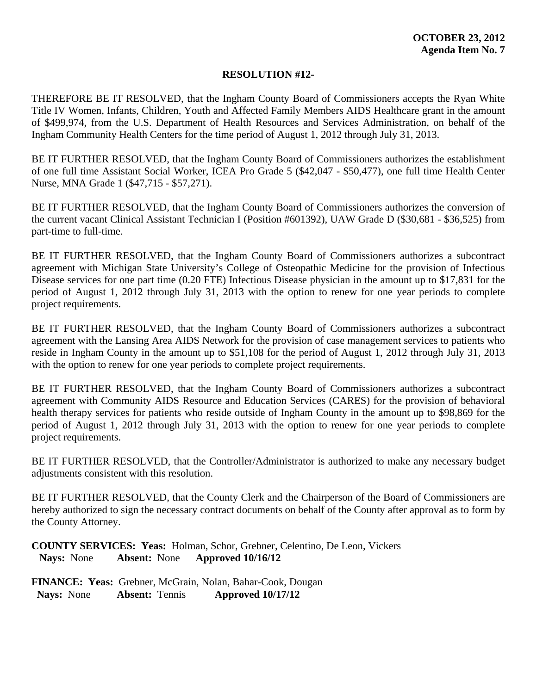THEREFORE BE IT RESOLVED, that the Ingham County Board of Commissioners accepts the Ryan White Title IV Women, Infants, Children, Youth and Affected Family Members AIDS Healthcare grant in the amount of \$499,974, from the U.S. Department of Health Resources and Services Administration, on behalf of the Ingham Community Health Centers for the time period of August 1, 2012 through July 31, 2013.

BE IT FURTHER RESOLVED, that the Ingham County Board of Commissioners authorizes the establishment of one full time Assistant Social Worker, ICEA Pro Grade 5 (\$42,047 - \$50,477), one full time Health Center Nurse, MNA Grade 1 (\$47,715 - \$57,271).

BE IT FURTHER RESOLVED, that the Ingham County Board of Commissioners authorizes the conversion of the current vacant Clinical Assistant Technician I (Position #601392), UAW Grade D (\$30,681 - \$36,525) from part-time to full-time.

BE IT FURTHER RESOLVED, that the Ingham County Board of Commissioners authorizes a subcontract agreement with Michigan State University's College of Osteopathic Medicine for the provision of Infectious Disease services for one part time (0.20 FTE) Infectious Disease physician in the amount up to \$17,831 for the period of August 1, 2012 through July 31, 2013 with the option to renew for one year periods to complete project requirements.

BE IT FURTHER RESOLVED, that the Ingham County Board of Commissioners authorizes a subcontract agreement with the Lansing Area AIDS Network for the provision of case management services to patients who reside in Ingham County in the amount up to \$51,108 for the period of August 1, 2012 through July 31, 2013 with the option to renew for one year periods to complete project requirements.

BE IT FURTHER RESOLVED, that the Ingham County Board of Commissioners authorizes a subcontract agreement with Community AIDS Resource and Education Services (CARES) for the provision of behavioral health therapy services for patients who reside outside of Ingham County in the amount up to \$98,869 for the period of August 1, 2012 through July 31, 2013 with the option to renew for one year periods to complete project requirements.

BE IT FURTHER RESOLVED, that the Controller/Administrator is authorized to make any necessary budget adjustments consistent with this resolution.

BE IT FURTHER RESOLVED, that the County Clerk and the Chairperson of the Board of Commissioners are hereby authorized to sign the necessary contract documents on behalf of the County after approval as to form by the County Attorney.

**COUNTY SERVICES: Yeas:** Holman, Schor, Grebner, Celentino, De Leon, Vickers **Nays:** None **Absent:** None **Approved 10/16/12**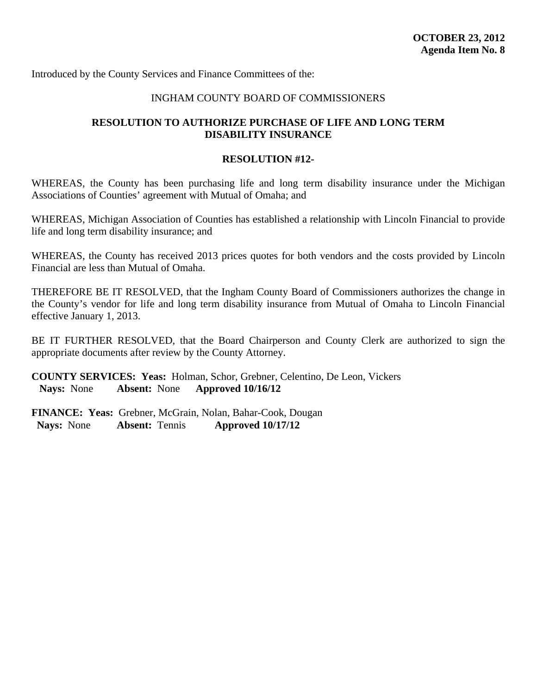<span id="page-49-0"></span>Introduced by the County Services and Finance Committees of the:

### INGHAM COUNTY BOARD OF COMMISSIONERS

### **RESOLUTION TO AUTHORIZE PURCHASE OF LIFE AND LONG TERM DISABILITY INSURANCE**

### **RESOLUTION #12-**

WHEREAS, the County has been purchasing life and long term disability insurance under the Michigan Associations of Counties' agreement with Mutual of Omaha; and

WHEREAS, Michigan Association of Counties has established a relationship with Lincoln Financial to provide life and long term disability insurance; and

WHEREAS, the County has received 2013 prices quotes for both vendors and the costs provided by Lincoln Financial are less than Mutual of Omaha.

THEREFORE BE IT RESOLVED, that the Ingham County Board of Commissioners authorizes the change in the County's vendor for life and long term disability insurance from Mutual of Omaha to Lincoln Financial effective January 1, 2013.

BE IT FURTHER RESOLVED, that the Board Chairperson and County Clerk are authorized to sign the appropriate documents after review by the County Attorney.

**COUNTY SERVICES: Yeas:** Holman, Schor, Grebner, Celentino, De Leon, Vickers **Nays:** None **Absent:** None **Approved 10/16/12**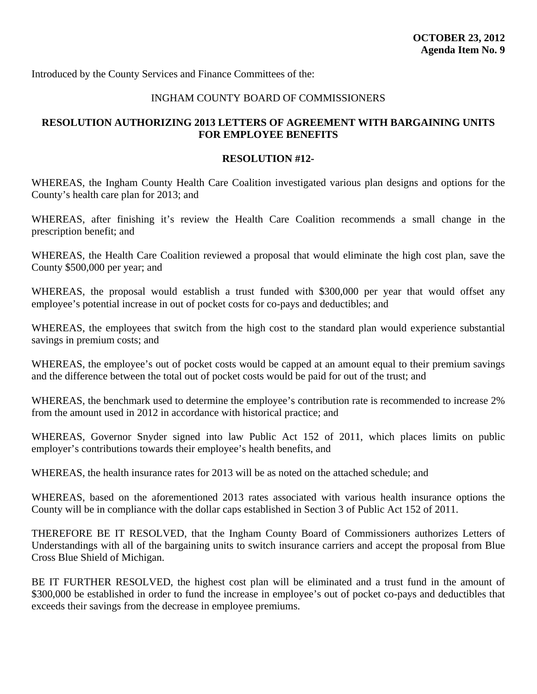<span id="page-50-0"></span>Introduced by the County Services and Finance Committees of the:

### INGHAM COUNTY BOARD OF COMMISSIONERS

### **RESOLUTION AUTHORIZING 2013 LETTERS OF AGREEMENT WITH BARGAINING UNITS FOR EMPLOYEE BENEFITS**

### **RESOLUTION #12-**

WHEREAS, the Ingham County Health Care Coalition investigated various plan designs and options for the County's health care plan for 2013; and

WHEREAS, after finishing it's review the Health Care Coalition recommends a small change in the prescription benefit; and

WHEREAS, the Health Care Coalition reviewed a proposal that would eliminate the high cost plan, save the County \$500,000 per year; and

WHEREAS, the proposal would establish a trust funded with \$300,000 per year that would offset any employee's potential increase in out of pocket costs for co-pays and deductibles; and

WHEREAS, the employees that switch from the high cost to the standard plan would experience substantial savings in premium costs; and

WHEREAS, the employee's out of pocket costs would be capped at an amount equal to their premium savings and the difference between the total out of pocket costs would be paid for out of the trust; and

WHEREAS, the benchmark used to determine the employee's contribution rate is recommended to increase 2% from the amount used in 2012 in accordance with historical practice; and

WHEREAS, Governor Snyder signed into law Public Act 152 of 2011, which places limits on public employer's contributions towards their employee's health benefits, and

WHEREAS, the health insurance rates for 2013 will be as noted on the attached schedule; and

WHEREAS, based on the aforementioned 2013 rates associated with various health insurance options the County will be in compliance with the dollar caps established in Section 3 of Public Act 152 of 2011.

THEREFORE BE IT RESOLVED, that the Ingham County Board of Commissioners authorizes Letters of Understandings with all of the bargaining units to switch insurance carriers and accept the proposal from Blue Cross Blue Shield of Michigan.

BE IT FURTHER RESOLVED, the highest cost plan will be eliminated and a trust fund in the amount of \$300,000 be established in order to fund the increase in employee's out of pocket co-pays and deductibles that exceeds their savings from the decrease in employee premiums.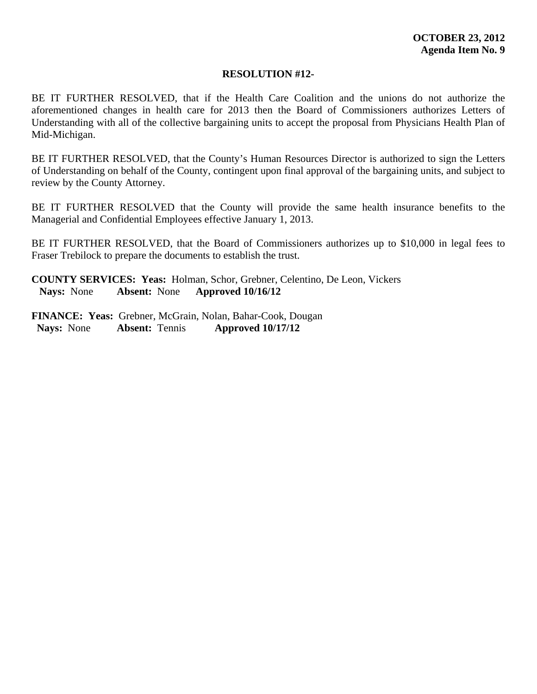BE IT FURTHER RESOLVED, that if the Health Care Coalition and the unions do not authorize the aforementioned changes in health care for 2013 then the Board of Commissioners authorizes Letters of Understanding with all of the collective bargaining units to accept the proposal from Physicians Health Plan of Mid-Michigan.

BE IT FURTHER RESOLVED, that the County's Human Resources Director is authorized to sign the Letters of Understanding on behalf of the County, contingent upon final approval of the bargaining units, and subject to review by the County Attorney.

BE IT FURTHER RESOLVED that the County will provide the same health insurance benefits to the Managerial and Confidential Employees effective January 1, 2013.

BE IT FURTHER RESOLVED, that the Board of Commissioners authorizes up to \$10,000 in legal fees to Fraser Trebilock to prepare the documents to establish the trust.

**COUNTY SERVICES: Yeas:** Holman, Schor, Grebner, Celentino, De Leon, Vickers **Nays:** None **Absent:** None **Approved 10/16/12**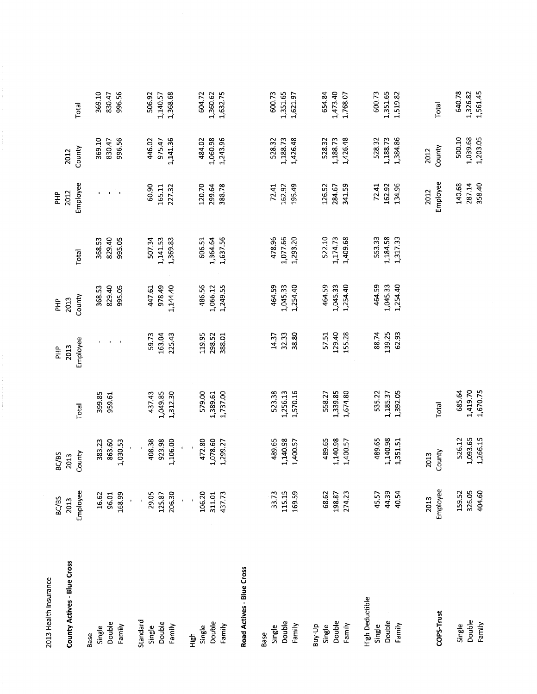| 2013 Health Insurance       |                  |                |          |                  |                |          |                             |                |          |
|-----------------------------|------------------|----------------|----------|------------------|----------------|----------|-----------------------------|----------------|----------|
|                             | BC/BS            | BC/BS          |          | 우<br>도           | $\frac{a}{b}$  |          | PHP                         |                |          |
| County Actives - Blue Cross | Employee<br>2013 | County<br>2013 | Total    | Employee<br>2013 | County<br>2013 | Total    | Employee<br>2012            | County<br>2012 | Total    |
| Base                        |                  |                |          |                  |                |          |                             |                |          |
| Single                      | 16.62            | 383.23         | 399.85   | $\mathbf{I}$     | 368.53         | 368.53   | $\mathbf{L}$                | 369.10         | 369.10   |
| Double                      | 96.01            | 863.60         | 959.61   |                  | 829.40         | 829.40   | $\mathbf{I}$                | 830.47         | 830.47   |
| Family                      | 168.99           | 1,030.53       |          |                  | 995.05         | 995.05   | $\mathcal{C}_{\mathcal{A}}$ | 996.56         | 996.56   |
|                             |                  |                |          |                  |                |          |                             |                |          |
| Standard                    |                  |                |          |                  |                |          |                             |                |          |
| Single                      | 29.05            | 408.38         | 437.43   | 59.73            | 447.61         | 507.34   | 60.90                       | 446.02         | 506.92   |
| Double                      | 125.87           | 923.98         | 1,049.85 | 163.04           | 978.49         | 1,141.53 | 165.11                      | 975.47         | 1,140.57 |
| Family                      | 206.30           | 1,106.00       | 1,312.30 | 225.43           | 1,144.40       | 1,369.83 | 227.32                      | 1,141.36       | 1,368.68 |
|                             |                  |                |          |                  |                |          |                             |                |          |
| High<br>High                |                  | ï              |          |                  |                |          |                             |                |          |
| Single                      | 106.20           | 472.80         | 579.00   | 119.95           | 486.56         | 606.51   | 120.70                      | 484.02         | 604.72   |
| Double                      | 311.01           | 1,078.60       | 1,389.61 | 298.52           | 1,066.12       | 1,364.64 | 299.64                      | 1,060.98       | 1,360.62 |
| Family                      | 437.73           | 1,299.27       | 1,737.00 | 388.01           | 1,249.55       | 1,637.56 | 388.78                      | 1,243.96       | 1,632.75 |
| Road Actives - Blue Cross   |                  |                |          |                  |                |          |                             |                |          |
| Base                        |                  |                |          |                  |                |          |                             |                |          |
| Single                      | 33.73            | 489.65         | 523.38   | 14.37            | 464.59         | 478.96   | 72.41                       | 528.32         | 600.73   |
| Double                      | 115.15           | 1,140.98       | 1,256.13 | 32.33            | 1,045.33       | 1,077.66 | 162.92                      | 1,188.73       | 1,351.65 |
| Family                      | 169.59           | 1,400.57       | 1,570.16 | 38.80            | 1,254.40       | 1,293.20 | 195.49                      | 1,426.48       | 1,621.97 |
|                             |                  |                |          |                  |                |          |                             |                |          |
| Buy-Up                      |                  |                |          |                  |                |          |                             | 528.32         | 654.84   |
| Single                      | 68.62            | 489.65         | 558.27   | 57.51            | 464.59         | 522.10   | 126.52                      |                |          |
| Double                      | 198.87           | 1,140.98       | 1,339.85 | 129.40           | 1,045.33       | 1,174.73 | 284.67                      | 1,188.73       | 1,473.40 |
| Family                      | 274.23           | 1,400.57       | 1,674.80 | 155.28           | 1,254.40       | 1,409.68 | 34159                       | 1,426.48       | 1,768.07 |
| <b>High Deductible</b>      |                  |                |          |                  |                |          |                             |                |          |
| Single                      | 45.57            | 489.65         | 535.22   | 88.74            | 464.59         | 553.33   | 72.41                       | 528.32         | 600.73   |
| Double                      | 44.39            | 1,140.98       | 1,185.37 | 139.25           | 1,045.33       | 1,184.58 | 162.92                      | 1,188.73       | 1,351.65 |
| Family                      | 40.54            | 1,351.51       | 1,392.05 | 62.93            | 1,254.40       | 1,317.33 | 134.96                      | 1,384.86       | 1,519.82 |
|                             |                  |                |          |                  |                |          |                             |                |          |
|                             | 2013             | 2013           |          |                  |                |          | 2012                        | 2012           |          |
| COPS-Trust                  | Employee         | County         | Total    |                  |                |          | Employee                    | County         | Total    |
| Single                      | 159.52           | 526.12         | 685.64   |                  |                |          | 140.68                      | 500.10         | 640.78   |
| Double                      | 326.05           | 1,093.65       | 1,419.70 |                  |                |          | 287.14                      | 1,039.68       | 1,326.82 |
| Family                      | 404.60           | 1,266.15       | 1,670.75 |                  |                |          | 358.40                      | 1,203.05       | 1,561.45 |

 $\label{eq:2} \frac{1}{2} \sum_{i=1}^n \frac{1}{2} \sum_{j=1}^n \frac{1}{2} \sum_{j=1}^n \frac{1}{2} \sum_{j=1}^n \frac{1}{2} \sum_{j=1}^n \frac{1}{2} \sum_{j=1}^n \frac{1}{2} \sum_{j=1}^n \frac{1}{2} \sum_{j=1}^n \frac{1}{2} \sum_{j=1}^n \frac{1}{2} \sum_{j=1}^n \frac{1}{2} \sum_{j=1}^n \frac{1}{2} \sum_{j=1}^n \frac{1}{2} \sum_{j=1}^n \frac{1}{$ 

 $\begin{bmatrix} 1 & 0 \\ 0 & 1 \end{bmatrix}$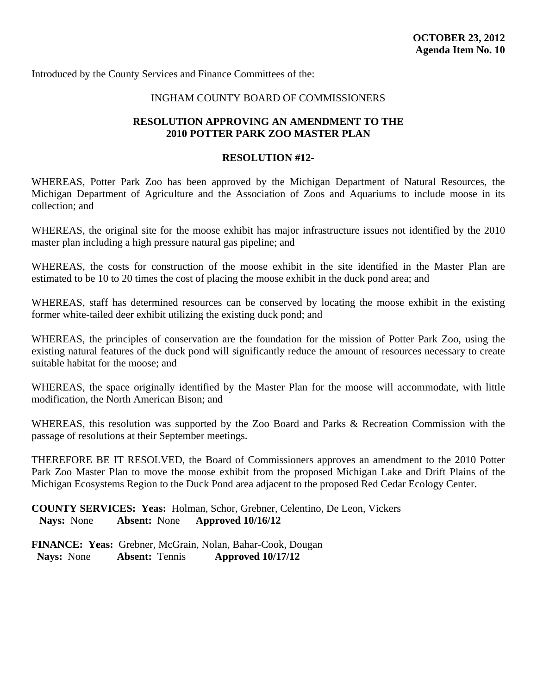<span id="page-53-0"></span>Introduced by the County Services and Finance Committees of the:

### INGHAM COUNTY BOARD OF COMMISSIONERS

### **RESOLUTION APPROVING AN AMENDMENT TO THE 2010 POTTER PARK ZOO MASTER PLAN**

### **RESOLUTION #12-**

WHEREAS, Potter Park Zoo has been approved by the Michigan Department of Natural Resources, the Michigan Department of Agriculture and the Association of Zoos and Aquariums to include moose in its collection; and

WHEREAS, the original site for the moose exhibit has major infrastructure issues not identified by the 2010 master plan including a high pressure natural gas pipeline; and

WHEREAS, the costs for construction of the moose exhibit in the site identified in the Master Plan are estimated to be 10 to 20 times the cost of placing the moose exhibit in the duck pond area; and

WHEREAS, staff has determined resources can be conserved by locating the moose exhibit in the existing former white-tailed deer exhibit utilizing the existing duck pond; and

WHEREAS, the principles of conservation are the foundation for the mission of Potter Park Zoo, using the existing natural features of the duck pond will significantly reduce the amount of resources necessary to create suitable habitat for the moose; and

WHEREAS, the space originally identified by the Master Plan for the moose will accommodate, with little modification, the North American Bison; and

WHEREAS, this resolution was supported by the Zoo Board and Parks & Recreation Commission with the passage of resolutions at their September meetings.

THEREFORE BE IT RESOLVED, the Board of Commissioners approves an amendment to the 2010 Potter Park Zoo Master Plan to move the moose exhibit from the proposed Michigan Lake and Drift Plains of the Michigan Ecosystems Region to the Duck Pond area adjacent to the proposed Red Cedar Ecology Center.

**COUNTY SERVICES: Yeas:** Holman, Schor, Grebner, Celentino, De Leon, Vickers **Nays:** None **Absent:** None **Approved 10/16/12**

**FINANCE: Yeas:** Grebner, McGrain, Nolan, Bahar-Cook, Dougan<br>Navs: None **Absent:** Tennis **Approved 10/17/12 Nays:** None **Absent:** Tennis **Approved 10/17/12**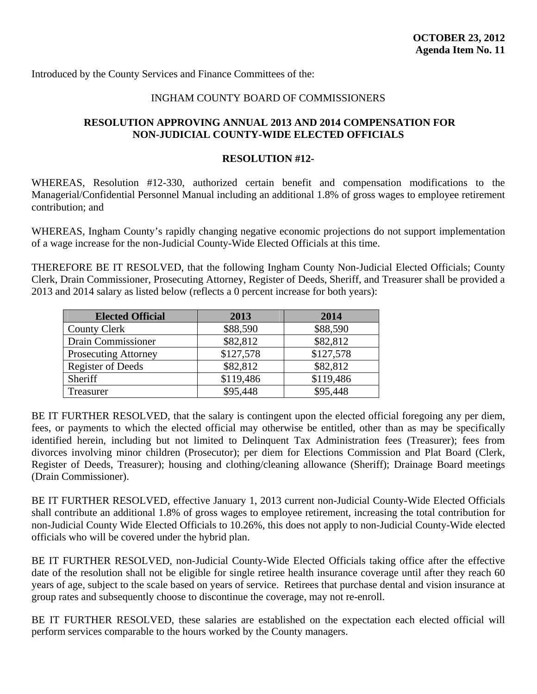<span id="page-54-0"></span>Introduced by the County Services and Finance Committees of the:

### INGHAM COUNTY BOARD OF COMMISSIONERS

### **RESOLUTION APPROVING ANNUAL 2013 AND 2014 COMPENSATION FOR NON-JUDICIAL COUNTY-WIDE ELECTED OFFICIALS**

#### **RESOLUTION #12-**

WHEREAS, Resolution #12-330, authorized certain benefit and compensation modifications to the Managerial/Confidential Personnel Manual including an additional 1.8% of gross wages to employee retirement contribution; and

WHEREAS, Ingham County's rapidly changing negative economic projections do not support implementation of a wage increase for the non-Judicial County-Wide Elected Officials at this time.

THEREFORE BE IT RESOLVED, that the following Ingham County Non-Judicial Elected Officials; County Clerk, Drain Commissioner, Prosecuting Attorney, Register of Deeds, Sheriff, and Treasurer shall be provided a 2013 and 2014 salary as listed below (reflects a 0 percent increase for both years):

| <b>Elected Official</b>     | 2013      | 2014      |
|-----------------------------|-----------|-----------|
| <b>County Clerk</b>         | \$88,590  | \$88,590  |
| Drain Commissioner          | \$82,812  | \$82,812  |
| <b>Prosecuting Attorney</b> | \$127,578 | \$127,578 |
| <b>Register of Deeds</b>    | \$82,812  | \$82,812  |
| Sheriff                     | \$119,486 | \$119,486 |
| Treasurer                   | \$95,448  | \$95,448  |

BE IT FURTHER RESOLVED, that the salary is contingent upon the elected official foregoing any per diem, fees, or payments to which the elected official may otherwise be entitled, other than as may be specifically identified herein, including but not limited to Delinquent Tax Administration fees (Treasurer); fees from divorces involving minor children (Prosecutor); per diem for Elections Commission and Plat Board (Clerk, Register of Deeds, Treasurer); housing and clothing/cleaning allowance (Sheriff); Drainage Board meetings (Drain Commissioner).

BE IT FURTHER RESOLVED, effective January 1, 2013 current non-Judicial County-Wide Elected Officials shall contribute an additional 1.8% of gross wages to employee retirement, increasing the total contribution for non-Judicial County Wide Elected Officials to 10.26%, this does not apply to non-Judicial County-Wide elected officials who will be covered under the hybrid plan.

BE IT FURTHER RESOLVED, non-Judicial County-Wide Elected Officials taking office after the effective date of the resolution shall not be eligible for single retiree health insurance coverage until after they reach 60 years of age, subject to the scale based on years of service. Retirees that purchase dental and vision insurance at group rates and subsequently choose to discontinue the coverage, may not re-enroll.

BE IT FURTHER RESOLVED, these salaries are established on the expectation each elected official will perform services comparable to the hours worked by the County managers.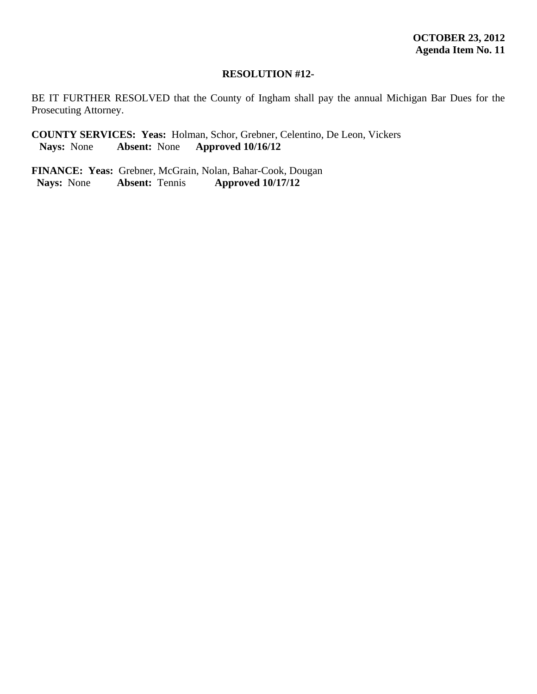BE IT FURTHER RESOLVED that the County of Ingham shall pay the annual Michigan Bar Dues for the Prosecuting Attorney.

**COUNTY SERVICES: Yeas:** Holman, Schor, Grebner, Celentino, De Leon, Vickers<br>Nays: None **Absent:** None **Approved 10/16/12 Nays:** None **Absent:** None **Approved 10/16/12**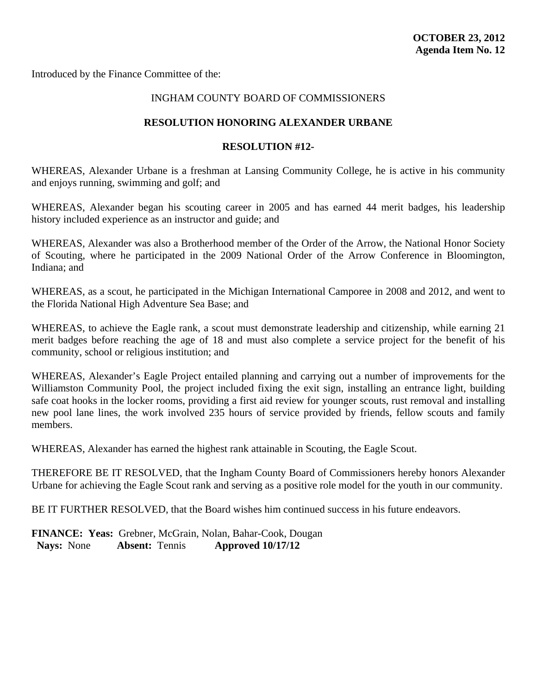<span id="page-56-0"></span>Introduced by the Finance Committee of the:

### INGHAM COUNTY BOARD OF COMMISSIONERS

### **RESOLUTION HONORING ALEXANDER URBANE**

### **RESOLUTION #12-**

WHEREAS, Alexander Urbane is a freshman at Lansing Community College, he is active in his community and enjoys running, swimming and golf; and

WHEREAS, Alexander began his scouting career in 2005 and has earned 44 merit badges, his leadership history included experience as an instructor and guide; and

WHEREAS, Alexander was also a Brotherhood member of the Order of the Arrow, the National Honor Society of Scouting, where he participated in the 2009 National Order of the Arrow Conference in Bloomington, Indiana; and

WHEREAS, as a scout, he participated in the Michigan International Camporee in 2008 and 2012, and went to the Florida National High Adventure Sea Base; and

WHEREAS, to achieve the Eagle rank, a scout must demonstrate leadership and citizenship, while earning 21 merit badges before reaching the age of 18 and must also complete a service project for the benefit of his community, school or religious institution; and

WHEREAS, Alexander's Eagle Project entailed planning and carrying out a number of improvements for the Williamston Community Pool, the project included fixing the exit sign, installing an entrance light, building safe coat hooks in the locker rooms, providing a first aid review for younger scouts, rust removal and installing new pool lane lines, the work involved 235 hours of service provided by friends, fellow scouts and family members.

WHEREAS, Alexander has earned the highest rank attainable in Scouting, the Eagle Scout.

THEREFORE BE IT RESOLVED, that the Ingham County Board of Commissioners hereby honors Alexander Urbane for achieving the Eagle Scout rank and serving as a positive role model for the youth in our community.

BE IT FURTHER RESOLVED, that the Board wishes him continued success in his future endeavors.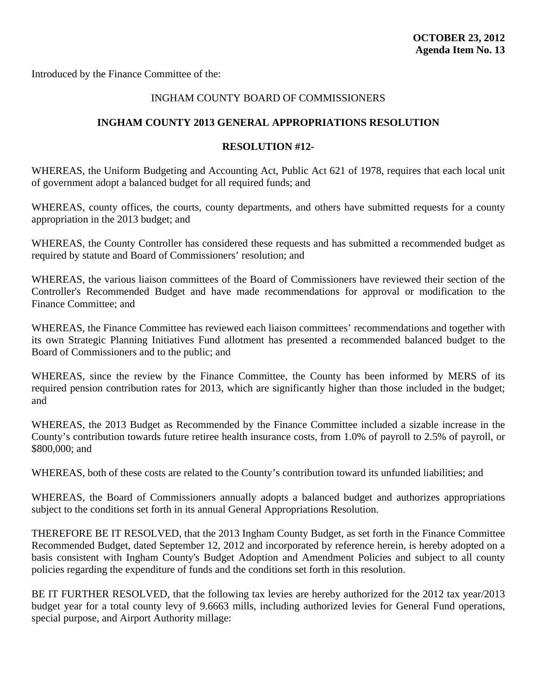<span id="page-57-0"></span>Introduced by the Finance Committee of the:

### INGHAM COUNTY BOARD OF COMMISSIONERS

### **INGHAM COUNTY 2013 GENERAL APPROPRIATIONS RESOLUTION**

### **RESOLUTION #12-**

WHEREAS, the Uniform Budgeting and Accounting Act, Public Act 621 of 1978, requires that each local unit of government adopt a balanced budget for all required funds; and

WHEREAS, county offices, the courts, county departments, and others have submitted requests for a county appropriation in the 2013 budget; and

WHEREAS, the County Controller has considered these requests and has submitted a recommended budget as required by statute and Board of Commissioners' resolution; and

WHEREAS, the various liaison committees of the Board of Commissioners have reviewed their section of the Controller's Recommended Budget and have made recommendations for approval or modification to the Finance Committee; and

WHEREAS, the Finance Committee has reviewed each liaison committees' recommendations and together with its own Strategic Planning Initiatives Fund allotment has presented a recommended balanced budget to the Board of Commissioners and to the public; and

WHEREAS, since the review by the Finance Committee, the County has been informed by MERS of its required pension contribution rates for 2013, which are significantly higher than those included in the budget; and

WHEREAS, the 2013 Budget as Recommended by the Finance Committee included a sizable increase in the County's contribution towards future retiree health insurance costs, from 1.0% of payroll to 2.5% of payroll, or \$800,000; and

WHEREAS, both of these costs are related to the County's contribution toward its unfunded liabilities; and

WHEREAS, the Board of Commissioners annually adopts a balanced budget and authorizes appropriations subject to the conditions set forth in its annual General Appropriations Resolution.

THEREFORE BE IT RESOLVED, that the 2013 Ingham County Budget, as set forth in the Finance Committee Recommended Budget, dated September 12, 2012 and incorporated by reference herein, is hereby adopted on a basis consistent with Ingham County's Budget Adoption and Amendment Policies and subject to all county policies regarding the expenditure of funds and the conditions set forth in this resolution.

BE IT FURTHER RESOLVED, that the following tax levies are hereby authorized for the 2012 tax year/2013 budget year for a total county levy of 9.6663 mills, including authorized levies for General Fund operations, special purpose, and Airport Authority millage: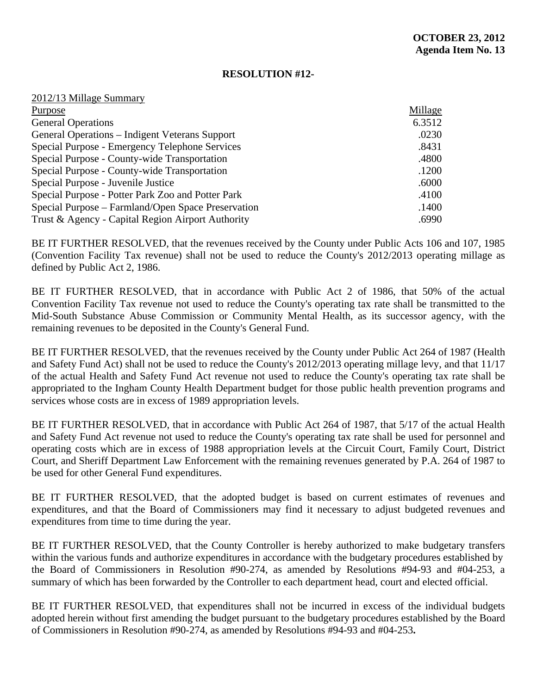| 2012/13 Millage Summary                            |         |
|----------------------------------------------------|---------|
| Purpose                                            | Millage |
| <b>General Operations</b>                          | 6.3512  |
| General Operations – Indigent Veterans Support     | .0230   |
| Special Purpose - Emergency Telephone Services     | .8431   |
| Special Purpose - County-wide Transportation       | .4800   |
| Special Purpose - County-wide Transportation       | .1200   |
| Special Purpose - Juvenile Justice                 | .6000   |
| Special Purpose - Potter Park Zoo and Potter Park  | .4100   |
| Special Purpose – Farmland/Open Space Preservation | .1400   |
| Trust & Agency - Capital Region Airport Authority  | .6990   |

BE IT FURTHER RESOLVED, that the revenues received by the County under Public Acts 106 and 107, 1985 (Convention Facility Tax revenue) shall not be used to reduce the County's 2012/2013 operating millage as defined by Public Act 2, 1986.

BE IT FURTHER RESOLVED, that in accordance with Public Act 2 of 1986, that 50% of the actual Convention Facility Tax revenue not used to reduce the County's operating tax rate shall be transmitted to the Mid-South Substance Abuse Commission or Community Mental Health, as its successor agency, with the remaining revenues to be deposited in the County's General Fund.

BE IT FURTHER RESOLVED, that the revenues received by the County under Public Act 264 of 1987 (Health and Safety Fund Act) shall not be used to reduce the County's 2012/2013 operating millage levy, and that 11/17 of the actual Health and Safety Fund Act revenue not used to reduce the County's operating tax rate shall be appropriated to the Ingham County Health Department budget for those public health prevention programs and services whose costs are in excess of 1989 appropriation levels.

BE IT FURTHER RESOLVED, that in accordance with Public Act 264 of 1987, that 5/17 of the actual Health and Safety Fund Act revenue not used to reduce the County's operating tax rate shall be used for personnel and operating costs which are in excess of 1988 appropriation levels at the Circuit Court, Family Court, District Court, and Sheriff Department Law Enforcement with the remaining revenues generated by P.A. 264 of 1987 to be used for other General Fund expenditures.

BE IT FURTHER RESOLVED, that the adopted budget is based on current estimates of revenues and expenditures, and that the Board of Commissioners may find it necessary to adjust budgeted revenues and expenditures from time to time during the year.

BE IT FURTHER RESOLVED, that the County Controller is hereby authorized to make budgetary transfers within the various funds and authorize expenditures in accordance with the budgetary procedures established by the Board of Commissioners in Resolution #90-274, as amended by Resolutions #94-93 and #04-253, a summary of which has been forwarded by the Controller to each department head, court and elected official.

BE IT FURTHER RESOLVED, that expenditures shall not be incurred in excess of the individual budgets adopted herein without first amending the budget pursuant to the budgetary procedures established by the Board of Commissioners in Resolution #90-274, as amended by Resolutions #94-93 and #04-253**.**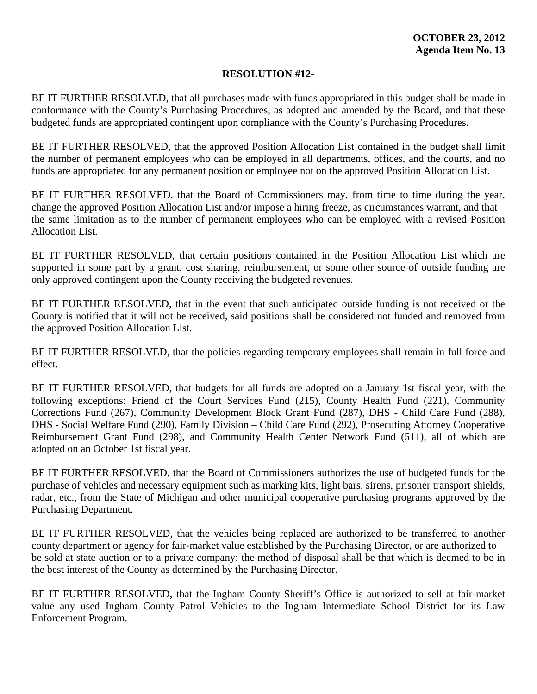BE IT FURTHER RESOLVED, that all purchases made with funds appropriated in this budget shall be made in conformance with the County's Purchasing Procedures, as adopted and amended by the Board, and that these budgeted funds are appropriated contingent upon compliance with the County's Purchasing Procedures.

BE IT FURTHER RESOLVED, that the approved Position Allocation List contained in the budget shall limit the number of permanent employees who can be employed in all departments, offices, and the courts, and no funds are appropriated for any permanent position or employee not on the approved Position Allocation List.

BE IT FURTHER RESOLVED, that the Board of Commissioners may, from time to time during the year, change the approved Position Allocation List and/or impose a hiring freeze, as circumstances warrant, and that the same limitation as to the number of permanent employees who can be employed with a revised Position Allocation List.

BE IT FURTHER RESOLVED, that certain positions contained in the Position Allocation List which are supported in some part by a grant, cost sharing, reimbursement, or some other source of outside funding are only approved contingent upon the County receiving the budgeted revenues.

BE IT FURTHER RESOLVED, that in the event that such anticipated outside funding is not received or the County is notified that it will not be received, said positions shall be considered not funded and removed from the approved Position Allocation List.

BE IT FURTHER RESOLVED, that the policies regarding temporary employees shall remain in full force and effect.

BE IT FURTHER RESOLVED, that budgets for all funds are adopted on a January 1st fiscal year, with the following exceptions: Friend of the Court Services Fund (215), County Health Fund (221), Community Corrections Fund (267), Community Development Block Grant Fund (287), DHS - Child Care Fund (288), DHS - Social Welfare Fund (290), Family Division – Child Care Fund (292), Prosecuting Attorney Cooperative Reimbursement Grant Fund (298), and Community Health Center Network Fund (511), all of which are adopted on an October 1st fiscal year.

BE IT FURTHER RESOLVED, that the Board of Commissioners authorizes the use of budgeted funds for the purchase of vehicles and necessary equipment such as marking kits, light bars, sirens, prisoner transport shields, radar, etc., from the State of Michigan and other municipal cooperative purchasing programs approved by the Purchasing Department.

BE IT FURTHER RESOLVED, that the vehicles being replaced are authorized to be transferred to another county department or agency for fair-market value established by the Purchasing Director, or are authorized to be sold at state auction or to a private company; the method of disposal shall be that which is deemed to be in the best interest of the County as determined by the Purchasing Director.

BE IT FURTHER RESOLVED, that the Ingham County Sheriff's Office is authorized to sell at fair-market value any used Ingham County Patrol Vehicles to the Ingham Intermediate School District for its Law Enforcement Program.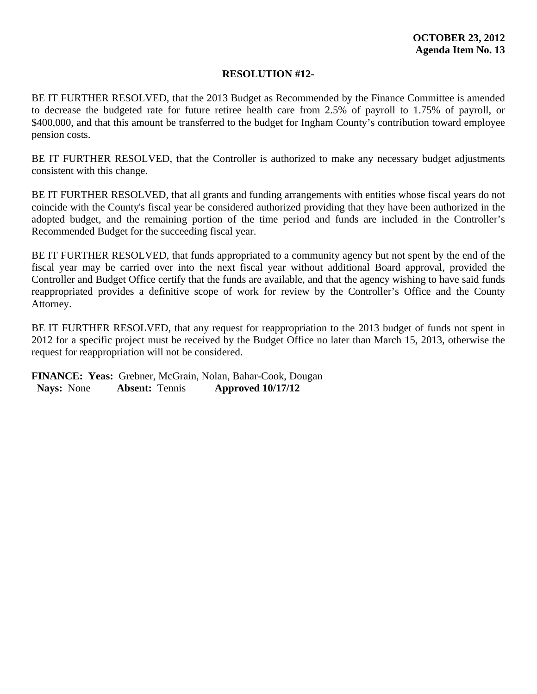BE IT FURTHER RESOLVED, that the 2013 Budget as Recommended by the Finance Committee is amended to decrease the budgeted rate for future retiree health care from 2.5% of payroll to 1.75% of payroll, or \$400,000, and that this amount be transferred to the budget for Ingham County's contribution toward employee pension costs.

BE IT FURTHER RESOLVED, that the Controller is authorized to make any necessary budget adjustments consistent with this change.

BE IT FURTHER RESOLVED, that all grants and funding arrangements with entities whose fiscal years do not coincide with the County's fiscal year be considered authorized providing that they have been authorized in the adopted budget, and the remaining portion of the time period and funds are included in the Controller's Recommended Budget for the succeeding fiscal year.

BE IT FURTHER RESOLVED, that funds appropriated to a community agency but not spent by the end of the fiscal year may be carried over into the next fiscal year without additional Board approval, provided the Controller and Budget Office certify that the funds are available, and that the agency wishing to have said funds reappropriated provides a definitive scope of work for review by the Controller's Office and the County Attorney.

BE IT FURTHER RESOLVED, that any request for reappropriation to the 2013 budget of funds not spent in 2012 for a specific project must be received by the Budget Office no later than March 15, 2013, otherwise the request for reappropriation will not be considered.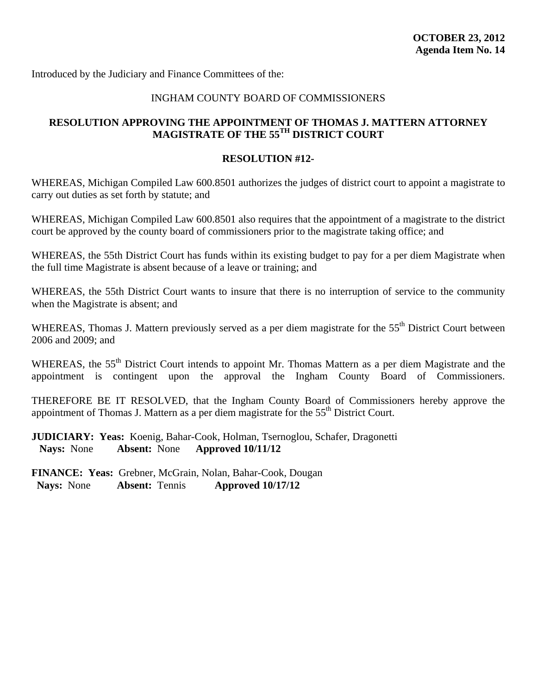<span id="page-61-0"></span>Introduced by the Judiciary and Finance Committees of the:

### INGHAM COUNTY BOARD OF COMMISSIONERS

### **RESOLUTION APPROVING THE APPOINTMENT OF THOMAS J. MATTERN ATTORNEY MAGISTRATE OF THE 55TH DISTRICT COURT**

### **RESOLUTION #12-**

WHEREAS, Michigan Compiled Law 600.8501 authorizes the judges of district court to appoint a magistrate to carry out duties as set forth by statute; and

WHEREAS, Michigan Compiled Law 600.8501 also requires that the appointment of a magistrate to the district court be approved by the county board of commissioners prior to the magistrate taking office; and

WHEREAS, the 55th District Court has funds within its existing budget to pay for a per diem Magistrate when the full time Magistrate is absent because of a leave or training; and

WHEREAS, the 55th District Court wants to insure that there is no interruption of service to the community when the Magistrate is absent; and

WHEREAS, Thomas J. Mattern previously served as a per diem magistrate for the 55<sup>th</sup> District Court between 2006 and 2009; and

WHEREAS, the 55<sup>th</sup> District Court intends to appoint Mr. Thomas Mattern as a per diem Magistrate and the appointment is contingent upon the approval the Ingham County Board of Commissioners.

THEREFORE BE IT RESOLVED, that the Ingham County Board of Commissioners hereby approve the appointment of Thomas J. Mattern as a per diem magistrate for the  $55<sup>th</sup>$  District Court.

**JUDICIARY: Yeas:** Koenig, Bahar-Cook, Holman, Tsernoglou, Schafer, Dragonetti **Nays:** None **Absent:** None **Approved 10/11/12**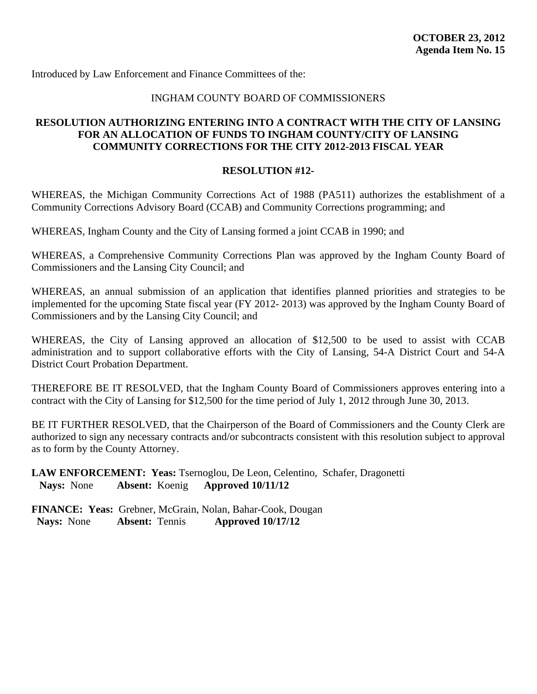<span id="page-62-0"></span>Introduced by Law Enforcement and Finance Committees of the:

### INGHAM COUNTY BOARD OF COMMISSIONERS

### **RESOLUTION AUTHORIZING ENTERING INTO A CONTRACT WITH THE CITY OF LANSING FOR AN ALLOCATION OF FUNDS TO INGHAM COUNTY/CITY OF LANSING COMMUNITY CORRECTIONS FOR THE CITY 2012-2013 FISCAL YEAR**

### **RESOLUTION #12-**

WHEREAS, the Michigan Community Corrections Act of 1988 (PA511) authorizes the establishment of a Community Corrections Advisory Board (CCAB) and Community Corrections programming; and

WHEREAS, Ingham County and the City of Lansing formed a joint CCAB in 1990; and

WHEREAS, a Comprehensive Community Corrections Plan was approved by the Ingham County Board of Commissioners and the Lansing City Council; and

WHEREAS, an annual submission of an application that identifies planned priorities and strategies to be implemented for the upcoming State fiscal year (FY 2012- 2013) was approved by the Ingham County Board of Commissioners and by the Lansing City Council; and

WHEREAS, the City of Lansing approved an allocation of \$12,500 to be used to assist with CCAB administration and to support collaborative efforts with the City of Lansing, 54-A District Court and 54-A District Court Probation Department.

THEREFORE BE IT RESOLVED, that the Ingham County Board of Commissioners approves entering into a contract with the City of Lansing for \$12,500 for the time period of July 1, 2012 through June 30, 2013.

BE IT FURTHER RESOLVED, that the Chairperson of the Board of Commissioners and the County Clerk are authorized to sign any necessary contracts and/or subcontracts consistent with this resolution subject to approval as to form by the County Attorney.

### **LAW ENFORCEMENT: Yeas:** Tsernoglou, De Leon, Celentino, Schafer, Dragonetti **Nays:** None **Absent:** Koenig **Approved 10/11/12**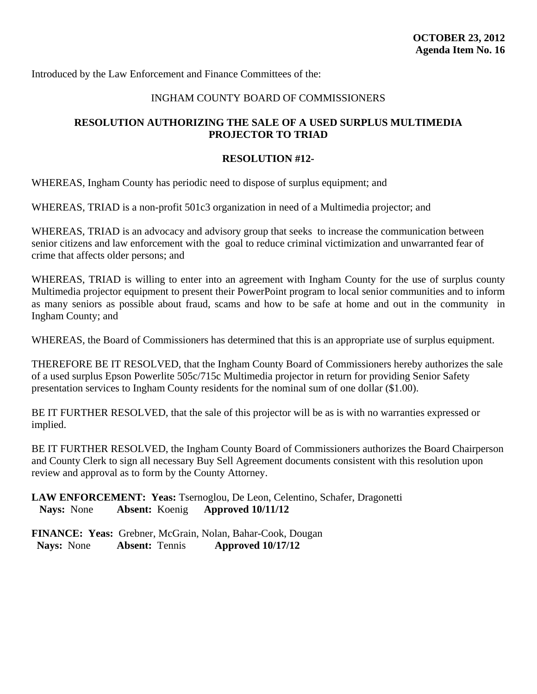<span id="page-63-0"></span>Introduced by the Law Enforcement and Finance Committees of the:

### INGHAM COUNTY BOARD OF COMMISSIONERS

### **RESOLUTION AUTHORIZING THE SALE OF A USED SURPLUS MULTIMEDIA PROJECTOR TO TRIAD**

### **RESOLUTION #12-**

WHEREAS, Ingham County has periodic need to dispose of surplus equipment; and

WHEREAS, TRIAD is a non-profit 501c3 organization in need of a Multimedia projector; and

WHEREAS, TRIAD is an advocacy and advisory group that seeks to increase the communication between senior citizens and law enforcement with the goal to reduce criminal victimization and unwarranted fear of crime that affects older persons; and

WHEREAS, TRIAD is willing to enter into an agreement with Ingham County for the use of surplus county Multimedia projector equipment to present their PowerPoint program to local senior communities and to inform as many seniors as possible about fraud, scams and how to be safe at home and out in the community in Ingham County; and

WHEREAS, the Board of Commissioners has determined that this is an appropriate use of surplus equipment.

THEREFORE BE IT RESOLVED, that the Ingham County Board of Commissioners hereby authorizes the sale of a used surplus Epson Powerlite 505c/715c Multimedia projector in return for providing Senior Safety presentation services to Ingham County residents for the nominal sum of one dollar (\$1.00).

BE IT FURTHER RESOLVED, that the sale of this projector will be as is with no warranties expressed or implied.

BE IT FURTHER RESOLVED, the Ingham County Board of Commissioners authorizes the Board Chairperson and County Clerk to sign all necessary Buy Sell Agreement documents consistent with this resolution upon review and approval as to form by the County Attorney.

**LAW ENFORCEMENT: Yeas:** Tsernoglou, De Leon, Celentino, Schafer, Dragonetti **Nays:** None **Absent:** Koenig **Approved 10/11/12**